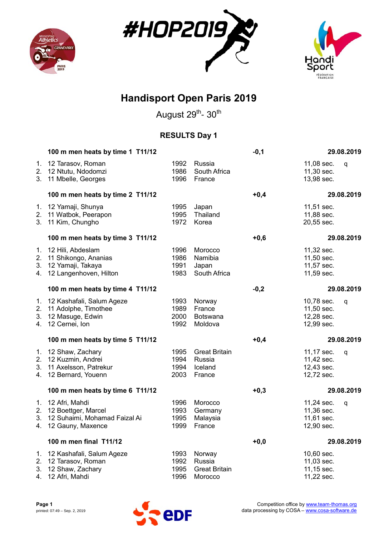





August 29<sup>th</sup>- 30<sup>th</sup>

### **RESULTS Day 1**

|                            | 100 m men heats by time 1 T11/12                                                               |                              |                                                     | $-0,1$ |                                                      | 29.08.2019 |
|----------------------------|------------------------------------------------------------------------------------------------|------------------------------|-----------------------------------------------------|--------|------------------------------------------------------|------------|
| 1.<br>2.<br>3 <sub>1</sub> | 12 Tarasov, Roman<br>12 Ntutu, Ndodomzi<br>11 Mbelle, Georges                                  | 1992<br>1986<br>1996         | Russia<br>South Africa<br>France                    |        | 11,08 sec.<br>11,30 sec.<br>13,98 sec.               | q          |
|                            | 100 m men heats by time 2 T11/12                                                               |                              |                                                     | $+0,4$ |                                                      | 29.08.2019 |
| 1.<br>3.                   | 12 Yamaji, Shunya<br>2. 11 Watbok, Peerapon<br>11 Kim, Chungho                                 | 1995<br>1995<br>1972         | Japan<br>Thailand<br>Korea                          |        | 11,51 sec.<br>11,88 sec.<br>20,55 sec.               |            |
|                            | 100 m men heats by time 3 T11/12                                                               |                              |                                                     | $+0,6$ |                                                      | 29.08.2019 |
| 1.<br>2.<br>3.<br>4.       | 12 Hili, Abdeslam<br>11 Shikongo, Ananias<br>12 Yamaji, Takaya<br>12 Langenhoven, Hilton       | 1996<br>1986<br>1991<br>1983 | Morocco<br>Namibia<br>Japan<br>South Africa         |        | 11,32 sec.<br>11,50 sec.<br>11,57 sec.<br>11,59 sec. |            |
|                            | 100 m men heats by time 4 T11/12                                                               |                              |                                                     | $-0,2$ |                                                      | 29.08.2019 |
| 1.<br>2.<br>3.<br>4.       | 12 Kashafali, Salum Ageze<br>11 Adolphe, Timothee<br>12 Masuge, Edwin<br>12 Cernei, Ion        | 1993<br>1989<br>2000<br>1992 | Norway<br>France<br><b>Botswana</b><br>Moldova      |        | 10,78 sec.<br>11,50 sec.<br>12,28 sec.<br>12,99 sec. | q          |
|                            | 100 m men heats by time 5 T11/12                                                               |                              |                                                     | $+0,4$ |                                                      | 29.08.2019 |
| 1.<br>4.                   | 12 Shaw, Zachary<br>2. 12 Kuzmin, Andrei<br>3. 11 Axelsson, Patrekur<br>12 Bernard, Youenn     | 1995<br>1994<br>1994<br>2003 | <b>Great Britain</b><br>Russia<br>Iceland<br>France |        | 11,17 sec.<br>11,42 sec.<br>12,43 sec.<br>12,72 sec. | q          |
|                            | 100 m men heats by time 6 T11/12                                                               |                              |                                                     | $+0,3$ |                                                      | 29.08.2019 |
| 1.<br>2.<br>3.             | 12 Afri, Mahdi<br>12 Boettger, Marcel<br>12 Suhaimi, Mohamad Faizal Ai<br>4. 12 Gauny, Maxence | 1996<br>1993<br>1995<br>1999 | Morocco<br>Germany<br>Malaysia<br>France            |        | 11,24 sec.<br>11,36 sec.<br>11,61 sec.<br>12,90 sec. | q          |
|                            | 100 m men final T11/12                                                                         |                              |                                                     | $+0,0$ |                                                      | 29.08.2019 |
| 1.<br>2.<br>3.<br>4.       | 12 Kashafali, Salum Ageze<br>12 Tarasov, Roman<br>12 Shaw, Zachary<br>12 Afri, Mahdi           | 1993<br>1992<br>1995<br>1996 | Norway<br>Russia<br><b>Great Britain</b><br>Morocco |        | 10,60 sec.<br>11,03 sec.<br>11,15 sec.<br>11,22 sec. |            |

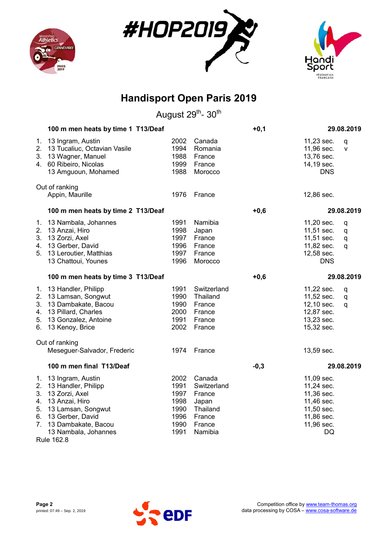





|                                              | 100 m men heats by time 1 T13/Deaf                                                                                                                                       |                                                              |                                                                                     | $+0,1$ |                                                                                                      | 29.08.2019       |
|----------------------------------------------|--------------------------------------------------------------------------------------------------------------------------------------------------------------------------|--------------------------------------------------------------|-------------------------------------------------------------------------------------|--------|------------------------------------------------------------------------------------------------------|------------------|
| 1.<br>2.<br>3.<br>4.                         | 13 Ingram, Austin<br>13 Tucaliuc, Octavian Vasile<br>13 Wagner, Manuel<br>60 Ribeiro, Nicolas<br>13 Amguoun, Mohamed                                                     | 2002<br>1994<br>1988<br>1999<br>1988                         | Canada<br>Romania<br>France<br>France<br>Morocco                                    |        | 11,23 sec.<br>11,96 sec.<br>13,76 sec.<br>14,19 sec.<br><b>DNS</b>                                   | q<br>v           |
|                                              | Out of ranking<br>Appin, Maurille                                                                                                                                        | 1976                                                         | France                                                                              |        | 12,86 sec.                                                                                           |                  |
|                                              | 100 m men heats by time 2 T13/Deaf                                                                                                                                       |                                                              |                                                                                     | $+0,6$ |                                                                                                      | 29.08.2019       |
| 1.<br>2.<br>3.<br>4.<br>5.                   | 13 Nambala, Johannes<br>13 Anzai, Hiro<br>13 Zorzi, Axel<br>13 Gerber, David<br>13 Leroutier, Matthias<br>13 Chattoui, Younes                                            | 1991<br>1998<br>1997<br>1996<br>1997<br>1996                 | Namibia<br>Japan<br>France<br>France<br>France<br>Morocco                           |        | 11,20 sec.<br>11,51 sec.<br>11,51 sec.<br>11,82 sec.<br>12,58 sec.<br><b>DNS</b>                     | q<br>q<br>q<br>q |
|                                              | 100 m men heats by time 3 T13/Deaf                                                                                                                                       |                                                              |                                                                                     | $+0,6$ |                                                                                                      | 29.08.2019       |
| 1.<br>2.<br>3.<br>4.<br>5.<br>6.             | 13 Handler, Philipp<br>13 Lamsan, Songwut<br>13 Dambakate, Bacou<br>13 Pillard, Charles<br>13 Gonzalez, Antoine<br>13 Kenoy, Brice                                       | 1991<br>1990<br>1990<br>2000<br>1991<br>2002                 | Switzerland<br>Thailand<br>France<br>France<br>France<br>France                     |        | 11,22 sec.<br>11,52 sec.<br>12,10 sec.<br>12,87 sec.<br>13,23 sec.<br>15,32 sec.                     | q<br>q<br>q      |
|                                              | Out of ranking<br>Meseguer-Salvador, Frederic                                                                                                                            | 1974                                                         | France                                                                              |        | 13,59 sec.                                                                                           |                  |
|                                              | 100 m men final T13/Deaf                                                                                                                                                 |                                                              |                                                                                     | $-0,3$ |                                                                                                      | 29.08.2019       |
| 2.<br>3.<br>4.<br>5.<br>6.<br>7 <sub>1</sub> | 1. 13 Ingram, Austin<br>13 Handler, Philipp<br>13 Zorzi, Axel<br>13 Anzai, Hiro<br>13 Lamsan, Songwut<br>13 Gerber, David<br>13 Dambakate, Bacou<br>13 Nambala, Johannes | 2002<br>1991<br>1997<br>1998<br>1990<br>1996<br>1990<br>1991 | Canada<br>Switzerland<br>France<br>Japan<br>Thailand<br>France<br>France<br>Namibia |        | 11,09 sec.<br>11,24 sec.<br>11,36 sec.<br>11,46 sec.<br>11,50 sec.<br>11,86 sec.<br>11,96 sec.<br>DQ |                  |

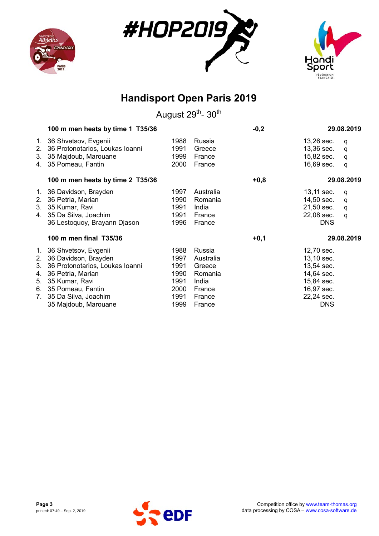





|                                           | 100 m men heats by time 1 T35/36                                                                                                                                                               |                                                              |                                                                                 | $-0,2$ | 29.08.2019                                                                                                   |  |
|-------------------------------------------|------------------------------------------------------------------------------------------------------------------------------------------------------------------------------------------------|--------------------------------------------------------------|---------------------------------------------------------------------------------|--------|--------------------------------------------------------------------------------------------------------------|--|
| 1.<br>2.<br>3.<br>4.                      | 36 Shvetsov, Evgenii<br>36 Protonotarios, Loukas Ioanni<br>35 Majdoub, Marouane<br>35 Pomeau, Fantin                                                                                           | 1988<br>1991<br>1999<br>2000                                 | Russia<br>Greece<br>France<br>France                                            |        | 13,26 sec.<br>q<br>13,36 sec.<br>q<br>15,82 sec.<br>q<br>16,69 sec.<br>q                                     |  |
|                                           | 100 m men heats by time 2 T35/36                                                                                                                                                               |                                                              |                                                                                 | $+0,8$ | 29.08.2019                                                                                                   |  |
| 1.<br>2.<br>3.                            | 36 Davidson, Brayden<br>36 Petria, Marian<br>35 Kumar, Ravi<br>4. 35 Da Silva, Joachim<br>36 Lestoquoy, Brayann Djason                                                                         | 1997<br>1990<br>1991<br>1991<br>1996                         | Australia<br>Romania<br>India<br>France<br>France                               |        | 13,11 sec.<br>q<br>14,50 sec.<br>q<br>21,50 sec.<br>q<br>22,08 sec.<br>q<br><b>DNS</b>                       |  |
|                                           | 100 m men final T35/36                                                                                                                                                                         |                                                              |                                                                                 | $+0,1$ | 29.08.2019                                                                                                   |  |
| $1_{\cdot}$<br>2.<br>3.<br>4.<br>5.<br>7. | 36 Shvetsov, Evgenii<br>36 Davidson, Brayden<br>36 Protonotarios, Loukas Ioanni<br>36 Petria, Marian<br>35 Kumar, Ravi<br>6. 35 Pomeau, Fantin<br>35 Da Silva, Joachim<br>35 Majdoub, Marouane | 1988<br>1997<br>1991<br>1990<br>1991<br>2000<br>1991<br>1999 | Russia<br>Australia<br>Greece<br>Romania<br>India<br>France<br>France<br>France |        | 12,70 sec.<br>13,10 sec.<br>13,54 sec.<br>14,64 sec.<br>15,84 sec.<br>16,97 sec.<br>22,24 sec.<br><b>DNS</b> |  |

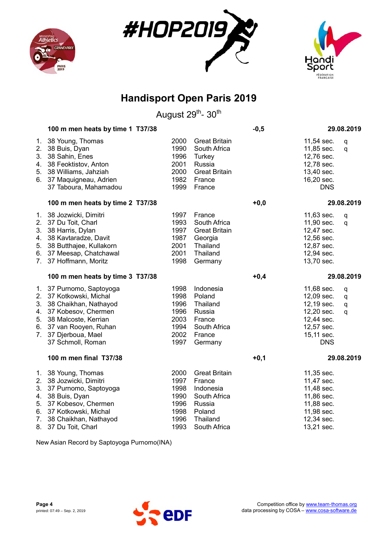





August 29<sup>th</sup>- 30<sup>th</sup>

|                                  | 100 m men heats by time 1 T37/38                                                                                                                                                              |                                                              |                                                                                                             | $-0,5$ |                                                                                                              | 29.08.2019       |
|----------------------------------|-----------------------------------------------------------------------------------------------------------------------------------------------------------------------------------------------|--------------------------------------------------------------|-------------------------------------------------------------------------------------------------------------|--------|--------------------------------------------------------------------------------------------------------------|------------------|
| 1.<br>2.<br>3.<br>4.<br>5.<br>6. | 38 Young, Thomas<br>38 Buis, Dyan<br>38 Sahin, Enes<br>38 Feoktistov, Anton<br>38 Williams, Jahziah<br>37 Maquigneau, Adrien<br>37 Taboura, Mahamadou                                         | 2000<br>1990<br>1996<br>2001<br>2000<br>1982<br>1999         | <b>Great Britain</b><br>South Africa<br>Turkey<br>Russia<br><b>Great Britain</b><br>France<br>France        |        | 11,54 sec.<br>11,85 sec.<br>12,76 sec.<br>12,78 sec.<br>13,40 sec.<br>16,20 sec.<br><b>DNS</b>               | q<br>q           |
|                                  | 100 m men heats by time 2 T37/38                                                                                                                                                              |                                                              |                                                                                                             | $+0,0$ |                                                                                                              | 29.08.2019       |
| 1.<br>4.<br>5.<br>6.<br>7.       | 38 Jozwicki, Dimitri<br>2. 37 Du Toit, Charl<br>3. 38 Harris, Dylan<br>38 Kavtaradze, Davit<br>38 Butthajee, Kullakorn<br>37 Meesap, Chatchawal<br>37 Hoffmann, Moritz                        | 1997<br>1993<br>1997<br>1987<br>2001<br>2001<br>1998         | France<br>South Africa<br><b>Great Britain</b><br>Georgia<br>Thailand<br>Thailand<br>Germany                |        | 11,63 sec.<br>11,90 sec.<br>12,47 sec.<br>12,56 sec.<br>12,87 sec.<br>12,94 sec.<br>13,70 sec.               | q<br>q           |
|                                  | 100 m men heats by time 3 T37/38                                                                                                                                                              |                                                              |                                                                                                             | $+0,4$ |                                                                                                              | 29.08.2019       |
| 3.<br>4.<br>5.<br>6.<br>7.       | 1. 37 Purnomo, Saptoyoga<br>2. 37 Kotkowski, Michal<br>38 Chaikhan, Nathayod<br>37 Kobesov, Chermen<br>38 Malcoste, Kerrian<br>37 van Rooyen, Ruhan<br>37 Djerboua, Mael<br>37 Schmoll, Roman | 1998<br>1998<br>1996<br>1996<br>2003<br>1994<br>2002<br>1997 | Indonesia<br>Poland<br>Thailand<br>Russia<br>France<br>South Africa<br>France<br>Germany                    |        | 11,68 sec.<br>12,09 sec.<br>12,19 sec.<br>12,20 sec.<br>12,44 sec.<br>12,57 sec.<br>15,11 sec.<br><b>DNS</b> | q<br>q<br>q<br>q |
|                                  | 100 m men final T37/38                                                                                                                                                                        |                                                              |                                                                                                             | $+0,1$ |                                                                                                              | 29.08.2019       |
| 3.<br>4.<br>5.<br>6.<br>7.       | 1. 38 Young, Thomas<br>2. 38 Jozwicki, Dimitri<br>37 Purnomo, Saptoyoga<br>38 Buis, Dyan<br>37 Kobesov, Chermen<br>37 Kotkowski, Michal<br>38 Chaikhan, Nathayod<br>8. 37 Du Toit, Charl      | 2000<br>1997<br>1998<br>1990<br>1996<br>1998<br>1996<br>1993 | <b>Great Britain</b><br>France<br>Indonesia<br>South Africa<br>Russia<br>Poland<br>Thailand<br>South Africa |        | 11,35 sec.<br>11,47 sec.<br>11,48 sec.<br>11,86 sec.<br>11,88 sec.<br>11,98 sec.<br>12,34 sec.<br>13,21 sec. |                  |

New Asian Record by Saptoyoga Purnomo(INA)

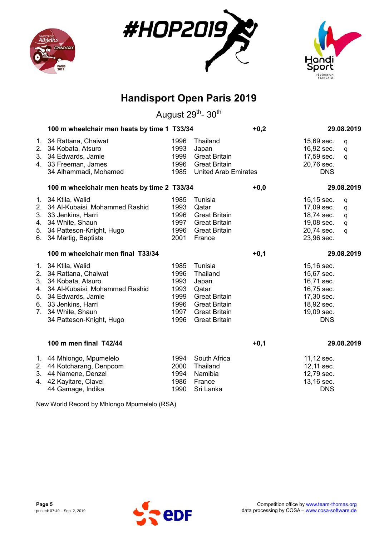





August 29<sup>th</sup>- 30<sup>th</sup>

|                                             |                                                                                                                                                                                                                                                                                                                                                                                                                                                                                                                                      |                                                                                                                                       | $+0,2$                                                                                     |                                                                                                              | 29.08.2019                       |
|---------------------------------------------|--------------------------------------------------------------------------------------------------------------------------------------------------------------------------------------------------------------------------------------------------------------------------------------------------------------------------------------------------------------------------------------------------------------------------------------------------------------------------------------------------------------------------------------|---------------------------------------------------------------------------------------------------------------------------------------|--------------------------------------------------------------------------------------------|--------------------------------------------------------------------------------------------------------------|----------------------------------|
| 34 Kobata, Atsuro<br>34 Alhammadi, Mohamed  | 1996<br>1993<br>1999<br>1996<br>1985                                                                                                                                                                                                                                                                                                                                                                                                                                                                                                 | Thailand<br>Japan<br><b>Great Britain</b><br><b>Great Britain</b>                                                                     |                                                                                            | 15,69 sec.<br>16,92 sec.<br>17,59 sec.<br>20,76 sec.<br><b>DNS</b>                                           | q<br>q<br>q                      |
|                                             |                                                                                                                                                                                                                                                                                                                                                                                                                                                                                                                                      |                                                                                                                                       | $+0,0$                                                                                     |                                                                                                              | 29.08.2019                       |
| 34 Martig, Baptiste                         | 1985<br>1993<br>1996<br>1997<br>1996<br>2001                                                                                                                                                                                                                                                                                                                                                                                                                                                                                         | Tunisia<br>Qatar<br><b>Great Britain</b><br><b>Great Britain</b><br><b>Great Britain</b><br>France                                    |                                                                                            | 15,15 sec.<br>17,09 sec.<br>18,74 sec.<br>19,08 sec.<br>20,74 sec.<br>23,96 sec.                             | q<br>q<br>q<br>$\mathsf{q}$<br>q |
| 100 m wheelchair men final T33/34           |                                                                                                                                                                                                                                                                                                                                                                                                                                                                                                                                      |                                                                                                                                       | $+0,1$                                                                                     |                                                                                                              | 29.08.2019                       |
| 34 White, Shaun<br>34 Patteson-Knight, Hugo | 1985<br>1996<br>1993<br>1993<br>1999<br>1996<br>1997<br>1996                                                                                                                                                                                                                                                                                                                                                                                                                                                                         | Tunisia<br>Thailand<br>Japan<br>Qatar<br><b>Great Britain</b><br><b>Great Britain</b><br><b>Great Britain</b><br><b>Great Britain</b> |                                                                                            | 15,16 sec.<br>15,67 sec.<br>16,71 sec.<br>16,75 sec.<br>17,30 sec.<br>18,92 sec.<br>19,09 sec.<br><b>DNS</b> |                                  |
| 100 m men final T42/44                      |                                                                                                                                                                                                                                                                                                                                                                                                                                                                                                                                      |                                                                                                                                       | $+0,1$                                                                                     |                                                                                                              | 29.08.2019                       |
| 44 Gamage, Indika                           | 1994<br>2000<br>1994<br>1986<br>1990                                                                                                                                                                                                                                                                                                                                                                                                                                                                                                 | South Africa<br>Thailand<br>Namibia<br>France<br>Sri Lanka                                                                            |                                                                                            | 11,12 sec.<br>12,11 sec.<br>12,79 sec.<br>13,16 sec.<br><b>DNS</b>                                           |                                  |
|                                             | 1. 34 Rattana, Chaiwat<br>2.<br>3. 34 Edwards, Jamie<br>4. 33 Freeman, James<br>1. 34 Ktila, Walid<br>2. 34 Al-Kubaisi, Mohammed Rashid<br>3. 33 Jenkins, Harri<br>4. 34 White, Shaun<br>5. 34 Patteson-Knight, Hugo<br>6.<br>1. 34 Ktila, Walid<br>2. 34 Rattana, Chaiwat<br>3. 34 Kobata, Atsuro<br>4. 34 Al-Kubaisi, Mohammed Rashid<br>5. 34 Edwards, Jamie<br>6. 33 Jenkins, Harri<br>$7_{\scriptscriptstyle{\sim}}$<br>1. 44 Mhlongo, Mpumelelo<br>2. 44 Kotcharang, Denpoom<br>3. 44 Namene, Denzel<br>4. 42 Kayitare, Clavel |                                                                                                                                       | 100 m wheelchair men heats by time 1 T33/34<br>100 m wheelchair men heats by time 2 T33/34 | <b>United Arab Emirates</b><br>$\mathbf{M} = \mathbf{M} \mathbf{M} + \mathbf{M} \mathbf{D}$                  |                                  |

New World Record by Mhlongo Mpumelelo (RSA)

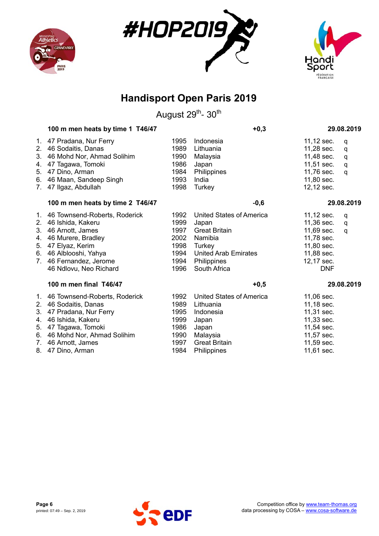





|                                                                         | 100 m men heats by time 1 T46/47                                                                                                                                                            |                                                              | $+0,3$                                                                                                                                       | 29.08.2019                                                                                                                  |  |
|-------------------------------------------------------------------------|---------------------------------------------------------------------------------------------------------------------------------------------------------------------------------------------|--------------------------------------------------------------|----------------------------------------------------------------------------------------------------------------------------------------------|-----------------------------------------------------------------------------------------------------------------------------|--|
| 2.<br>3.<br>4.<br>5.<br>6.<br>$7_{\scriptscriptstyle{\ddots}}$          | 1. 47 Pradana, Nur Ferry<br>46 Sodaitis, Danas<br>46 Mohd Nor, Ahmad Solihim<br>47 Tagawa, Tomoki<br>47 Dino, Arman<br>46 Maan, Sandeep Singh<br>47 Ilgaz, Abdullah                         | 1995<br>1989<br>1990<br>1986<br>1984<br>1993<br>1998         | Indonesia<br>Lithuania<br>Malaysia<br>Japan<br>Philippines<br>India<br>Turkey                                                                | 11,12 sec.<br>q<br>11,28 sec.<br>q<br>11,48 sec.<br>q<br>11,51 sec.<br>q<br>11,76 sec.<br>q<br>11,80 sec.<br>12,12 sec.     |  |
|                                                                         | 100 m men heats by time 2 T46/47                                                                                                                                                            |                                                              | $-0,6$                                                                                                                                       | 29.08.2019                                                                                                                  |  |
| $1_{\cdot}$<br>2.<br>3.<br>4.<br>5.<br>$7_{\scriptscriptstyle{\ddots}}$ | 46 Townsend-Roberts, Roderick<br>46 Ishida, Kakeru<br>46 Arnott, James<br>46 Murere, Bradley<br>47 Elyaz, Kerim<br>6. 46 Alblooshi, Yahya<br>46 Fernandez, Jerome<br>46 Ndlovu, Neo Richard | 1992<br>1999<br>1997<br>2002<br>1998<br>1994<br>1994<br>1996 | <b>United States of America</b><br>Japan<br><b>Great Britain</b><br>Namibia<br>Turkey<br>United Arab Emirates<br>Philippines<br>South Africa | 11,12 sec.<br>q<br>11,36 sec.<br>q<br>11,69 sec.<br>q<br>11,78 sec.<br>11,80 sec.<br>11,88 sec.<br>12,17 sec.<br><b>DNF</b> |  |
|                                                                         | 100 m men final T46/47                                                                                                                                                                      |                                                              | $+0,5$                                                                                                                                       | 29.08.2019                                                                                                                  |  |
| 2.<br>3.<br>4.<br>5.<br>7.                                              | 1. 46 Townsend-Roberts, Roderick<br>46 Sodaitis, Danas<br>47 Pradana, Nur Ferry<br>46 Ishida, Kakeru<br>47 Tagawa, Tomoki<br>6. 46 Mohd Nor, Ahmad Solihim<br>46 Arnott, James              | 1992<br>1989<br>1995<br>1999<br>1986<br>1990<br>1997         | <b>United States of America</b><br>Lithuania<br>Indonesia<br>Japan<br>Japan<br>Malaysia<br><b>Great Britain</b>                              | 11,06 sec.<br>11,18 sec.<br>11,31 sec.<br>11,33 sec.<br>11,54 sec.<br>11,57 sec.<br>11,59 sec.                              |  |
|                                                                         | 8. 47 Dino, Arman                                                                                                                                                                           | 1984                                                         | Philippines                                                                                                                                  | 11,61 sec.                                                                                                                  |  |

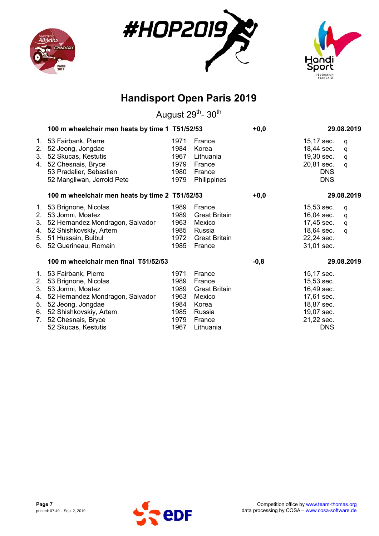





|                                  | 100 m wheelchair men heats by time 1 T51/52/53                                                                                                                                                        |                                                              |                                                                                              | $+0,0$ |                                                                                                              | 29.08.2019                  |
|----------------------------------|-------------------------------------------------------------------------------------------------------------------------------------------------------------------------------------------------------|--------------------------------------------------------------|----------------------------------------------------------------------------------------------|--------|--------------------------------------------------------------------------------------------------------------|-----------------------------|
| $1_{\cdot}$<br>2.<br>3.          | 53 Fairbank, Pierre<br>52 Jeong, Jongdae<br>52 Skucas, Kestutis<br>4. 52 Chesnais, Bryce<br>53 Pradalier, Sebastien<br>52 Mangliwan, Jerrold Pete                                                     | 1971<br>1984<br>1967<br>1979<br>1980<br>1979                 | France<br>Korea<br>Lithuania<br>France<br>France<br>Philippines                              |        | 15,17 sec.<br>18,44 sec.<br>19,30 sec.<br>20,81 sec.<br><b>DNS</b><br><b>DNS</b>                             | q<br>q<br>q<br>q            |
|                                  | 100 m wheelchair men heats by time 2 T51/52/53                                                                                                                                                        |                                                              |                                                                                              | $+0,0$ |                                                                                                              | 29.08.2019                  |
| 1.<br>2.<br>3.<br>4.<br>5.<br>6. | 53 Brignone, Nicolas<br>53 Jomni, Moatez<br>52 Hernandez Mondragon, Salvador<br>52 Shishkovskiy, Artem<br>51 Hussain, Bulbul<br>52 Guerineau, Romain                                                  | 1989<br>1989<br>1963<br>1985<br>1972<br>1985                 | France<br><b>Great Britain</b><br>Mexico<br>Russia<br>Great Britain<br>France                |        | 15,53 sec.<br>16,04 sec.<br>17,45 sec.<br>18,64 sec.<br>22,24 sec.<br>31,01 sec.                             | q<br>q<br>$\mathsf{q}$<br>q |
|                                  | 100 m wheelchair men final T51/52/53                                                                                                                                                                  |                                                              |                                                                                              | $-0,8$ |                                                                                                              | 29.08.2019                  |
| 2.<br>3.<br>4.<br>5.<br>7.       | 1. 53 Fairbank, Pierre<br>53 Brignone, Nicolas<br>53 Jomni, Moatez<br>52 Hernandez Mondragon, Salvador<br>52 Jeong, Jongdae<br>6. 52 Shishkovskiy, Artem<br>52 Chesnais, Bryce<br>52 Skucas, Kestutis | 1971<br>1989<br>1989<br>1963<br>1984<br>1985<br>1979<br>1967 | France<br>France<br><b>Great Britain</b><br>Mexico<br>Korea<br>Russia<br>France<br>Lithuania |        | 15,17 sec.<br>15,53 sec.<br>16,49 sec.<br>17,61 sec.<br>18,87 sec.<br>19,07 sec.<br>21,22 sec.<br><b>DNS</b> |                             |

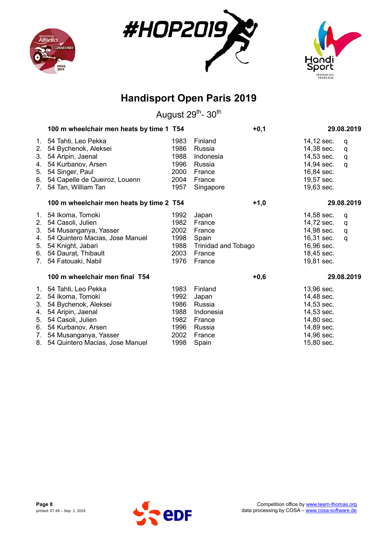





|    | 100 m wheelchair men heats by time 1 T54 |      |                            | $+0,1$ |            | 29.08.2019 |
|----|------------------------------------------|------|----------------------------|--------|------------|------------|
| 1. | 54 Tahti, Leo Pekka                      | 1983 | Finland                    |        | 14,12 sec. | q          |
| 2. | 54 Bychenok, Aleksei                     | 1986 | Russia                     |        | 14,38 sec. | q          |
| 3. | 54 Aripin, Jaenal                        | 1988 | Indonesia                  |        | 14,53 sec. | q          |
| 4. | 54 Kurbanov, Arsen                       | 1996 | Russia                     |        | 14,94 sec. | q          |
| 5. | 54 Singer, Paul                          | 2000 | France                     |        | 16,84 sec. |            |
| 6. | 54 Capelle de Queiroz, Louenn            | 2004 | France                     |        | 19,57 sec. |            |
| 7. | 54 Tan, William Tan                      | 1957 | Singapore                  |        | 19,63 sec. |            |
|    | 100 m wheelchair men heats by time 2 T54 |      |                            | $+1,0$ |            | 29.08.2019 |
| 1. | 54 Ikoma, Tomoki                         | 1992 | Japan                      |        | 14,58 sec. | q          |
| 2. | 54 Casoli, Julien                        | 1982 | France                     |        | 14,72 sec. | q          |
| 3. | 54 Musanganya, Yasser                    | 2002 | France                     |        | 14,98 sec. | q          |
| 4. | 54 Quintero Macias, Jose Manuel          | 1998 | Spain                      |        | 16,31 sec. | q          |
| 5. | 54 Knight, Jabari                        | 1988 | <b>Trinidad and Tobago</b> |        | 16,96 sec. |            |
| 6. | 54 Daurat, Thibault                      | 2003 | France                     |        | 18,45 sec. |            |
| 7. | 54 Fatouaki, Nabil                       | 1976 | France                     |        | 19,81 sec. |            |
|    | 100 m wheelchair men final T54           |      |                            | $+0,6$ |            | 29.08.2019 |
| 1. | 54 Tahti, Leo Pekka                      | 1983 | Finland                    |        | 13,96 sec. |            |
| 2. | 54 Ikoma, Tomoki                         | 1992 | Japan                      |        | 14,48 sec. |            |
| 3. | 54 Bychenok, Aleksei                     | 1986 | Russia                     |        | 14,53 sec. |            |
| 4. | 54 Aripin, Jaenal                        | 1988 | Indonesia                  |        | 14,53 sec. |            |
| 5. | 54 Casoli, Julien                        | 1982 | France                     |        | 14,80 sec. |            |
| 6. | 54 Kurbanov, Arsen                       | 1996 | Russia                     |        | 14,89 sec. |            |
| 7. | 54 Musanganya, Yasser                    | 2002 | France                     |        | 14,96 sec. |            |
|    | 8. 54 Quintero Macias, Jose Manuel       | 1998 | Spain                      |        | 15,80 sec. |            |

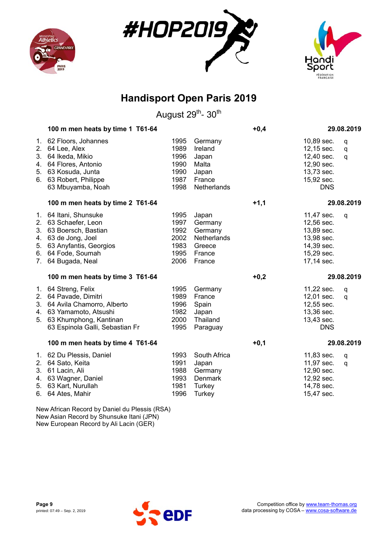





August 29<sup>th</sup>- 30<sup>th</sup>

|                            | 100 m men heats by time 1 T61-64                                                                                                                                  |                                                      |                                                                          | $+0,4$ |                                                                                                | 29.08.2019  |
|----------------------------|-------------------------------------------------------------------------------------------------------------------------------------------------------------------|------------------------------------------------------|--------------------------------------------------------------------------|--------|------------------------------------------------------------------------------------------------|-------------|
| 2.<br>3.<br>4.<br>5.<br>6. | 1. 62 Floors, Johannes<br>64 Lee, Alex<br>64 Ikeda, Mikio<br>64 Flores, Antonio<br>63 Kosuda, Junta<br>63 Robert, Philippe<br>63 Mbuyamba, Noah                   | 1995<br>1989<br>1996<br>1990<br>1990<br>1987<br>1998 | Germany<br>Ireland<br>Japan<br>Malta<br>Japan<br>France<br>Netherlands   |        | 10,89 sec.<br>12,15 sec.<br>12,40 sec.<br>12,90 sec.<br>13,73 sec.<br>15,92 sec.<br><b>DNS</b> | q<br>q<br>q |
|                            | 100 m men heats by time 2 T61-64                                                                                                                                  |                                                      |                                                                          | $+1,1$ |                                                                                                | 29.08.2019  |
| 5.<br>7.                   | 1. 64 Itani, Shunsuke<br>2. 63 Schaefer, Leon<br>3. 63 Boersch, Bastian<br>4. 63 de Jong, Joel<br>63 Anyfantis, Georgios<br>6. 64 Fode, Soumah<br>64 Bugada, Neal | 1995<br>1997<br>1992<br>2002<br>1983<br>1995<br>2006 | Japan<br>Germany<br>Germany<br>Netherlands<br>Greece<br>France<br>France |        | 11,47 sec.<br>12,56 sec.<br>13,89 sec.<br>13,98 sec.<br>14,39 sec.<br>15,29 sec.<br>17,14 sec. | q           |
|                            | 100 m men heats by time 3 T61-64                                                                                                                                  |                                                      |                                                                          | $+0,2$ |                                                                                                | 29.08.2019  |
| 1.<br>2.<br>4.<br>5.       | 64 Streng, Felix<br>64 Pavade, Dimitri<br>3. 64 Avila Chamorro, Alberto<br>63 Yamamoto, Atsushi<br>63 Khumphong, Kantinan<br>63 Espinola Galli, Sebastian Fr      | 1995<br>1989<br>1996<br>1982<br>2000<br>1995         | Germany<br>France<br>Spain<br>Japan<br>Thailand<br>Paraguay              |        | 11,22 sec.<br>12,01 sec.<br>12,55 sec.<br>13,36 sec.<br>13,43 sec.<br><b>DNS</b>               | q<br>q      |
|                            | 100 m men heats by time 4 T61-64                                                                                                                                  |                                                      |                                                                          | $+0,1$ |                                                                                                | 29.08.2019  |
|                            | 1. 62 Du Plessis, Daniel<br>2. 64 Sato, Keita<br>3. 61 Lacin, Ali<br>4. 63 Wagner, Daniel<br>5. 63 Kart, Nurullah<br>6. 64 Ates, Mahir                            | 1993<br>1991<br>1988<br>1993<br>1981<br>1996         | South Africa<br>Japan<br>Germany<br>Denmark<br>Turkey<br>Turkey          |        | 11,83 sec.<br>11,97 sec.<br>12,90 sec.<br>12,92 sec.<br>14,78 sec.<br>15,47 sec.               | q<br>q      |
|                            | Now African Booord by Daniel du Ploegie (DCA)                                                                                                                     |                                                      |                                                                          |        |                                                                                                |             |

New African Record by Daniel du Plessis (RSA) New Asian Record by Shunsuke Itani (JPN) New European Record by Ali Lacin (GER)

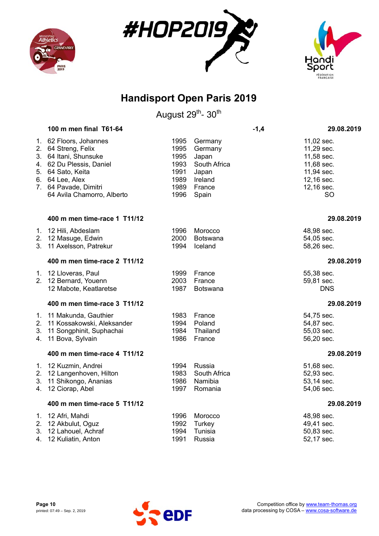





|                | 100 m men final T61-64                                                                                                  |                                      |                                                      | $-1,4$ | 29.08.2019                                                         |
|----------------|-------------------------------------------------------------------------------------------------------------------------|--------------------------------------|------------------------------------------------------|--------|--------------------------------------------------------------------|
|                | 1. 62 Floors, Johannes<br>2. 64 Streng, Felix<br>3. 64 Itani, Shunsuke<br>4. 62 Du Plessis, Daniel<br>5. 64 Sato, Keita | 1995<br>1995<br>1995<br>1993<br>1991 | Germany<br>Germany<br>Japan<br>South Africa<br>Japan |        | 11,02 sec.<br>11,29 sec.<br>11,58 sec.<br>11,68 sec.<br>11,94 sec. |
|                | 6. 64 Lee, Alex<br>7. 64 Pavade, Dimitri<br>64 Avila Chamorro, Alberto                                                  | 1989<br>1989<br>1996                 | Ireland<br>France<br>Spain                           |        | 12,16 sec.<br>12,16 sec.<br><b>SO</b>                              |
|                | 400 m men time-race 1 T11/12                                                                                            |                                      |                                                      |        | 29.08.2019                                                         |
|                | 1. 12 Hili, Abdeslam<br>2. 12 Masuge, Edwin<br>3. 11 Axelsson, Patrekur                                                 | 1996<br>2000<br>1994                 | Morocco<br>Botswana<br>Iceland                       |        | 48,98 sec.<br>54,05 sec.<br>58,26 sec.                             |
|                | 400 m men time-race 2 T11/12                                                                                            |                                      |                                                      |        | 29.08.2019                                                         |
|                | 1. 12 Lloveras, Paul<br>2. 12 Bernard, Youenn<br>12 Mabote, Keatlaretse                                                 | 1999<br>2003<br>1987                 | France<br>France<br><b>Botswana</b>                  |        | 55,38 sec.<br>59,81 sec.<br><b>DNS</b>                             |
|                | 400 m men time-race 3 T11/12                                                                                            |                                      |                                                      |        | 29.08.2019                                                         |
| 2.<br>3.<br>4. | 1. 11 Makunda, Gauthier<br>11 Kossakowski, Aleksander<br>11 Songphinit, Suphachai<br>11 Bova, Sylvain                   | 1983<br>1994<br>1984<br>1986         | France<br>Poland<br>Thailand<br>France               |        | 54,75 sec.<br>54,87 sec.<br>55,03 sec.<br>56,20 sec.               |
|                | 400 m men time-race 4 T11/12                                                                                            |                                      |                                                      |        | 29.08.2019                                                         |
|                | 1. 12 Kuzmin, Andrei<br>2. 12 Langenhoven, Hilton<br>3. 11 Shikongo, Ananias<br>4. 12 Ciorap, Abel                      | 1994<br>1983<br>1986<br>1997         | Russia<br>South Africa<br>Namibia<br>Romania         |        | 51,68 sec.<br>52,93 sec.<br>53,14 sec.<br>54,06 sec.               |
|                | 400 m men time-race 5 T11/12                                                                                            |                                      |                                                      |        | 29.08.2019                                                         |
|                | 1. 12 Afri, Mahdi<br>2. 12 Akbulut, Oguz<br>3. 12 Lahouel, Achraf<br>4. 12 Kuliatin, Anton                              | 1996<br>1992<br>1994<br>1991         | Morocco<br>Turkey<br>Tunisia<br>Russia               |        | 48,98 sec.<br>49,41 sec.<br>50,83 sec.<br>52,17 sec.               |

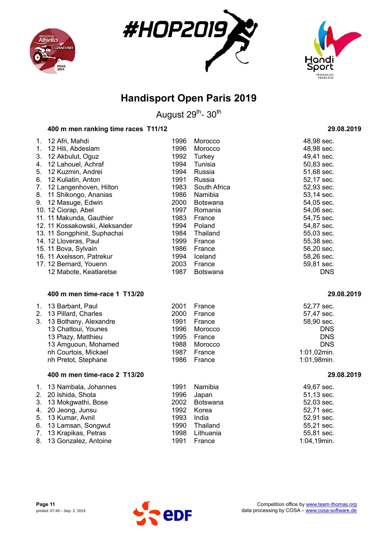





August 29<sup>th</sup>- 30<sup>th</sup>

### **400 m men ranking time races T11/12 29.08.2019**

| 12 Afri, Mahdi<br>1.           | 1996 | Morocco         | 48,98 sec. |
|--------------------------------|------|-----------------|------------|
| 12 Hili, Abdeslam<br>1.        | 1996 | Morocco         | 48,98 sec. |
| 12 Akbulut, Oguz<br>3.         | 1992 | Turkey          | 49,41 sec. |
| 12 Lahouel, Achraf<br>4.       | 1994 | Tunisia         | 50,83 sec. |
| 12 Kuzmin, Andrei<br>5.        | 1994 | Russia          | 51,68 sec. |
| 6.<br>12 Kuliatin, Anton       | 1991 | Russia          | 52,17 sec. |
| 12 Langenhoven, Hilton<br>7.   | 1983 | South Africa    | 52,93 sec. |
| 11 Shikongo, Ananias<br>8.     | 1986 | Namibia         | 53,14 sec. |
| 12 Masuge, Edwin<br>9.         | 2000 | <b>Botswana</b> | 54,05 sec. |
| 10. 12 Ciorap, Abel            | 1997 | Romania         | 54,06 sec. |
| 11. 11 Makunda, Gauthier       | 1983 | France          | 54,75 sec. |
| 12. 11 Kossakowski, Aleksander | 1994 | Poland          | 54,87 sec. |
| 13. 11 Songphinit, Suphachai   | 1984 | Thailand        | 55,03 sec. |
| 14. 12 Lloveras, Paul          | 1999 | France          | 55,38 sec. |
| 15. 11 Bova, Sylvain           | 1986 | France          | 56,20 sec. |
| 16. 11 Axelsson, Patrekur      | 1994 | Iceland         | 58,26 sec. |
| 17. 12 Bernard, Youenn         | 2003 | France          | 59,81 sec. |
| 12 Mabote, Keatlaretse         | 1987 | <b>Botswana</b> | <b>DNS</b> |
| 400 m men time-race 1 T13/20   |      |                 | 29.08.2019 |

# 1. 13 Barbant, Paul 2001 France 52,77 sec.

| 2. 13 Pillard, Charles   | 2000 France  | 57,47 sec.  |
|--------------------------|--------------|-------------|
| 3. 13 Bothany, Alexandre | 1991 France  | 58,90 sec.  |
| 13 Chattoui, Younes      | 1996 Morocco | <b>DNS</b>  |
| 13 Plazy, Matthieu       | 1995 France  | <b>DNS</b>  |
| 13 Amguoun, Mohamed      | 1988 Morocco | <b>DNS</b>  |
| nh Courtois, Mickael     | 1987 France  | 1:01,02min. |
| nh Pretot, Stephane      | 1986 France  | 1:01,98min. |
|                          |              |             |

### **400 m men time-race 2 T13/20 29.08.2019**

| 1. 13 Nambala, Johannes<br>2. 20 Ishida, Shota<br>3. 13 Mokgwathi, Bose<br>4. 20 Jeong, Junsu<br>5. 13 Kumar, Avnil<br>6. 13 Lamsan, Songwut<br>7. 13 Krapikas, Petras | 1991<br>1993 | Namibia<br>1996 Japan<br>2002 Botswana<br>1992 Korea<br>India<br>1990 Thailand<br>1998 Lithuania | 49,67 sec.<br>51,13 sec.<br>52,03 sec.<br>52,71 sec.<br>52,91 sec.<br>55,21 sec.<br>55,81 sec. |
|------------------------------------------------------------------------------------------------------------------------------------------------------------------------|--------------|--------------------------------------------------------------------------------------------------|------------------------------------------------------------------------------------------------|
| 8. 13 Gonzalez, Antoine                                                                                                                                                | 1991         | France                                                                                           | 1:04,19min.                                                                                    |



| 52.77 sec. |
|------------|
| 57,47 sec. |
| 58,90 sec. |
| DNS        |
| DNS        |
| DNS        |
| :01,02min. |
| :01.98min. |

| 1:04,19min. |  |
|-------------|--|
|             |  |
|             |  |
|             |  |

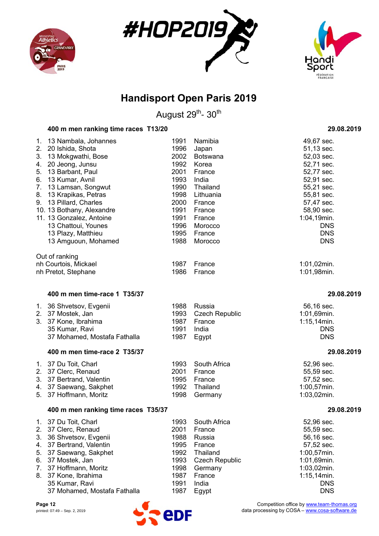





August 29<sup>th</sup>- 30<sup>th</sup>

### **400 m men ranking time races T13/20 29.08.2019**

| $1_{\cdot}$ | 13 Nambala, Johannes         | 1991 | Namibia               | 49,67 sec.     |
|-------------|------------------------------|------|-----------------------|----------------|
| 2.          | 20 Ishida, Shota             | 1996 | Japan                 | 51,13 sec.     |
| 3.          | 13 Mokgwathi, Bose           | 2002 | <b>Botswana</b>       | 52,03 sec.     |
| 4.          | 20 Jeong, Junsu              | 1992 | Korea                 | 52,71 sec.     |
| 5.          | 13 Barbant, Paul             | 2001 | France                | 52,77 sec.     |
| 6.          | 13 Kumar, Avnil              | 1993 | India                 | 52,91 sec.     |
| 7.          | 13 Lamsan, Songwut           | 1990 | Thailand              | 55,21 sec.     |
| 8.          | 13 Krapikas, Petras          | 1998 | Lithuania             | 55,81 sec.     |
| 9.          | 13 Pillard, Charles          | 2000 | France                | 57,47 sec.     |
|             | 10. 13 Bothany, Alexandre    | 1991 | France                | 58,90 sec.     |
|             | 11. 13 Gonzalez, Antoine     | 1991 | France                | 1:04,19min.    |
|             | 13 Chattoui, Younes          | 1996 | Morocco               | <b>DNS</b>     |
|             | 13 Plazy, Matthieu           | 1995 | France                | <b>DNS</b>     |
|             | 13 Amguoun, Mohamed          | 1988 | Morocco               | <b>DNS</b>     |
|             | Out of ranking               |      |                       |                |
|             | nh Courtois, Mickael         | 1987 | France                | $1:01,02$ min. |
|             | nh Pretot, Stephane          | 1986 | France                | 1:01,98min.    |
|             | 400 m men time-race 1 T35/37 |      |                       | 29.08.2019     |
|             |                              | 1988 | Russia                | 56,16 sec.     |
| 1.<br>2.    | 36 Shvetsov, Evgenii         | 1993 |                       |                |
|             | 37 Mostek, Jan               |      | <b>Czech Republic</b> | 1:01,69min.    |

| 2. 37 Mostek, Jan            |      | 1993 Czech Republic | 1:01.69min.    |
|------------------------------|------|---------------------|----------------|
| 3. 37 Kone, Ibrahima         |      | 1987 France         | $1:15,14$ min. |
| 35 Kumar, Ravi               | 1991 | India               | <b>DNS</b>     |
| 37 Mohamed, Mostafa Fathalla |      | 1987 Egypt          | <b>DNS</b>     |

### **400 m men time-race 2 T35/37 29.08.2019**

| 1. 37 Du Toit, Charl     | 1993 South Africa | 52.96 sec.     |
|--------------------------|-------------------|----------------|
| 2. 37 Clerc, Renaud      | 2001 France       | 55,59 sec.     |
| 3. 37 Bertrand, Valentin | 1995 France       | 57,52 sec.     |
| 4. 37 Saewang, Sakphet   | 1992 Thailand     | $1:00,57$ min. |
| 5. 37 Hoffmann, Moritz   | 1998 Germany      | $1:03,02$ min. |

#### **400 m men ranking time races T35/37 29.08.2019**

| 1. 37 Du Toit, Charl         | 1993 | South Africa          | 52,96 sec.     |
|------------------------------|------|-----------------------|----------------|
|                              |      |                       |                |
| 2. 37 Clerc, Renaud          | 2001 | France                | 55,59 sec.     |
| 3. 36 Shvetsov, Evgenii      | 1988 | Russia                | 56,16 sec.     |
| 4. 37 Bertrand, Valentin     | 1995 | France                | 57,52 sec.     |
| 5. 37 Saewang, Sakphet       | 1992 | Thailand              | 1:00,57min.    |
| 6. 37 Mostek, Jan            | 1993 | <b>Czech Republic</b> | 1:01,69min.    |
| 7. 37 Hoffmann, Moritz       | 1998 | Germany               | 1:03,02min.    |
| 8. 37 Kone, Ibrahima         | 1987 | France                | $1:15,14$ min. |
| 35 Kumar, Ravi               | 1991 | India                 | <b>DNS</b>     |
| 37 Mohamed, Mostafa Fathalla | 1987 | Egypt                 | <b>DNS</b>     |

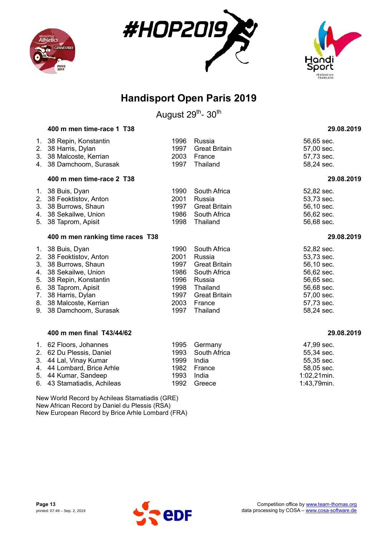





August 29<sup>th</sup>- 30<sup>th</sup>

|                                        | 400 m men time-race 1 T38                                                                                                                                                                               |                                                                      |                                                                                                                                    | 29.08.2019                                                                                                                 |
|----------------------------------------|---------------------------------------------------------------------------------------------------------------------------------------------------------------------------------------------------------|----------------------------------------------------------------------|------------------------------------------------------------------------------------------------------------------------------------|----------------------------------------------------------------------------------------------------------------------------|
| 1.<br>2.                               | 38 Repin, Konstantin<br>38 Harris, Dylan<br>3. 38 Malcoste, Kerrian                                                                                                                                     | 1996<br>1997<br>2003                                                 | Russia<br><b>Great Britain</b><br>France                                                                                           | 56,65 sec.<br>57,00 sec.<br>57,73 sec.                                                                                     |
|                                        | 4. 38 Damchoom, Surasak                                                                                                                                                                                 | 1997                                                                 | Thailand                                                                                                                           | 58,24 sec.                                                                                                                 |
|                                        | 400 m men time-race 2 T38                                                                                                                                                                               |                                                                      |                                                                                                                                    | 29.08.2019                                                                                                                 |
| 2.<br>5.                               | 1. 38 Buis, Dyan<br>38 Feoktistov, Anton<br>3. 38 Burrows, Shaun<br>4. 38 Sekailwe, Union<br>38 Taprom, Apisit                                                                                          | 1990<br>2001<br>1997<br>1986<br>1998                                 | South Africa<br>Russia<br><b>Great Britain</b><br>South Africa<br>Thailand                                                         | 52,82 sec.<br>53,73 sec.<br>56,10 sec.<br>56,62 sec.<br>56,68 sec.                                                         |
|                                        | 400 m men ranking time races T38                                                                                                                                                                        |                                                                      |                                                                                                                                    | 29.08.2019                                                                                                                 |
| 2.<br>3.<br>4.<br>5.<br>6.<br>7.<br>9. | 1. 38 Buis, Dyan<br>38 Feoktistov, Anton<br>38 Burrows, Shaun<br>38 Sekailwe, Union<br>38 Repin, Konstantin<br>38 Taprom, Apisit<br>38 Harris, Dylan<br>8. 38 Malcoste, Kerrian<br>38 Damchoom, Surasak | 1990<br>2001<br>1997<br>1986<br>1996<br>1998<br>1997<br>2003<br>1997 | South Africa<br>Russia<br><b>Great Britain</b><br>South Africa<br>Russia<br>Thailand<br><b>Great Britain</b><br>France<br>Thailand | 52,82 sec.<br>53,73 sec.<br>56,10 sec.<br>56,62 sec.<br>56,65 sec.<br>56,68 sec.<br>57,00 sec.<br>57,73 sec.<br>58,24 sec. |
|                                        | 400 m men final T43/44/62                                                                                                                                                                               |                                                                      |                                                                                                                                    | 29.08.2019                                                                                                                 |
|                                        | 1. 62 Floors, Johannes<br>2. 62 Du Plessis, Daniel<br>3. 44 Lal, Vinay Kumar<br>4. 44 Lombard, Brice Arhle                                                                                              | 1995<br>1993<br>1999<br>1982                                         | Germany<br>South Africa<br>India<br>France                                                                                         | 47,99 sec.<br>55,34 sec.<br>55,35 sec.<br>58,05 sec.                                                                       |

5. 44 Kumar, Sandeep 1993 India 1:02,21min. 6. 43 Stamatiadis, Achileas 1992 Greece 1:43,79min. New World Record by Achileas Stamatiadis (GRE)

New African Record by Daniel du Plessis (RSA) New European Record by Brice Arhle Lombard (FRA)

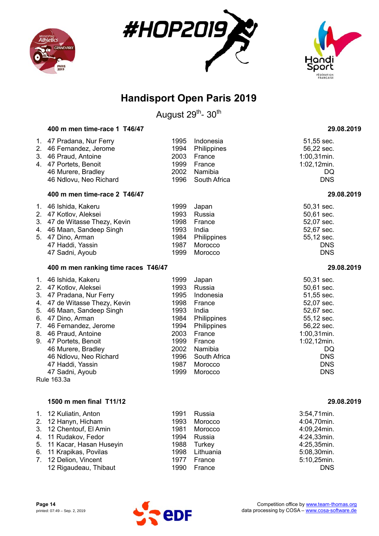





August 29<sup>th</sup>- 30<sup>th</sup>

|                                        | 400 m men time-race 1 T46/47                                                                                                                                                                                                                                                                                                                   |                                                                                                      |                                                                                                                                                    | 29.08.2019                                                                                                                                                                   |
|----------------------------------------|------------------------------------------------------------------------------------------------------------------------------------------------------------------------------------------------------------------------------------------------------------------------------------------------------------------------------------------------|------------------------------------------------------------------------------------------------------|----------------------------------------------------------------------------------------------------------------------------------------------------|------------------------------------------------------------------------------------------------------------------------------------------------------------------------------|
| 1.<br>2.<br>3.                         | 47 Pradana, Nur Ferry<br>46 Fernandez, Jerome<br>46 Praud, Antoine<br>4. 47 Portets, Benoit<br>46 Murere, Bradley<br>46 Ndlovu, Neo Richard                                                                                                                                                                                                    | 1995<br>1994<br>2003<br>1999<br>2002<br>1996                                                         | Indonesia<br>Philippines<br>France<br>France<br>Namibia<br>South Africa                                                                            | 51,55 sec.<br>56,22 sec.<br>$1:00,31$ min.<br>$1:02,12$ min.<br>DQ<br><b>DNS</b>                                                                                             |
|                                        | 400 m men time-race 2 T46/47                                                                                                                                                                                                                                                                                                                   |                                                                                                      |                                                                                                                                                    | 29.08.2019                                                                                                                                                                   |
| 4.                                     | 1. 46 Ishida, Kakeru<br>2. 47 Kotlov, Aleksei<br>3. 47 de Witasse Thezy, Kevin<br>46 Maan, Sandeep Singh<br>5. 47 Dino, Arman<br>47 Haddi, Yassin<br>47 Sadni, Ayoub                                                                                                                                                                           | 1999<br>1993<br>1998<br>1993<br>1984<br>1987<br>1999                                                 | Japan<br>Russia<br>France<br>India<br>Philippines<br>Morocco<br>Morocco                                                                            | 50,31 sec.<br>50,61 sec.<br>52,07 sec.<br>52,67 sec.<br>55,12 sec.<br><b>DNS</b><br><b>DNS</b>                                                                               |
|                                        | 400 m men ranking time races T46/47                                                                                                                                                                                                                                                                                                            |                                                                                                      |                                                                                                                                                    | 29.08.2019                                                                                                                                                                   |
|                                        | 1. 46 Ishida, Kakeru<br>2. 47 Kotlov, Aleksei<br>3. 47 Pradana, Nur Ferry<br>4. 47 de Witasse Thezy, Kevin<br>5. 46 Maan, Sandeep Singh<br>6. 47 Dino, Arman<br>7. 46 Fernandez, Jerome<br>8. 46 Praud, Antoine<br>9. 47 Portets, Benoit<br>46 Murere, Bradley<br>46 Ndlovu, Neo Richard<br>47 Haddi, Yassin<br>47 Sadni, Ayoub<br>Rule 163.3a | 1999<br>1993<br>1995<br>1998<br>1993<br>1984<br>1994<br>2003<br>1999<br>2002<br>1996<br>1987<br>1999 | Japan<br>Russia<br>Indonesia<br>France<br>India<br>Philippines<br>Philippines<br>France<br>France<br>Namibia<br>South Africa<br>Morocco<br>Morocco | 50,31 sec.<br>50,61 sec.<br>51,55 sec.<br>52,07 sec.<br>52,67 sec.<br>55,12 sec.<br>56,22 sec.<br>1:00,31min.<br>1:02,12min.<br>DQ<br><b>DNS</b><br><b>DNS</b><br><b>DNS</b> |
|                                        | 1500 m men final T11/12                                                                                                                                                                                                                                                                                                                        |                                                                                                      |                                                                                                                                                    | 29.08.2019                                                                                                                                                                   |
| 1.<br>2.<br>3.<br>4.<br>5.<br>6.<br>7. | 12 Kuliatin, Anton<br>12 Hanyn, Hicham<br>12 Chentouf, El Amin<br>11 Rudakov, Fedor<br>11 Kacar, Hasan Huseyin<br>11 Krapikas, Povilas<br>12 Delion, Vincent                                                                                                                                                                                   | 1991<br>1993<br>1981<br>1994<br>1988<br>1998<br>1977                                                 | Russia<br>Morocco<br>Morocco<br>Russia<br><b>Turkey</b><br>Lithuania<br>France                                                                     | 3:54,71min.<br>4:04,70min.<br>4:09,24min.<br>4:24,33min.<br>4:25,35min.<br>5:08,30min.<br>5:10,25min.                                                                        |

7. 12 Delion, Vincent



12 Rigaudeau, Thibaut 1990 France **Constructs** DNS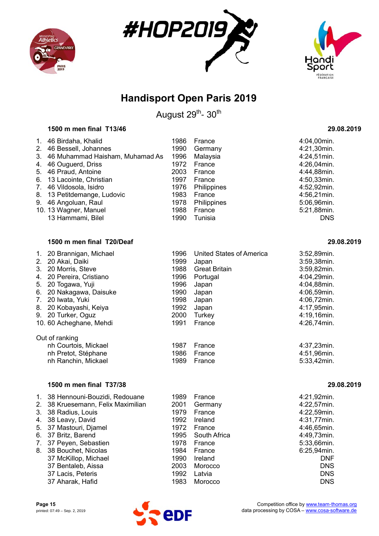





August 29<sup>th</sup>- 30<sup>th</sup>

#### **1500 m men final T13/46 29.08.2019**

| $\mathbf{1}$ . | 46 Birdaha, Khalid              | 1986 | France      | 4:04,00min. |
|----------------|---------------------------------|------|-------------|-------------|
|                | 2. 46 Bessell, Johannes         | 1990 | Germany     | 4:21,30min. |
| 3.             | 46 Muhammad Haisham, Muhamad As | 1996 | Malaysia    | 4:24,51min. |
|                | 4. 46 Ouguerd, Driss            | 1972 | France      | 4:26,04min. |
|                | 5. 46 Praud, Antoine            | 2003 | France      | 4:44,88min. |
|                | 6. 13 Lacointe, Christian       | 1997 | France      | 4:50,33min. |
|                | 7. 46 Vildosola, Isidro         | 1976 | Philippines | 4:52,92min. |
|                | 8. 13 Petitdemange, Ludovic     | 1983 | France      | 4:56,21min. |
|                | 9. 46 Angoluan, Raul            | 1978 | Philippines | 5:06,96min. |
|                | 10. 13 Wagner, Manuel           | 1988 | France      | 5:21,88min. |
|                | 13 Hammami, Bilel               | 1990 | Tunisia     | <b>DNS</b>  |

#### **1500 m men final T20/Deaf 29.08.2019**

| $1_{\cdot}$<br>3.<br>4.<br>5.<br>6.<br>$7_{\scriptscriptstyle{\ddots}}$ | 20 Brannigan, Michael<br>2. 20 Akai, Daiki<br>20 Morris, Steve<br>20 Pereira, Cristiano<br>20 Togawa, Yuji<br>20 Nakagawa, Daisuke<br>20 Iwata, Yuki<br>8. 20 Kobayashi, Keiya<br>9. 20 Turker, Oguz | 1996<br>1999<br>1988<br>1996<br>1996<br>1990<br>1998<br>1992<br>2000 | <b>United States of America</b><br>Japan<br><b>Great Britain</b><br>Portugal<br>Japan<br>Japan<br>Japan<br>Japan<br>Turkey | 3:52,89min.<br>3:59,38min.<br>3:59,82min.<br>4:04,29min.<br>4:04,88min.<br>4:06,59min.<br>4:06,72min.<br>4:17,95min.<br>4:19,16min. |
|-------------------------------------------------------------------------|------------------------------------------------------------------------------------------------------------------------------------------------------------------------------------------------------|----------------------------------------------------------------------|----------------------------------------------------------------------------------------------------------------------------|-------------------------------------------------------------------------------------------------------------------------------------|
|                                                                         | 10. 60 Acheghane, Mehdi                                                                                                                                                                              | 1991                                                                 | France                                                                                                                     | 4:26,74min.                                                                                                                         |
|                                                                         | Out of ranking                                                                                                                                                                                       |                                                                      |                                                                                                                            |                                                                                                                                     |
|                                                                         | nh Courtois, Mickael                                                                                                                                                                                 | 1987                                                                 | France                                                                                                                     | 4:37,23min.                                                                                                                         |
|                                                                         | nh Pretot, Stéphane                                                                                                                                                                                  | 1986                                                                 | France                                                                                                                     | 4:51,96min.                                                                                                                         |
|                                                                         | nh Ranchin, Mickael                                                                                                                                                                                  | 1989                                                                 | France                                                                                                                     | 5:33,42min.                                                                                                                         |

#### **1500 m men final T37/38 29.08.2019**

|    | 1. 38 Hennouni-Bouzidi, Redouane   | 1989 | France       | 4:21,92min. |
|----|------------------------------------|------|--------------|-------------|
|    | 2. 38 Kruesemann, Felix Maximilian | 2001 | Germany      | 4:22,57min. |
| 3. | 38 Radius, Louis                   | 1979 | France       | 4:22,59min. |
|    | 4. 38 Leavy, David                 | 1992 | Ireland      | 4:31,77min. |
|    | 5. 37 Mastouri, Djamel             | 1972 | France       | 4:46,65min. |
| 6. | 37 Britz, Barend                   | 1995 | South Africa | 4:49,73min. |
| 7. | 37 Peyen, Sebastien                | 1978 | France       | 5:33,66min. |
| 8. | 38 Bouchet, Nicolas                | 1984 | France       | 6:25,94min. |
|    | 37 McKillop, Michael               | 1990 | Ireland      | <b>DNF</b>  |
|    | 37 Bentaleb, Aissa                 | 2003 | Morocco      | <b>DNS</b>  |
|    | 37 Lacis, Peteris                  | 1992 | Latvia       | <b>DNS</b>  |
|    | 37 Aharak, Hafid                   | 1983 | Morocco      | <b>DNS</b>  |

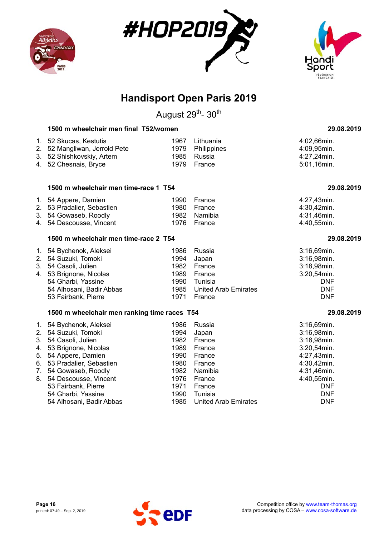





August 29<sup>th</sup>- 30<sup>th</sup>

### **1500 m wheelchair men final T52/women 29.08.2019**

| 1. 52 Skucas, Kestutis        | 1967 Lithuania   | 4:02,66min. |
|-------------------------------|------------------|-------------|
| 2. 52 Mangliwan, Jerrold Pete | 1979 Philippines | 4:09,95min. |
| 3. 52 Shishkovskiy, Artem     | 1985 Russia      | 4:27.24min. |
| 4. 52 Chesnais, Bryce         | 1979 France      | 5:01.16min. |

#### **1500 m wheelchair men time-race 1 T54 29.08.2019**

| 1. 54 Appere, Damien       | 1990 France  | 4:27.43min. |
|----------------------------|--------------|-------------|
| 2. 53 Pradalier, Sebastien | 1980 France  | 4:30.42min. |
| 3. 54 Gowaseb, Roodly      | 1982 Namibia | 4:31.46min. |
| 4. 54 Descousse, Vincent   | 1976 France  | 4:40.55min. |

#### **1500 m wheelchair men time-race 2 T54 29.08.2019**

| 1. 54 Bychenok, Aleksei  |      | 1986 Russia               | 3:16,69min. |
|--------------------------|------|---------------------------|-------------|
| 2. 54 Suzuki, Tomoki     |      | 1994 Japan                | 3:16,98min. |
| 3. 54 Casoli, Julien     |      | 1982 France               | 3:18,98min. |
| 4. 53 Brignone, Nicolas  |      | 1989 France               | 3:20,54min. |
| 54 Gharbi, Yassine       | 1990 | Tunisia                   | <b>DNF</b>  |
| 54 Alhosani, Badir Abbas |      | 1985 United Arab Emirates | <b>DNF</b>  |
| 53 Fairbank, Pierre      |      | 1971 France               | <b>DNF</b>  |

#### **1500 m wheelchair men ranking time races T54 29.08.2019**

|    | 1. 54 Bychenok, Aleksei    | 1986 | Russia                      | $3:16,69$ min. |
|----|----------------------------|------|-----------------------------|----------------|
|    | 2. 54 Suzuki, Tomoki       | 1994 | Japan                       | 3:16,98min.    |
| 3. | 54 Casoli, Julien          | 1982 | France                      | 3:18,98min.    |
|    | 4. 53 Brignone, Nicolas    | 1989 | France                      | $3:20,54$ min. |
| 5. | 54 Appere, Damien          | 1990 | France                      | 4:27,43min.    |
|    | 6. 53 Pradalier, Sebastien | 1980 | France                      | 4:30,42min.    |
| 7. | 54 Gowaseb, Roodly         | 1982 | Namibia                     | 4:31,46min.    |
| 8. | 54 Descousse, Vincent      | 1976 | France                      | 4:40,55min.    |
|    | 53 Fairbank, Pierre        | 1971 | France                      | <b>DNF</b>     |
|    | 54 Gharbi, Yassine         | 1990 | Tunisia                     | <b>DNF</b>     |
|    | 54 Alhosani, Badir Abbas   | 1985 | <b>United Arab Emirates</b> | <b>DNF</b>     |

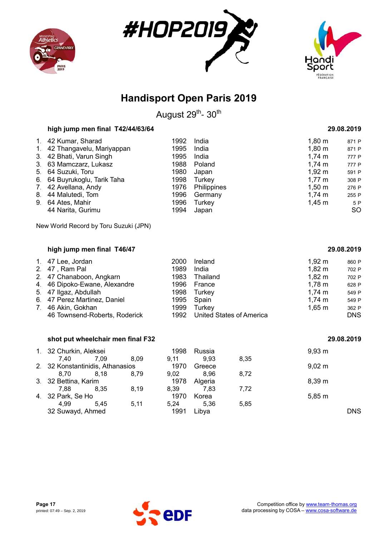





August 29<sup>th</sup>- 30<sup>th</sup>

|             | high jump men final T42/44/63/64      |      |             |                    | 29.08.2019 |
|-------------|---------------------------------------|------|-------------|--------------------|------------|
|             | 1. 42 Kumar, Sharad                   | 1992 | India       | $1,80 \; m$        | 871 P      |
| $1_{\cdot}$ | 42 Thangavelu, Mariyappan             | 1995 | India       | $1,80 \; \text{m}$ | 871 P      |
| 3.          | 42 Bhati, Varun Singh                 | 1995 | India       | $1,74 \; m$        | 777 P      |
| 3.          | 63 Mamczarz, Lukasz                   | 1988 | Poland      | $1,74 \; \text{m}$ | 777 P      |
| 5.          | 64 Suzuki, Toru                       | 1980 | Japan       | $1,92 \; \text{m}$ | 591 P      |
|             | 6. 64 Buyrukoglu, Tarik Taha          | 1998 | Turkey      | $1,77 \; m$        | 308 P      |
| 7.          | 42 Avellana, Andy                     | 1976 | Philippines | $1,50 \; \text{m}$ | 276 P      |
| 8.          | 44 Malutedi, Tom                      | 1996 | Germany     | $1,74 \; m$        | 255 P      |
| 9.          | 64 Ates, Mahir                        | 1996 | Turkey      | $1,45 \; m$        | 5 P        |
|             | 44 Narita, Gurimu                     | 1994 | Japan       |                    | <b>SO</b>  |
|             | New World Record by Toru Suzuki (JPN) |      |             |                    |            |
|             | high jump men final T46/47            |      |             |                    | 29.08.2019 |

| 1. 47 Lee, Jordan             | 2000 | Ireland                         | $1,92 \; m$        | 860 P      |
|-------------------------------|------|---------------------------------|--------------------|------------|
| 2. 47, Ram Pal                | 1989 | India                           | $1,82 \; m$        | 702 P      |
| 2. 47 Chanaboon, Angkarn      | 1983 | Thailand                        | $1,82 \; \text{m}$ | 702 P      |
| 4. 46 Dipoko-Ewane, Alexandre | 1996 | France                          | $1,78 \text{ m}$   | 628 P      |
| 5. 47 Ilgaz, Abdullah         | 1998 | Turkey                          | 1,74 $m$           | 549 P      |
| 6. 47 Perez Martinez, Daniel  | 1995 | Spain                           | $1,74 \; m$        | 549 P      |
| 7. 46 Akin, Gokhan            | 1999 | Turkev                          | $1,65 \; m$        | 362 P      |
| 46 Townsend-Roberts, Roderick | 1992 | <b>United States of America</b> |                    | <b>DNS</b> |

### **shot put wheelchair men final F32 29.08.2019**

| 1. 32 Churkin, Aleksei           |      |      | 1998 | Russia  |      | 9.93 m      |
|----------------------------------|------|------|------|---------|------|-------------|
| 7.40                             | 7.09 | 8.09 | 9.11 | 9.93    | 8,35 |             |
| 2. 32 Konstantinidis, Athanasios |      |      | 1970 | Greece  |      | $9,02 \, m$ |
| 8.70                             | 8.18 | 8,79 | 9,02 | 8.96    | 8.72 |             |
| 3. 32 Bettina, Karim             |      |      | 1978 | Algeria |      | 8.39 m      |
| 7.88                             | 8.35 | 8.19 | 8,39 | 7.83    | 7.72 |             |
| 4. 32 Park, Se Ho                |      |      | 1970 | Korea   |      | 5,85 m      |
| 4.99                             | 5.45 | 5,11 | 5.24 | 5.36    | 5,85 |             |
| 32 Suwayd, Ahmed                 |      |      | 1991 | Libya   |      | <b>DNS</b>  |

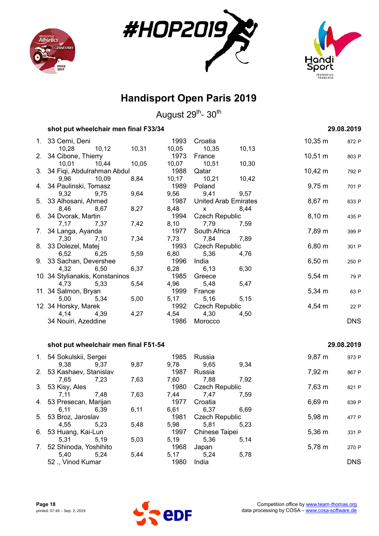





August 29<sup>th</sup>- 30<sup>th</sup>

### **shot put wheelchair men final F33/34 29.08.2019**

| 1. 33 Cerni, Deni               |             |       |      | 1993 Croatia              |        | $10,35 \; \text{m}$ | 872 P      |
|---------------------------------|-------------|-------|------|---------------------------|--------|---------------------|------------|
|                                 | 10,28 10,12 | 10,31 |      | 10,05 10,35               | 10, 13 |                     |            |
| 2. 34 Cibone, Thierry           |             |       | 1973 | France                    |        | $10,51 \text{ m}$   | 803 P      |
| 10,01 10,44                     |             | 10,05 |      | 10,07 10,51               | 10,30  |                     |            |
| 3. 34 Fiqi, Abdulrahman Abdul   |             |       | 1988 | Qatar                     |        | $10,42 \; m$        | 792 P      |
| 9,96 10,09                      |             | 8,84  |      | 10,17 10,21               | 10,42  |                     |            |
| 4. 34 Paulinski, Tomasz         |             |       | 1989 | Poland                    |        | $9,75 \; m$         | 701 P      |
| 9,32 9,75                       |             | 9,64  |      | 9,56 9,41 9,57            |        |                     |            |
| 5. 33 Alhosani, Ahmed           |             |       |      | 1987 United Arab Emirates |        | $8,67 \; m$         | 633 P      |
| 8,46 8,67                       |             | 8,27  |      | 8,48 x                    | 8,44   |                     |            |
| 6. 34 Dvorak, Martin            |             |       | 1994 | Czech Republic            |        | $8,10 \; \text{m}$  | 435 P      |
| 7,17                            | 7,37        | 7,42  |      | 8,10 7,79                 | 7,59   |                     |            |
| 7. 34 Langa, Ayanda             |             |       |      | 1977 South Africa         |        | 7,89 m              | 399 P      |
| 7,30 7,10                       |             | 7,34  |      | 7,73 7,84                 | 7,89   |                     |            |
| 8. 33 Dolezel, Matej            |             |       | 1993 | Czech Republic            |        | $6,80 \; m$         | 301 P      |
| 6,52 6,25                       |             | 5,59  | 6,80 | 5,36                      | 4,76   |                     |            |
| 9. 33 Sachan, Devershee         |             |       | 1996 | India                     |        | $6,50 \; m$         | 250 P      |
| 4,32 6,50                       |             | 6,37  |      | 6,28 6,13                 | 6,30   |                     |            |
| 10. 34 Stylianakis, Konstaninos |             |       | 1985 | Greece                    |        | $5,54 \; m$         | 79 P       |
| 4,73 5,33                       |             | 5,54  |      | 4,96 5,48                 | 5,47   |                     |            |
| 11. 34 Salmon, Bryan            |             |       | 1999 | France                    |        | $5,34 \; m$         | 63 P       |
| 5,00 5,34                       |             | 5,00  |      | 5,17 5,16                 | 5,15   |                     |            |
| 12. 34 Horsky, Marek            |             |       |      | 1992 Czech Republic       |        | $4,54 \, m$         | 22 P       |
| 4,14                            | 4,39        | 4,27  | 4,54 | 4,30                      | 4,50   |                     |            |
| 34 Nouiri, Azeddine             |             |       |      | 1986 Morocco              |        |                     | <b>DNS</b> |

#### **shot put wheelchair men final F51-54 29.08.2019**

#### 1. 54 Sokulskii, Sergei 1985 Russia 1985 Russia 9,87 m 973 P 9,38 9,37 9,87 9,78 9,65 9,34 2. 53 Kashaev, Stanislav 1987 Russia 7,92 m 867 P 7,65 7,23 7,63 7,60 7,88 7,92 3. 53 Kisy, Ales **1980** Czech Republic 7,63 m 821 P 7,11 7,48 7,63 7,44 7,47 7,59 4. 53 Presecan, Marijan 1977 Croatia 6,69 m 639 P 6,11 6,39 6,11 6,61 6,37 6,69 5. 53 Broz, Jaroslav 1981 Czech Republic 5,98 m 477 P 4,55 5,23 5,48 5,98 5,81 5,23 6. 53 Huang, Kai-Lun 1997 Chinese Taipei 5,36 m 331 P 5,31 5,19 5,03 5,19 5,36 5,14 7. 52 Shinoda, Yoshihito 1968 Japan 5,78 m 270 P 5,40 5,24 5,44 5,17 5,24 5,78 52 ., Vinod Kumar 1980 India DNS

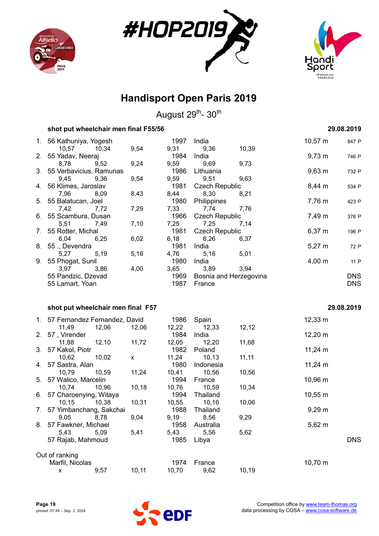





|    | shot put wheelchair men final F55/56 |       |       |                       |                        |                     | 29.08.2019 |
|----|--------------------------------------|-------|-------|-----------------------|------------------------|---------------------|------------|
| 1. | 56 Kathuniya, Yogesh                 |       | 1997  | India                 |                        | $10,57 \; m$        | 847 P      |
|    | 10,57<br>10,34                       | 9,54  | 9,31  | 9,36                  | 10,39                  |                     |            |
| 2. | 55 Yadav, Neeraj                     |       | 1984  | India                 |                        | $9,73 \; m$         | 746 P      |
|    | 8,78<br>9,52                         | 9,24  | 9,59  | 9,69                  | 9,73                   |                     |            |
| 3. | 55 Verbavicius, Ramunas              |       | 1986  | Lithuania             |                        | $9,63 \, m$         | 732 P      |
|    | 9,45<br>9,36                         | 9,54  | 9,59  | 9,51                  | 9,63                   |                     |            |
| 4. | 56 Klimes, Jaroslav                  |       | 1981  | <b>Czech Republic</b> |                        | 8,44 m              | 534 P      |
|    | 7,96<br>8,09                         | 8,43  | 8,44  | 8,30                  | 8,21                   |                     |            |
| 5. | 55 Balatucan, Joel                   |       | 1980  | Philippines           |                        | 7,76 m              | 423 P      |
|    | 7,42<br>7,72                         | 7,29  | 7,33  | 7,74                  | 7,76                   |                     |            |
| 6. | 55 Scambura, Dusan                   |       | 1966  | <b>Czech Republic</b> |                        | 7,49 m              | 376 P      |
|    | 5,51<br>7,49                         | 7,10  | 7,25  | 7,25                  | 7,14                   |                     |            |
| 7. | 55 Rotter, Michal                    |       | 1981  | <b>Czech Republic</b> |                        | $6,37 \; m$         | 196 P      |
|    | 6,04<br>6,25                         | 6,02  | 6,18  | 6,26                  | 6,37                   |                     |            |
| 8. | 55., Devendra                        |       | 1981  | India                 |                        | $5,27 \; m$         | 72 P       |
|    | 5,19<br>5,27                         | 5,16  | 4,76  | 5,16                  | 5,01                   |                     |            |
| 9. | 55 Phogat, Sunil                     |       | 1980  | India                 |                        | $4,00 \; m$         | 11 P       |
|    | 3,97<br>3,86                         | 4,00  | 3,65  | 3,89                  | 3,94                   |                     |            |
|    | 55 Pandzic, Dzevad                   |       | 1969  |                       | Bosnia and Herzegovina |                     | <b>DNS</b> |
|    | 55 Lamart, Yoan                      |       | 1987  | France                |                        |                     | <b>DNS</b> |
|    | shot put wheelchair men final F57    |       |       |                       |                        |                     | 29.08.2019 |
|    |                                      |       |       |                       |                        |                     |            |
|    | 1. 57 Fernandez Fernandez, David     |       | 1986  | Spain                 |                        | $12,33 \; m$        |            |
|    | 11,49<br>12,06                       | 12,06 | 12,22 | 12,33                 | 12,12                  |                     |            |
| 2. | 57, Virender                         |       | 1984  | India                 |                        | $12,20 \; m$        |            |
|    | 11,88<br>12,10                       | 11,72 | 12,05 | 12,20                 | 11,68                  |                     |            |
| 3. | 57 Kakol, Piotr                      |       | 1982  | Poland                |                        | $11,24 \text{ m}$   |            |
|    | 10,62<br>10,02                       | X     | 11,24 | 10, 13                | 11,11                  |                     |            |
| 4. | 57 Sastra, Alan                      |       | 1980  | Indonesia             |                        | $11,24 \; m$        |            |
|    | 10,79<br>10,59                       | 11,24 | 10,41 | 10,56                 | 10,56                  |                     |            |
| 5. | 57 Walico, Marcelin                  |       | 1994  | France                |                        | 10,96 m             |            |
|    | 10,74<br>10,96                       | 10,18 | 10,76 | 10,59                 | 10,34                  |                     |            |
| 6. | 57 Charoenying, Witaya               |       | 1994  | Thailand              |                        | $10,55 \, \text{m}$ |            |
|    | 10,15<br>10,38                       | 10,31 | 10,55 | 10, 16                | 10,06                  |                     |            |
| 7. | 57 Yimbanchang, Sakchai              |       | 1988  | Thailand              |                        | $9,29 \, m$         |            |
|    | 9,05<br>8,78                         | 9,04  | 9,19  | 8,56                  | 9,29                   |                     |            |
| 8. | 57 Fawkner, Michael                  |       | 1958  | Australia             |                        | $5,62 \; m$         |            |
|    | 5,43<br>5,09                         | 5,41  | 5,43  | 5,56                  | 5,62                   |                     |            |
|    | 57 Rajab, Mahmoud                    |       | 1985  | Libya                 |                        |                     | <b>DNS</b> |
|    | Out of ranking                       |       |       |                       |                        |                     |            |
|    | Marfil, Nicolas                      |       | 1974  | France                |                        | 10,70 m             |            |
|    | 9,57<br>x                            | 10,11 | 10,70 | 9,62                  | 10,19                  |                     |            |

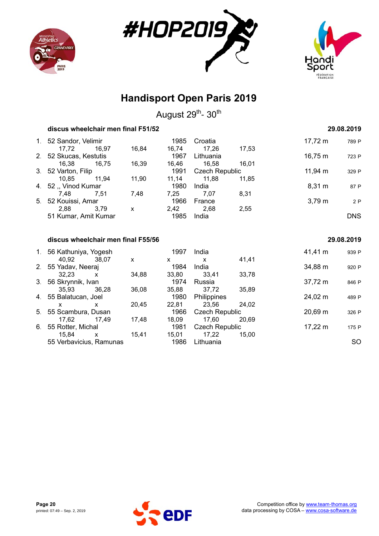





|    | discus wheelchair men final F51/52 |              |              |                |       |                   | 29.08.2019 |
|----|------------------------------------|--------------|--------------|----------------|-------|-------------------|------------|
|    | 1. 52 Sandor, Velimir              |              | 1985         | Croatia        |       | $17,72 \; m$      | 789 P      |
|    | 16,97<br>17,72                     | 16,84        | 16,74        | 17,26          | 17,53 |                   |            |
|    | 2. 52 Skucas, Kestutis             |              | 1967         | Lithuania      |       | $16,75 \; m$      | 723 P      |
|    | 16,38<br>16,75                     | 16,39        | 16,46        | 16,58          | 16,01 |                   |            |
|    | 3. 52 Varton, Filip                |              | 1991         | Czech Republic |       | $11,94 \; m$      | 329 P      |
|    | 11,94<br>10,85                     | 11,90        | 11,14        | 11,88          | 11,85 |                   |            |
|    | 4. 52, Vinod Kumar                 |              | 1980         | India          |       | $8,31 \; m$       | 87 P       |
|    | 7,48<br>7,51                       | 7,48         | 7,25         | 7,07           | 8,31  |                   |            |
| 5. | 52 Kouissi, Amar                   |              | 1966         | France         |       | $3,79 \; m$       | 2P         |
|    | 2,88<br>3,79                       | $\mathsf{x}$ | 2,42         | 2,68           | 2,55  |                   |            |
|    | 51 Kumar, Amit Kumar               |              | 1985         | India          |       |                   | <b>DNS</b> |
|    |                                    |              |              |                |       |                   |            |
|    | discus wheelchair men final F55/56 |              |              |                |       |                   | 29.08.2019 |
|    | 1. 56 Kathuniya, Yogesh            |              | 1997         | India          |       | 41,41 m           | 939 P      |
|    | 40,92<br>38,07                     | X            | $\mathsf{x}$ | $\mathsf{x}$   | 41,41 |                   |            |
|    | 2. 55 Yadav, Neeraj                |              | 1984         | India          |       | 34,88 m           | 920 P      |
|    | 32,23<br>$\mathsf{x}$              | 34,88        | 33,80        | 33,41          | 33,78 |                   |            |
| 3. | 56 Skrynnik, Ivan                  |              | 1974         | Russia         |       | 37,72 m           | 846 P      |
|    | 35,93<br>36.28                     | 36,08        | 35,88        | 37,72          | 35,89 |                   |            |
|    | 4. 55 Balatucan, Joel              |              | 1980         | Philippines    |       | 24,02 m           | 489 P      |
|    | X<br>x                             | 20,45        | 22,81        | 23,56          | 24,02 |                   |            |
| 5. | 55 Scambura, Dusan                 |              | 1966         | Czech Republic |       | $20,69 \text{ m}$ | 326 P      |
|    | 17,62<br>17,49                     | 17,48        | 18,09        | 17,60          | 20,69 |                   |            |
| 6. | 55 Rotter, Michal                  |              | 1981         | Czech Republic |       | $17,22 \; m$      | 175 P      |
|    | 15,84<br>X                         | 15,41        | 15,01        | 17,22          | 15,00 |                   |            |
|    |                                    |              |              |                |       |                   |            |

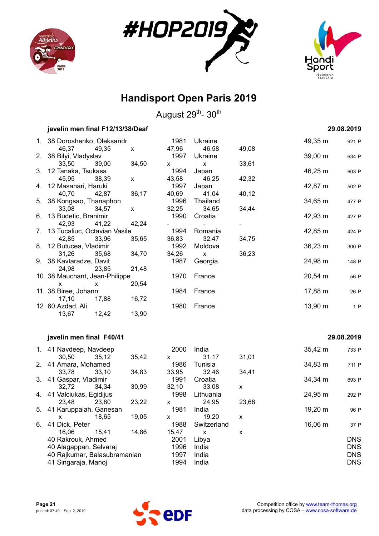





August 29<sup>th</sup>- 30<sup>th</sup>

|                | javelin men final F12/13/38/Deaf |                |       |             |       |                     | 29.08.2019 |
|----------------|----------------------------------|----------------|-------|-------------|-------|---------------------|------------|
|                | 1. 38 Doroshenko, Oleksandr      |                | 1981  | Ukraine     |       | 49,35 m             | 921 P      |
|                | 46,37<br>49,35                   | $\pmb{\times}$ | 47,96 | 46,58       | 49,08 |                     |            |
| 2.             | 38 Bilyi, Vladyslav              |                | 1997  | Ukraine     |       | $39,00 \, \text{m}$ | 634 P      |
|                | 33,50<br>39,00                   | 34,50          | X     | X           | 33,61 |                     |            |
| 3.             | 12 Tanaka, Tsukasa               |                | 1994  | Japan       |       | 46,25 m             | 603 P      |
|                | 45,95<br>38,39                   | X              | 43,58 | 46,25       | 42,32 |                     |            |
| 4.             | 12 Masanari, Haruki              |                | 1997  | Japan       |       | 42,87 m             | 502 P      |
|                | 42,87<br>40,70                   | 36,17          | 40,69 | 41,04       | 40,12 |                     |            |
|                | 5. 38 Kongsao, Thanaphon         |                | 1996  | Thailand    |       | 34,65 m             | 477 P      |
|                | 33,08<br>34,57                   | X              | 32,25 | 34,65       | 34,44 |                     |            |
| 6.             | 13 Budetic, Branimir             |                | 1990  | Croatia     |       | 42,93 m             | 427 P      |
|                | 42,93<br>41,22                   | 42,24          |       |             |       |                     |            |
| 7.             | 13 Tucaliuc, Octavian Vasile     |                | 1994  | Romania     |       | 42,85 m             | 424 P      |
|                | 42,85<br>33,96                   | 35,65          | 36,83 | 32,47       | 34,75 |                     |            |
| 8.             | 12 Butucea, Vladimir             |                | 1992  | Moldova     |       | 36,23 m             | 300 P      |
|                | 31,26<br>35,68                   | 34,70          | 34,26 | X           | 36,23 |                     |            |
|                | 9. 38 Kavtaradze, Davit          |                | 1987  | Georgia     |       | 24,98 m             | 148 P      |
|                | 24,98<br>23,85                   | 21,48          |       |             |       |                     |            |
|                | 10. 38 Mauchant, Jean-Philippe   |                | 1970  | France      |       | 20,54 m             | 56 P       |
|                | x<br>x                           | 20,54          |       |             |       |                     |            |
|                | 11. 38 Biree, Johann             |                | 1984  | France      |       | 17,88 m             | 26 P       |
|                | 17,10<br>17,88                   | 16,72          |       |             |       |                     |            |
|                | 12. 60 Azdad, Ali                |                | 1980  | France      |       | 13,90 m             | 1P         |
|                | 13,67<br>12,42                   | 13,90          |       |             |       |                     |            |
|                | javelin men final F40/41         |                |       |             |       |                     | 29.08.2019 |
|                |                                  |                |       |             |       |                     |            |
|                | 1. 41 Navdeep, Navdeep           |                | 2000  | India       |       | $35,42 \; m$        | 733 P      |
|                | 30,50<br>35,12                   | 35,42          | X     | 31,17       | 31,01 |                     |            |
| 2 <sub>1</sub> | 41 Amara, Mohamed                |                | 1986  | Tunisia     |       | 34,83 m             | 711 P      |
|                | 33,78<br>33,10                   | 34,83          | 33,95 | 32,46       | 34,41 |                     |            |
| 3.             | 41 Gaspar, Vladimir              |                | 1991  | Croatia     |       | 34,34 m             | 693 P      |
|                | 32,72<br>34,34                   | 30,99          | 32,10 | 33,08       | X     |                     |            |
| 4.             | 41 Valciukas, Egidijus           |                | 1998  | Lithuania   |       | 24,95 m             | 292 P      |
|                | 23,80<br>23,48                   | 23,22          | X     | 24,95       | 23,68 |                     |            |
| 5.             | 41 Karuppaiah, Ganesan           |                | 1981  | India       |       | 19,20 m             | 96 P       |
|                | 18,65<br>x                       | 19,05          | X     | 19,20       | X     |                     |            |
| 6.             | 41 Dick, Peter                   |                | 1988  | Switzerland |       | 16,06 m             | 37 P       |

40 Rakrouk, Ahmed 2001 Libya DNS 40 Alagappan, Selvaraj 1996 India DNS

41 Singaraja, Manoj 1994 India DNS



16,06 15,41 14,86 15,47 x x

40 Rajkumar, Balasubramanian 1997 India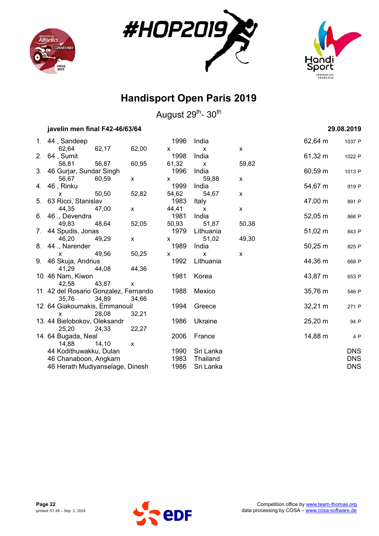





|                | javelin men final F42-46/63/64         |        |       |                      |                       |       |                   | 29.08.2019 |
|----------------|----------------------------------------|--------|-------|----------------------|-----------------------|-------|-------------------|------------|
|                | 1. 44, Sandeep<br>62,64                | 62,17  |       | 1996                 | India                 |       | 62,64 m           | 1037 P     |
| 2 <sub>1</sub> | 64, Sumit                              |        | 62,00 | $\mathsf{x}$<br>1998 | $\mathsf{x}$<br>India | X     | 61,32 m           | 1022 P     |
|                | 56,81                                  | 56,87  | 60,95 | 61,32                | $\mathsf{x}$          | 59,82 |                   |            |
|                | 3. 46 Gurjar, Sundar Singh             |        |       | 1996                 | India                 |       | 60,59 m           | 1013 P     |
|                | 56,67                                  | 60,59  | X     | X                    | 59,88                 | X     |                   |            |
| 4.             | 46, Rinku                              |        |       | 1999                 | India                 |       | 54,67 m           | 919 P      |
|                | X                                      | 50,50  | 52,82 | 54,62                | 54,67                 | X     |                   |            |
| 5.             | 63 Ricci, Stanislav                    |        |       | 1983                 | Italy                 |       | 47,00 m           | 891 P      |
|                | 44,35                                  | 47,00  | X     | 44,41                | X                     | X     |                   |            |
| 6.             | 46., Devendra                          |        |       | 1981                 | India                 |       | $52,05 \; m$      | 866 P      |
|                | 49,83                                  | 48,64  | 52,05 | 50,93                | 51,87                 | 50,38 |                   |            |
| 7.             | 44 Spudis, Jonas                       |        |       | 1979                 | Lithuania             |       | $51,02 \; m$      | 843 P      |
|                | 46,20                                  | 49,29  | X     | X                    | 51,02                 | 49,30 |                   |            |
|                | 8. 44 ., Narender                      |        |       | 1989                 | India                 |       | $50,25 \; m$      | 825 P      |
|                | x                                      | 49,56  | 50,25 | X                    | $\mathsf{x}$          | X     |                   |            |
| 9.             | 46 Skuja, Andrius                      |        |       | 1992                 | Lithuania             |       | 44,36 m           | 668 P      |
|                | 41,29                                  | 44,08  | 44,36 |                      |                       |       |                   |            |
|                | 10. 46 Nam, Kiwon                      |        |       | 1981                 | Korea                 |       | 43,87 m           | 653 P      |
|                | 42,58                                  | 43,87  | X     |                      |                       |       |                   |            |
|                | 11. 42 del Rosario Gonzalez, Fernando  |        |       | 1988                 | Mexico                |       | 35,76 m           | 546 P      |
|                | 35,76<br>12. 64 Giakoumakis, Emmanouil | 34,89  | 34,66 | 1994                 | Greece                |       | $32,21 \text{ m}$ |            |
|                | X                                      | 28,08  | 32,21 |                      |                       |       |                   | 271 P      |
|                | 13. 44 Bielobokov, Oleksandr           |        |       | 1986                 | Ukraine               |       | 25,20 m           | 94 P       |
|                | 25,20                                  | 24,33  | 22,27 |                      |                       |       |                   |            |
|                | 14. 64 Bugada, Neal                    |        |       | 2006                 | France                |       | 14,88 m           | 4 P        |
|                | 14,88                                  | 14, 10 | X     |                      |                       |       |                   |            |
|                | 44 Kodithuwakku, Dulan                 |        |       | 1990                 | Sri Lanka             |       |                   | <b>DNS</b> |
|                | 46 Chanaboon, Angkarn                  |        |       | 1983                 | Thailand              |       |                   | <b>DNS</b> |
|                | 46 Herath Mudiyanselage, Dinesh        |        |       | 1986                 | Sri Lanka             |       |                   | <b>DNS</b> |
|                |                                        |        |       |                      |                       |       |                   |            |

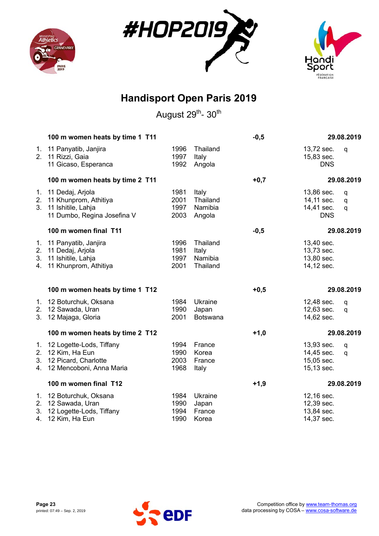





|                | 100 m women heats by time 1 T11                                                                         |                              |                                          | $-0,5$ |                                                      | 29.08.2019  |
|----------------|---------------------------------------------------------------------------------------------------------|------------------------------|------------------------------------------|--------|------------------------------------------------------|-------------|
| 2 <sub>1</sub> | 1. 11 Panyatib, Janjira<br>11 Rizzi, Gaia<br>11 Gicaso, Esperanca                                       | 1996<br>1997<br>1992         | Thailand<br>Italy<br>Angola              |        | 13,72 sec.<br>15,83 sec.<br><b>DNS</b>               | q           |
|                | 100 m women heats by time 2 T11                                                                         |                              |                                          | $+0,7$ |                                                      | 29.08.2019  |
| 1.<br>2.<br>3. | 11 Dedaj, Arjola<br>11 Khunprom, Athitiya<br>11 Ishitile, Lahja<br>11 Dumbo, Regina Josefina V          | 1981<br>2001<br>1997<br>2003 | Italy<br>Thailand<br>Namibia<br>Angola   |        | 13,86 sec.<br>14,11 sec.<br>14,41 sec.<br><b>DNS</b> | q<br>q<br>q |
|                | 100 m women final T11                                                                                   |                              |                                          | $-0,5$ |                                                      | 29.08.2019  |
| 2.<br>3.<br>4. | 1. 11 Panyatib, Janjira<br>11 Dedaj, Arjola<br>11 Ishitile, Lahja<br>11 Khunprom, Athitiya              | 1996<br>1981<br>1997<br>2001 | Thailand<br>Italy<br>Namibia<br>Thailand |        | 13,40 sec.<br>13,73 sec.<br>13,80 sec.<br>14,12 sec. |             |
|                | 100 m women heats by time 1 T12                                                                         |                              |                                          | $+0,5$ |                                                      | 29.08.2019  |
| 3.             | 1. 12 Boturchuk, Oksana<br>2. 12 Sawada, Uran<br>12 Majaga, Gloria                                      | 1984<br>1990<br>2001         | Ukraine<br>Japan<br>Botswana             |        | 12,48 sec.<br>12,63 sec.<br>14,62 sec.               | q<br>q      |
|                | 100 m women heats by time 2 T12                                                                         |                              |                                          | $+1,0$ |                                                      | 29.08.2019  |
| 4.             | 1. 12 Logette-Lods, Tiffany<br>2. 12 Kim, Ha Eun<br>3. 12 Picard, Charlotte<br>12 Mencoboni, Anna Maria | 1994<br>1990<br>2003<br>1968 | France<br>Korea<br>France<br>Italy       |        | 13,93 sec.<br>14,45 sec.<br>15,05 sec.<br>15,13 sec. | q<br>q      |
|                | 100 m women final T12                                                                                   |                              |                                          | $+1,9$ |                                                      | 29.08.2019  |
| 4.             | 1. 12 Boturchuk, Oksana<br>2. 12 Sawada, Uran<br>3. 12 Logette-Lods, Tiffany<br>12 Kim, Ha Eun          | 1984<br>1990<br>1994<br>1990 | Ukraine<br>Japan<br>France<br>Korea      |        | 12,16 sec.<br>12,39 sec.<br>13,84 sec.<br>14,37 sec. |             |

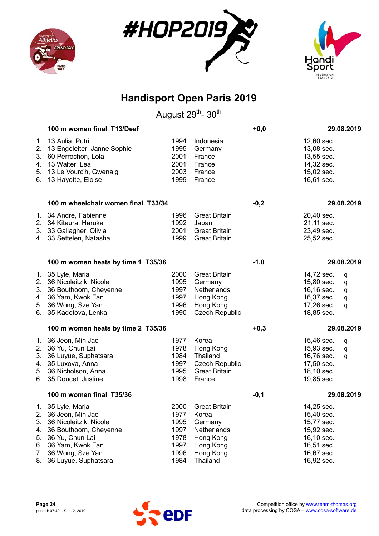





|                                        | 100 m women final T13/Deaf                                                                                                                                                   |                                                              |                                                                                                            | $+0,0$ |                                                                                                              | 29.08.2019            |
|----------------------------------------|------------------------------------------------------------------------------------------------------------------------------------------------------------------------------|--------------------------------------------------------------|------------------------------------------------------------------------------------------------------------|--------|--------------------------------------------------------------------------------------------------------------|-----------------------|
| 2.<br>3.<br>4.<br>5.<br>6.             | 1. 13 Aulia, Putri<br>13 Engeleiter, Janne Sophie<br>60 Perrochon, Lola<br>13 Walter, Lea<br>13 Le Vourc'h, Gwenaig<br>13 Hayotte, Eloise                                    | 1994<br>1995<br>2001<br>2001<br>2003<br>1999                 | Indonesia<br>Germany<br>France<br>France<br>France<br>France                                               |        | 12,60 sec.<br>13,08 sec.<br>13,55 sec.<br>14,32 sec.<br>15,02 sec.<br>16,61 sec.                             |                       |
|                                        | 100 m wheelchair women final T33/34                                                                                                                                          |                                                              |                                                                                                            | $-0,2$ |                                                                                                              | 29.08.2019            |
|                                        | 1. 34 Andre, Fabienne<br>2. 34 Kitaura, Haruka<br>3. 33 Gallagher, Olivia<br>4. 33 Settelen, Natasha                                                                         | 1996<br>1992<br>2001<br>1999                                 | <b>Great Britain</b><br>Japan<br><b>Great Britain</b><br><b>Great Britain</b>                              |        | 20,40 sec.<br>21,11 sec.<br>23,49 sec.<br>25,52 sec.                                                         |                       |
|                                        | 100 m women heats by time 1 T35/36                                                                                                                                           |                                                              |                                                                                                            | $-1,0$ |                                                                                                              | 29.08.2019            |
| 2.<br>3.                               | 1. 35 Lyle, Maria<br>36 Nicoleitzik, Nicole<br>36 Bouthoorn, Cheyenne<br>4. 36 Yam, Kwok Fan<br>5. 36 Wong, Sze Yan<br>6. 35 Kadetova, Lenka                                 | 2000<br>1995<br>1997<br>1997<br>1996<br>1990                 | <b>Great Britain</b><br>Germany<br><b>Netherlands</b><br>Hong Kong<br>Hong Kong<br><b>Czech Republic</b>   |        | 14,72 sec.<br>15,80 sec.<br>16,16 sec.<br>16,37 sec.<br>17,26 sec.<br>18,85 sec.                             | q<br>q<br>q<br>q<br>q |
|                                        | 100 m women heats by time 2 T35/36                                                                                                                                           |                                                              |                                                                                                            | $+0,3$ |                                                                                                              | 29.08.2019            |
|                                        | 1. 36 Jeon, Min Jae<br>2. 36 Yu, Chun Lai<br>3. 36 Luyue, Suphatsara<br>4. 35 Luxova, Anna<br>5. 36 Nicholson, Anna<br>6. 35 Doucet, Justine                                 | 1977<br>1978<br>1984<br>1997<br>1995<br>1998                 | Korea<br>Hong Kong<br>Thailand<br><b>Czech Republic</b><br><b>Great Britain</b><br>France                  |        | 15,46 sec.<br>15,93 sec.<br>16,76 sec.<br>17,50 sec.<br>18,10 sec.<br>19,85 sec.                             | q<br>q<br>q           |
|                                        | 100 m women final T35/36                                                                                                                                                     |                                                              |                                                                                                            | $-0,1$ |                                                                                                              | 29.08.2019            |
| 2.<br>3.<br>4.<br>5.<br>6.<br>7.<br>8. | 1. 35 Lyle, Maria<br>36 Jeon, Min Jae<br>36 Nicoleitzik, Nicole<br>36 Bouthoorn, Cheyenne<br>36 Yu, Chun Lai<br>36 Yam, Kwok Fan<br>36 Wong, Sze Yan<br>36 Luyue, Suphatsara | 2000<br>1977<br>1995<br>1997<br>1978<br>1997<br>1996<br>1984 | <b>Great Britain</b><br>Korea<br>Germany<br>Netherlands<br>Hong Kong<br>Hong Kong<br>Hong Kong<br>Thailand |        | 14,25 sec.<br>15,40 sec.<br>15,77 sec.<br>15,92 sec.<br>16,10 sec.<br>16,51 sec.<br>16,67 sec.<br>16,92 sec. |                       |

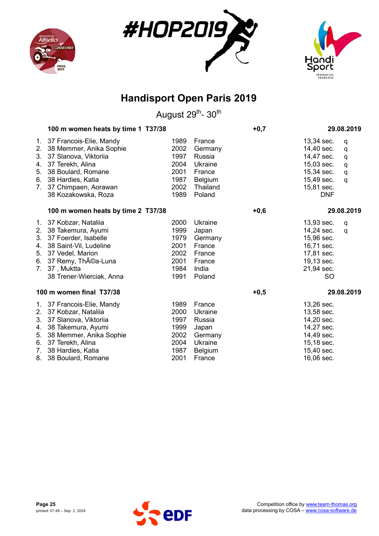





| 100 m women heats by time 1 T37/38                                                                                                                             |                                                                                                                                                                                               |                                                                                          | $+0,7$ | 29.08.2019                                                                                                                                 |
|----------------------------------------------------------------------------------------------------------------------------------------------------------------|-----------------------------------------------------------------------------------------------------------------------------------------------------------------------------------------------|------------------------------------------------------------------------------------------|--------|--------------------------------------------------------------------------------------------------------------------------------------------|
| 38 Memmer, Anika Sophie<br>37 Slanova, Viktoriia<br>37 Terekh, Alina<br>38 Boulard, Romane<br>38 Hardies, Katia<br>37 Chimpaen, Aorawan<br>38 Kozakowska, Roza | 1989<br>2002<br>1997<br>2004<br>2001<br>1987<br>2002<br>1989                                                                                                                                  | France<br>Germany<br>Russia<br>Ukraine<br>France<br><b>Belgium</b><br>Thailand<br>Poland |        | 13,34 sec.<br>q<br>14,40 sec.<br>q<br>14,47 sec.<br>q<br>15,03 sec.<br>q<br>15,34 sec.<br>q<br>15,49 sec.<br>q<br>15,81 sec.<br><b>DNF</b> |
| 100 m women heats by time 2 T37/38                                                                                                                             |                                                                                                                                                                                               |                                                                                          | $+0,6$ | 29.08.2019                                                                                                                                 |
| 38 Takemura, Ayumi<br>37 Foerder, Isabelle<br>38 Saint-Vil, Ludeline<br>37 Vedel, Marion<br>37, Muktta<br>38 Trener-Wierciak, Anna                             | 2000<br>1999<br>1979<br>2001<br>2002<br>2001<br>1984<br>1991                                                                                                                                  | Ukraine<br>Japan<br>Germany<br>France<br>France<br>France<br>India<br>Poland             |        | 13,93 sec.<br>q<br>14,24 sec.<br>q<br>15,96 sec.<br>16,71 sec.<br>17,81 sec.<br>19,13 sec.<br>21,94 sec.<br><b>SO</b>                      |
|                                                                                                                                                                |                                                                                                                                                                                               |                                                                                          | $+0,5$ | 29.08.2019                                                                                                                                 |
| 37 Kobzar, Nataliia<br>37 Slanova, Viktoriia<br>38 Takemura, Ayumi<br>38 Memmer, Anika Sophie<br>38 Hardies, Katia                                             | 1989<br>2000<br>1997<br>1999<br>2002<br>2004<br>1987                                                                                                                                          | France<br>Ukraine<br>Russia<br>Japan<br>Germany<br>Ukraine<br><b>Belgium</b>             |        | 13,26 sec.<br>13,58 sec.<br>14,20 sec.<br>14,27 sec.<br>14,49 sec.<br>15,18 sec.<br>15,40 sec.<br>16,06 sec.                               |
| 1.                                                                                                                                                             | 37 Francois-Elie, Mandy<br>7.<br>1. 37 Kobzar, Nataliia<br>6. 37 Remy, Théa-Luna<br>7.<br>100 m women final T37/38<br>1. 37 Francois-Elie, Mandy<br>6. 37 Terekh, Alina<br>38 Boulard, Romane | 2001                                                                                     | France |                                                                                                                                            |

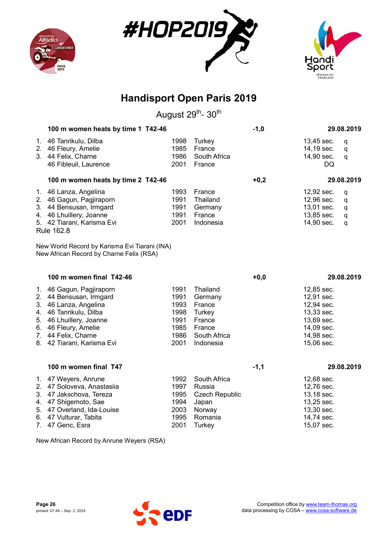





August 29<sup>th</sup>- 30<sup>th</sup>

| 100 m women heats by time 1 T42-46                                                                                                                                                                             |                                                              |                                                                                          | $-1,0$ |                                                                                                              | 29.08.2019            |
|----------------------------------------------------------------------------------------------------------------------------------------------------------------------------------------------------------------|--------------------------------------------------------------|------------------------------------------------------------------------------------------|--------|--------------------------------------------------------------------------------------------------------------|-----------------------|
| 1. 46 Tanrikulu, Dilba<br>2. 46 Fleury, Amelie<br>3. 44 Felix, Charne<br>46 Fibleuil, Laurence                                                                                                                 | 1998<br>1985<br>1986<br>2001                                 | Turkey<br>France<br>South Africa<br>France                                               |        | 13,45 sec.<br>14,19 sec.<br>14,90 sec.<br>DQ                                                                 | q<br>q<br>q           |
| 100 m women heats by time 2 T42-46                                                                                                                                                                             |                                                              |                                                                                          | $+0,2$ |                                                                                                              | 29.08.2019            |
| 1. 46 Lanza, Angelina<br>2. 46 Gagun, Pagjiraporn<br>3. 44 Bensusan, Irmgard<br>4. 46 Lhuillery, Joanne<br>5. 42 Tiarani, Karisma Evi<br>Rule 162.8                                                            | 1993<br>1991<br>1991<br>1991<br>2001                         | France<br>Thailand<br>Germany<br>France<br>Indonesia                                     |        | 12,92 sec.<br>12,96 sec.<br>13,01 sec.<br>13,85 sec.<br>14,90 sec.                                           | q<br>q<br>q<br>q<br>q |
| New World Record by Karisma Evi Tiarani (INA)<br>New African Record by Charne Felix (RSA)                                                                                                                      |                                                              |                                                                                          |        |                                                                                                              |                       |
| 100 m women final T42-46                                                                                                                                                                                       |                                                              |                                                                                          | $+0,0$ |                                                                                                              | 29.08.2019            |
| 1. 46 Gagun, Pagjiraporn<br>2. 44 Bensusan, Irmgard<br>3. 46 Lanza, Angelina<br>4. 46 Tanrikulu, Dilba<br>5. 46 Lhuillery, Joanne<br>6. 46 Fleury, Amelie<br>7. 44 Felix, Charne<br>8. 42 Tiarani, Karisma Evi | 1991<br>1991<br>1993<br>1998<br>1991<br>1985<br>1986<br>2001 | Thailand<br>Germany<br>France<br>Turkey<br>France<br>France<br>South Africa<br>Indonesia |        | 12,85 sec.<br>12,91 sec.<br>12,94 sec.<br>13,33 sec.<br>13,69 sec.<br>14,09 sec.<br>14,98 sec.<br>15,06 sec. |                       |
| 100 m women final T47                                                                                                                                                                                          |                                                              |                                                                                          | $-1,1$ |                                                                                                              | 29.08.2019            |
| 1. 47 Weyers, Anrune<br>2. 47 Soloveva, Anastasiia<br>3. 47 Jakschova, Tereza<br>4. 47 Shigemoto, Sae<br>5. 47 Overland, Ida-Louise<br>6. 47 Vulturar, Tabita                                                  | 1992<br>1997<br>1995<br>1994<br>2003<br>1995                 | South Africa<br>Russia<br><b>Czech Republic</b><br>Japan<br>Norway<br>Romania            |        | 12,68 sec.<br>12,76 sec.<br>13,18 sec.<br>13,25 sec.<br>13,30 sec.<br>14,74 sec.                             |                       |

7. 47 Genc, Esra **2001** Turkey **15,07 sec.** 

New African Record by Anrune Weyers (RSA)

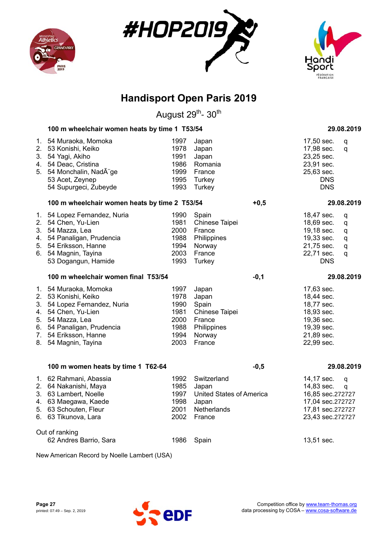





August 29<sup>th</sup>- 30<sup>th</sup>

|                            | 100 m wheelchair women heats by time 1 T53/54                                                                                                                                            |                                                              |                                                                                        |        |                                                                                                              | 29.08.2019                         |
|----------------------------|------------------------------------------------------------------------------------------------------------------------------------------------------------------------------------------|--------------------------------------------------------------|----------------------------------------------------------------------------------------|--------|--------------------------------------------------------------------------------------------------------------|------------------------------------|
| 1.<br>2.<br>3.<br>5.       | 54 Muraoka, Momoka<br>53 Konishi, Keiko<br>54 Yagi, Akiho<br>4. 54 Deac, Cristina<br>54 Monchalin, Nadège<br>53 Acet, Zeynep<br>54 Supurgeci, Zubeyde                                    | 1997<br>1978<br>1991<br>1986<br>1999<br>1995<br>1993         | Japan<br>Japan<br>Japan<br>Romania<br>France<br>Turkey<br>Turkey                       |        | 17,50 sec.<br>17,98 sec.<br>23,25 sec.<br>23,91 sec.<br>25,63 sec.<br><b>DNS</b><br><b>DNS</b>               | q<br>q                             |
|                            | 100 m wheelchair women heats by time 2 T53/54                                                                                                                                            |                                                              |                                                                                        | $+0,5$ |                                                                                                              | 29.08.2019                         |
| 3.<br>4.<br>5.<br>6.       | 1. 54 Lopez Fernandez, Nuria<br>2. 54 Chen, Yu-Lien<br>54 Mazza, Lea<br>54 Panaligan, Prudencia<br>54 Eriksson, Hanne<br>54 Magnin, Tayina<br>53 Dogangun, Hamide                        | 1990<br>1981<br>2000<br>1988<br>1994<br>2003<br>1993         | Spain<br>Chinese Taipei<br>France<br>Philippines<br>Norway<br>France<br>Turkey         |        | 18,47 sec.<br>18,69 sec.<br>19,18 sec.<br>19,33 sec.<br>21,75 sec.<br>22,71 sec.<br><b>DNS</b>               | q<br>${\sf q}$<br>q<br>q<br>q<br>q |
|                            | 100 m wheelchair women final T53/54                                                                                                                                                      |                                                              |                                                                                        | $-0,1$ |                                                                                                              | 29.08.2019                         |
| 1.<br>3.<br>4.<br>5.<br>8. | 54 Muraoka, Momoka<br>2. 53 Konishi, Keiko<br>54 Lopez Fernandez, Nuria<br>54 Chen, Yu-Lien<br>54 Mazza, Lea<br>6. 54 Panaligan, Prudencia<br>7. 54 Eriksson, Hanne<br>54 Magnin, Tayina | 1997<br>1978<br>1990<br>1981<br>2000<br>1988<br>1994<br>2003 | Japan<br>Japan<br>Spain<br>Chinese Taipei<br>France<br>Philippines<br>Norway<br>France |        | 17,63 sec.<br>18,44 sec.<br>18,77 sec.<br>18,93 sec.<br>19,36 sec.<br>19,39 sec.<br>21,89 sec.<br>22,99 sec. |                                    |
|                            | 100 m women heats by time 1 T62-64                                                                                                                                                       |                                                              |                                                                                        | $-0,5$ |                                                                                                              | 29.08.2019                         |
| 6.                         | 1. 62 Rahmani, Abassia<br>2. 64 Nakanishi, Maya<br>3. 63 Lambert, Noelle<br>4. 63 Maegawa, Kaede<br>5. 63 Schouten, Fleur<br>63 Tikunova, Lara                                           | 1992<br>1985<br>1997<br>1998<br>2001<br>2002                 | Switzerland<br>Japan<br>United States of America<br>Japan<br>Netherlands<br>France     |        | 14,17 sec.<br>14,83 sec.<br>16,85 sec.272727<br>17,04 sec.272727<br>17,81 sec.272727<br>23,43 sec.272727     | q<br>q                             |
|                            | Out of ranking<br>62 Andres Barrio, Sara                                                                                                                                                 | 1986                                                         | Spain                                                                                  |        | 13,51 sec.                                                                                                   |                                    |

New American Record by Noelle Lambert (USA)

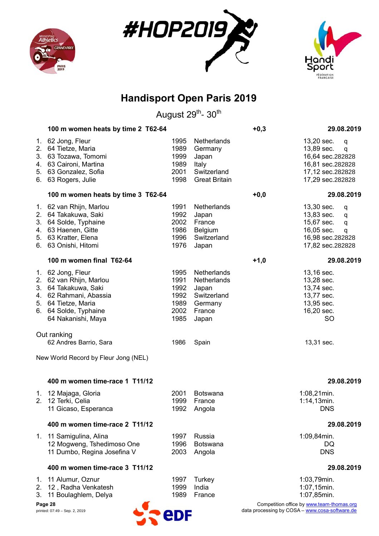





August 29<sup>th</sup>- 30<sup>th</sup>

|                            | 100 m women heats by time 2 T62-64                                                                                                                                   |                                                      |                                                                                  | $+0,3$ | 29.08.2019                                                                                                         |
|----------------------------|----------------------------------------------------------------------------------------------------------------------------------------------------------------------|------------------------------------------------------|----------------------------------------------------------------------------------|--------|--------------------------------------------------------------------------------------------------------------------|
| 2.<br>3.<br>4.<br>5.<br>6. | 1. 62 Jong, Fleur<br>64 Tietze, Maria<br>63 Tozawa, Tomomi<br>63 Caironi, Martina<br>63 Gonzalez, Sofia<br>63 Rogers, Julie                                          | 1995<br>1989<br>1999<br>1989<br>2001<br>1998         | Netherlands<br>Germany<br>Japan<br>Italy<br>Switzerland<br><b>Great Britain</b>  |        | 13,20 sec.<br>q<br>13,89 sec.<br>q<br>16,64 sec.282828<br>16,81 sec.282828<br>17,12 sec.282828<br>17,29 sec.282828 |
|                            | 100 m women heats by time 3 T62-64                                                                                                                                   |                                                      |                                                                                  | $+0,0$ | 29.08.2019                                                                                                         |
| 3.                         | 1. 62 van Rhijn, Marlou<br>2. 64 Takakuwa, Saki<br>64 Solde, Typhaine<br>4. 63 Haenen, Gitte<br>5. 63 Kratter, Elena<br>6. 63 Onishi, Hitomi                         | 1991<br>1992<br>2002<br>1986<br>1996<br>1976         | Netherlands<br>Japan<br>France<br>Belgium<br>Switzerland<br>Japan                |        | 13,30 sec.<br>q<br>13,83 sec.<br>q<br>15,67 sec.<br>q<br>16,05 sec.<br>q<br>16,98 sec.282828<br>17,82 sec.282828   |
|                            | 100 m women final T62-64                                                                                                                                             |                                                      |                                                                                  | $+1,0$ | 29.08.2019                                                                                                         |
|                            | 1. 62 Jong, Fleur<br>2. 62 van Rhijn, Marlou<br>3. 64 Takakuwa, Saki<br>4. 62 Rahmani, Abassia<br>5. 64 Tietze, Maria<br>6. 64 Solde, Typhaine<br>64 Nakanishi, Maya | 1995<br>1991<br>1992<br>1992<br>1989<br>2002<br>1985 | Netherlands<br>Netherlands<br>Japan<br>Switzerland<br>Germany<br>France<br>Japan |        | 13,16 sec.<br>13,28 sec.<br>13,74 sec.<br>13,77 sec.<br>13,95 sec.<br>16,20 sec.<br><b>SO</b>                      |
|                            | Out ranking<br>62 Andres Barrio, Sara                                                                                                                                | 1986                                                 | Spain                                                                            |        | 13,31 sec.                                                                                                         |
|                            | New World Record by Fleur Jong (NEL)                                                                                                                                 |                                                      |                                                                                  |        |                                                                                                                    |
|                            | 400 m women time-race 1 T11/12                                                                                                                                       |                                                      |                                                                                  |        | 29.08.2019                                                                                                         |
|                            | 1. 12 Majaga, Gloria<br>2. 12 Terki, Celia<br>11 Gicaso, Esperanca                                                                                                   | 2001<br>1999<br>1992                                 | Botswana<br>France<br>Angola                                                     |        | 1:08,21min.<br>$1:14,13$ min.<br><b>DNS</b>                                                                        |
|                            | 400 m women time-race 2 T11/12                                                                                                                                       |                                                      |                                                                                  |        | 29.08.2019                                                                                                         |
|                            | 1. 11 Samigulina, Alina<br>12 Mogweng, Tshedimoso One<br>11 Dumbo, Regina Josefina V                                                                                 | 1997<br>1996<br>2003                                 | Russia<br>Botswana<br>Angola                                                     |        | 1:09,84min.<br>DQ<br><b>DNS</b>                                                                                    |
|                            | 400 m women time-race 3 T11/12                                                                                                                                       |                                                      |                                                                                  |        | 29.08.2019                                                                                                         |
| 1.<br>3.                   | 11 Alumur, Oznur<br>2. 12, Radha Venkatesh<br>11 Boulaghlem, Delya                                                                                                   | 1997<br>1999<br>1989                                 | Turkey<br>India<br>France                                                        |        | 1:03,79min.<br>1:07,15min.<br>1:07,85min.                                                                          |



**Page 28** Competition office by www.team-thomas.org printed: 07:49 – Sep. 2, 2019 **and a separate and a separate and a separate and a separate and a separate and a separate and a separate and a separate and a separate and a separate and a separate and a separate and a separ**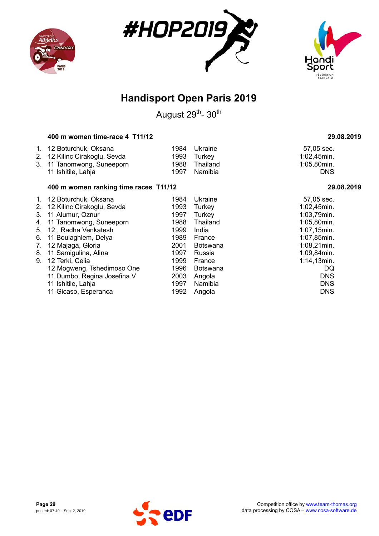





August 29<sup>th</sup>- 30<sup>th</sup>

#### **400 m women time-race 4 T11/12 29.08.2019**

| 1. 12 Boturchuk, Oksana       | 1984 Ukraine  |
|-------------------------------|---------------|
| 2. 12 Kilinc Cirakoglu, Sevda | 1993 Turkey   |
| 3. 11 Tanomwong, Suneeporn    | 1988 Thailand |
| 11 Ishitile, Lahja            | 1997 Namibia  |

#### **400 m women ranking time races T11/12 29.08.2019**

|                                | 1. 12 Boturchuk, Oksana       | 1984 | Ukraine         | 57,05 sec.     |
|--------------------------------|-------------------------------|------|-----------------|----------------|
|                                | 2. 12 Kilinc Cirakoglu, Sevda | 1993 | Turkey          | 1:02,45min.    |
| 3.                             | 11 Alumur, Oznur              | 1997 | Turkey          | 1:03,79min.    |
|                                | 4. 11 Tanomwong, Suneeporn    | 1988 | Thailand        | 1:05,80min.    |
| 5.                             | 12, Radha Venkatesh           | 1999 | India           | 1:07,15min.    |
| 6.                             | 11 Boulaghlem, Delya          | 1989 | France          | 1:07,85min.    |
| $7_{\scriptscriptstyle{\sim}}$ | 12 Majaga, Gloria             | 2001 | <b>Botswana</b> | $1:08,21$ min. |
| 8.                             | 11 Samigulina, Alina          | 1997 | Russia          | 1:09,84min.    |
| 9.                             | 12 Terki, Celia               | 1999 | France          | $1:14,13$ min. |
|                                | 12 Mogweng, Tshedimoso One    | 1996 | <b>Botswana</b> | DQ             |
|                                | 11 Dumbo, Regina Josefina V   | 2003 | Angola          | <b>DNS</b>     |
|                                | 11 Ishitile, Lahja            | 1997 | Namibia         | <b>DNS</b>     |
|                                | 11 Gicaso, Esperanca          | 1992 | Angola          | <b>DNS</b>     |

57,05 sec. 1:02,45min. 1:05,80min.<br>DNS

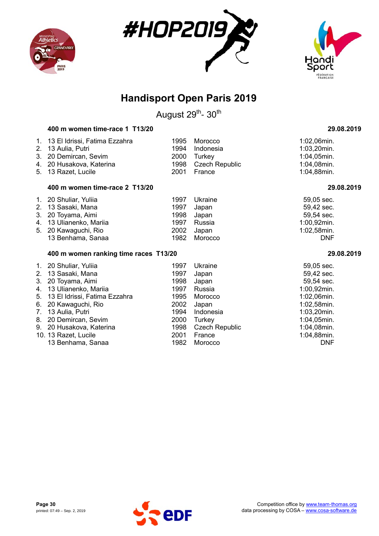





August 29<sup>th</sup>- 30<sup>th</sup>

### **400 m women time-race 1 T13/20 29.08.2019**

| 1.<br>2.<br>3.<br>4.<br>5.                   | 13 El Idrissi, Fatima Ezzahra<br>13 Aulia, Putri<br>20 Demircan, Sevim<br>20 Husakova, Katerina<br>13 Razet, Lucile                                                             | 1995<br>1994<br>2000<br>1998<br>2001                         | Morocco<br>Indonesia<br>Turkey<br><b>Czech Republic</b><br>France              | 1:02,06min.<br>$1:03,20$ min.<br>1:04,05min.<br>1:04,08min.<br>1:04,88min.                                        |
|----------------------------------------------|---------------------------------------------------------------------------------------------------------------------------------------------------------------------------------|--------------------------------------------------------------|--------------------------------------------------------------------------------|-------------------------------------------------------------------------------------------------------------------|
|                                              | 400 m women time-race 2 T13/20                                                                                                                                                  |                                                              |                                                                                | 29.08.2019                                                                                                        |
| 1.<br>2.<br>3.<br>4.<br>5.                   | 20 Shuliar, Yuliia<br>13 Sasaki, Mana<br>20 Toyama, Aimi<br>13 Ulianenko, Mariia<br>20 Kawaguchi, Rio<br>13 Benhama, Sanaa                                                      | 1997<br>1997<br>1998<br>1997<br>2002<br>1982                 | Ukraine<br>Japan<br>Japan<br>Russia<br>Japan<br>Morocco                        | 59,05 sec.<br>59,42 sec.<br>59,54 sec.<br>1:00,92min.<br>1:02,58min.<br><b>DNF</b>                                |
|                                              | 400 m women ranking time races T13/20                                                                                                                                           |                                                              |                                                                                | 29.08.2019                                                                                                        |
| 1.<br>2.<br>3.<br>4.<br>5.<br>6.<br>7.<br>8. | 20 Shuliar, Yuliia<br>13 Sasaki, Mana<br>20 Toyama, Aimi<br>13 Ulianenko, Mariia<br>13 El Idrissi, Fatima Ezzahra<br>20 Kawaguchi, Rio<br>13 Aulia, Putri<br>20 Demircan, Sevim | 1997<br>1997<br>1998<br>1997<br>1995<br>2002<br>1994<br>2000 | Ukraine<br>Japan<br>Japan<br>Russia<br>Morocco<br>Japan<br>Indonesia<br>Turkey | 59,05 sec.<br>59,42 sec.<br>59,54 sec.<br>1:00,92min.<br>1:02,06min.<br>1:02,58min.<br>1:03,20min.<br>1:04,05min. |
| 9.                                           | 20 Husakova, Katerina                                                                                                                                                           | 1998                                                         | <b>Czech Republic</b>                                                          | 1:04,08min.                                                                                                       |

10. 13 Razet, Lucile 2001 France 1:04,88min.<br>13 Benhama, Sanaa 1982 Morocco 1:04,88min. 13 Benhama, Sanaa 1982 Morocco

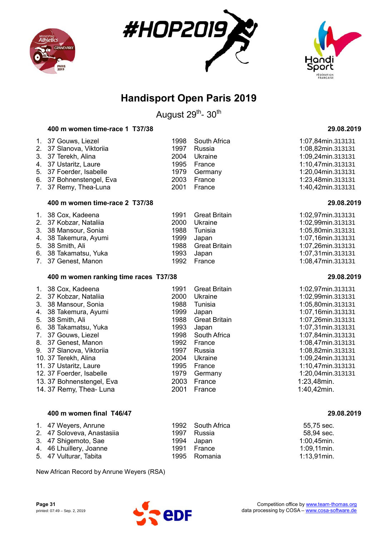





August 29<sup>th</sup>- 30<sup>th</sup>

#### **400 m women time-race 1 T37/38 29.08.2019**

| 1. 37 Gouws, Liezel<br>2. 37 Slanova, Viktoriia<br>3. 37 Terekh, Alina<br>4. 37 Ustaritz, Laure<br>5. 37 Foerder, Isabelle<br>6. 37 Bohnenstengel, Eva<br>7. 37 Remy, Thea-Luna | 1997<br>2004<br>1995<br>2003<br>2001 | 1998 South Africa<br>Russia<br>Ukraine<br>France<br>1979 Germany<br>France<br>France | 1:07,84min.313131<br>1:08,82min.313131<br>1:09,24min.313131<br>1:10,47min.313131<br>1:20,04min.313131<br>1:23,48min.313131<br>1:40,42min.313131 |
|---------------------------------------------------------------------------------------------------------------------------------------------------------------------------------|--------------------------------------|--------------------------------------------------------------------------------------|-------------------------------------------------------------------------------------------------------------------------------------------------|
|                                                                                                                                                                                 |                                      |                                                                                      |                                                                                                                                                 |

#### **400 m women time-race 2 T37/38 29.08.2019**

| 1. 38 Cox, Kadeena     | 1991 Great Britain | 1:02,97min.313131 |
|------------------------|--------------------|-------------------|
| 2. 37 Kobzar, Natalija | 2000 Ukraine       | 1:02,99min.313131 |
| 3. 38 Mansour, Sonia   | 1988 Tunisia       | 1:05,80min.313131 |
| 4. 38 Takemura, Ayumi  | 1999 Japan         | 1:07,16min.313131 |
| 5. 38 Smith, Ali       | 1988 Great Britain | 1:07,26min.313131 |
| 6. 38 Takamatsu, Yuka  | 1993 Japan         | 1:07,31min.313131 |
| 7. 37 Genest, Manon    | 1992 France        | 1:08,47min.313131 |

#### **400 m women ranking time races T37/38 29.08.2019**

| 1. 38 Cox, Kadeena       | 1991 | <b>Great Britain</b> | 1:02,97min. |
|--------------------------|------|----------------------|-------------|
| 2. 37 Kobzar, Nataliia   | 2000 | Ukraine              | 1:02,99min. |
| 3. 38 Mansour, Sonia     | 1988 | Tunisia              | 1:05,80min. |
| 4. 38 Takemura, Ayumi    | 1999 | Japan                | 1:07,16min. |
| 5. 38 Smith, Ali         | 1988 | <b>Great Britain</b> | 1:07,26min. |
| 6. 38 Takamatsu, Yuka    | 1993 | Japan                | 1:07,31min. |
| 7. 37 Gouws, Liezel      | 1998 | South Africa         | 1:07,84min. |
| 8. 37 Genest, Manon      | 1992 | France               | 1:08,47min. |
| 9. 37 Slanova, Viktoriia | 1997 | Russia               | 1:08,82min. |
| 10. 37 Terekh, Alina     | 2004 | Ukraine              | 1:09,24min. |
| 11. 37 Ustaritz, Laure   | 1995 | France               | 1:10,47min. |
| 12. 37 Foerder, Isabelle | 1979 | Germany              | 1:20,04min. |
| 13.37 Bohnenstengel, Eva | 2003 | France               | 1:23,48min. |
| 14.37 Remy, Thea- Luna   | 2001 | France               | 1:40,42min. |
|                          |      |                      |             |

#### **400 m women final T46/47 29.08.2019**

| 1. 47 Weyers, Anrune       |      | 1992 South Africa | 55,75 sec.     |
|----------------------------|------|-------------------|----------------|
| 2. 47 Soloveva, Anastasiia | 1997 | Russia            | 58,94 sec.     |
| 3. 47 Shigemoto, Sae       | 1994 | Japan             | $1:00,45$ min. |
| 4. 46 Lhuillery, Joanne    | 1991 | France            | $1:09,11$ min. |
| 5. 47 Vulturar, Tabita     |      | 1995 Romania      | $1:13.91$ min. |

New African Record by Anrune Weyers (RSA)



1.02,97min.313131 2.99 min.313131 3. 38 Mansour, Sonia 1988 Tunisia 1:05,80min.313131 107, 16 min. 313131 :07, 26 min. 313131 8. 07,31 min.313131 07,84min.313131 8.47 min.313131 9. 82 min. 313131 109. 24 min. 313131  $10.47$ min.313131 .<br>23,48min.<br>23,48min.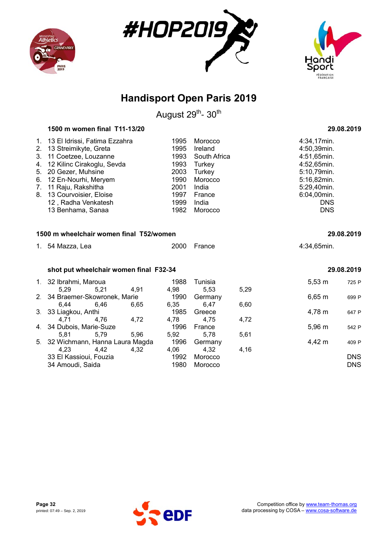





August 29<sup>th</sup>- 30<sup>th</sup>

| 1500 m women final T11-13/20 | 29.08.2019 |
|------------------------------|------------|
|------------------------------|------------|

| 1. 13 El Idrissi, Fatima Ezzahra<br>2. 13 Streimikyte, Greta<br>3. 11 Coetzee, Louzanne | 1995<br>1995<br>1993 | Morocco<br>Ireland<br>South Africa | 4:34,17min.<br>4:50,39min.<br>4:51,65min. |
|-----------------------------------------------------------------------------------------|----------------------|------------------------------------|-------------------------------------------|
| 4. 12 Kilinc Cirakoglu, Sevda                                                           | 1993                 | Turkey                             | 4:52,65min.                               |
| 5. 20 Gezer, Muhsine                                                                    | 2003                 | Turkey                             | 5:10,79min.                               |
| 6. 12 En-Nourhi, Meryem                                                                 | 1990                 | Morocco                            | 5:16,82min.                               |
| 7. 11 Raju, Rakshitha                                                                   | 2001                 | India                              | 5:29,40min.                               |
| 8. 13 Courvoisier, Eloise                                                               | 1997                 | France                             | 6:04,00min.                               |
| 12, Radha Venkatesh                                                                     | 1999                 | India                              | <b>DNS</b>                                |
| 13 Benhama, Sanaa                                                                       | 1982                 | Morocco                            | <b>DNS</b>                                |

#### **1500 m wheelchair women final T52/women 29.08.2019**

| 1. 54 Mazza, Lea | 2000 France | 4:34,65min. |
|------------------|-------------|-------------|
|                  |             |             |

#### **shot put wheelchair women final F32-34 29.08.2019**

|      |      |                                                                                                                         |                                                                     | Tunisia |      |             | 725 P       |
|------|------|-------------------------------------------------------------------------------------------------------------------------|---------------------------------------------------------------------|---------|------|-------------|-------------|
| 5.29 | 5,21 | 4.91                                                                                                                    | 4.98                                                                | 5.53    | 5,29 |             |             |
|      |      |                                                                                                                         | 1990                                                                | Germany |      | $6,65 \; m$ | 699 P       |
| 6.44 | 6.46 | 6.65                                                                                                                    | 6,35                                                                | 6.47    | 6,60 |             |             |
|      |      |                                                                                                                         | 1985                                                                | Greece  |      | 4,78 m      | 647 P       |
| 4.71 | 4,76 | 4,72                                                                                                                    | 4.78                                                                | 4.75    | 4,72 |             |             |
|      |      |                                                                                                                         | 1996                                                                | France  |      | $5,96 \; m$ | 542 P       |
| 5.81 | 5,79 | 5,96                                                                                                                    | 5.92                                                                | 5.78    | 5,61 |             |             |
|      |      |                                                                                                                         | 1996                                                                | Germany |      | 4,42 m      | 409 P       |
| 4.23 | 4.42 | 4.32                                                                                                                    | 4.06                                                                | 4.32    | 4,16 |             |             |
|      |      |                                                                                                                         | 1992                                                                | Morocco |      |             | <b>DNS</b>  |
|      |      |                                                                                                                         | 1980                                                                | Morocco |      |             | <b>DNS</b>  |
|      |      | 1. 32 Ibrahmi, Maroua<br>3. 33 Liagkou, Anthi<br>4. 34 Dubois, Marie-Suze<br>33 El Kassioui, Fouzia<br>34 Amoudi, Saida | 2. 34 Braemer-Skowronek, Marie<br>5. 32 Wichmann, Hanna Laura Magda | 1988    |      |             | $5,53 \; m$ |

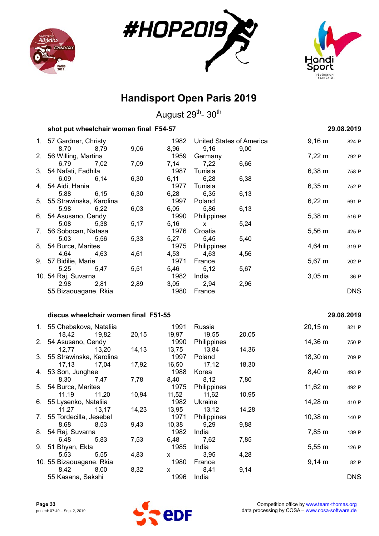





August 29<sup>th</sup>- 30<sup>th</sup>

| shot put wheelchair women final F54-57 | 29.08.2019 |
|----------------------------------------|------------|
|                                        |            |

| 1. 57 Gardner, Christy     |              | 1982 | United States of America |      | $9,16 \; m$        | 824 P      |
|----------------------------|--------------|------|--------------------------|------|--------------------|------------|
| 8,70 8,79                  | 9,06         |      | 8,96 9,16                | 9,00 |                    |            |
| 2. 56 Willing, Martina     |              | 1959 | Germany                  |      | $7,22 \, \text{m}$ | 792 P      |
| 6,79                       | 7,02<br>7,09 | 7,14 | 7,22                     | 6,66 |                    |            |
| 3. 54 Nafati, Fadhila      |              | 1987 | Tunisia                  |      | $6,38 \; m$        | 758 P      |
| 6,09 6,14                  | 6,30         | 6,11 | 6,28                     | 6,38 |                    |            |
| 4. 54 Aidi, Hania          |              | 1977 | Tunisia                  |      | $6,35 \; m$        | 752 P      |
| 5,88<br>6,15               | 6,30         |      | 6,28 6,35                | 6,13 |                    |            |
| 5. 55 Strawinska, Karolina |              | 1997 | Poland                   |      | $6,22 \, m$        | 691 P      |
| 5,98 6,22                  | 6,03         |      | 6,05 5,86                | 6,13 |                    |            |
| 6. 54 Asusano, Cendy       |              |      | 1990 Philippines         |      | $5,38 \; m$        | 516 P      |
| 5,08<br>5,38               | 5,17         | 5,16 | $\mathsf{X}$             | 5,24 |                    |            |
| 7. 56 Sobocan, Natasa      |              | 1976 | Croatia                  |      | $5,56 \; m$        | 425 P      |
| 5,03 5,56                  | 5,33         |      | 5,27 5,45                | 5,40 |                    |            |
| 8. 54 Burce, Marites       |              |      | 1975 Philippines         |      | $4,64 \, m$        | 319 P      |
| 4,64 4,63                  | 4,61         |      | 4,53 4,63                | 4,56 |                    |            |
| 9. 57 Bidilie, Marie       |              | 1971 | France                   |      | $5,67 \; m$        | 202 P      |
| 5,25 5,47                  | 5,51         |      | 5,46 5,12                | 5,67 |                    |            |
| 10. 54 Raj, Suvarna        |              | 1982 | India                    |      | $3,05 \; m$        | 36 P       |
| 2,98<br>2,81               | 2,89         |      | 3,05 2,94                | 2,96 |                    |            |
| 55 Bizaouagane, Rkia       |              | 1980 | France                   |      |                    | <b>DNS</b> |
|                            |              |      |                          |      |                    |            |

#### **discus wheelchair women final F51-55 29.08.2019**

#### 1. 55 Chebakova, Nataliia 1991 Russia 20,15 m 821 P 18,42 19,82 20,15 19,97 19,55 20,05 2. 54 Asusano, Cendy **1990 Philippines** 14,36 m 750 Philippines 12,77 13,20 14,13 13,75 13,84 14,36 3. 55 Strawinska, Karolina 1997 Poland 18,30 m 709 P 17,13 17,04 17,92 16,50 17,12 18,30 4. 53 Son, Junghee 1988 Korea 1988 Korea 8,40 m 493 P<br>8,30 7,47 7,78 8,40 8,12 7,80 8,30 7,47 7,78 8,40 8,12 7,80 5. 54 Burce, Marites 1975 Philippines 11,62 m 492 P 11,19 11,20 10,94 11,52 11,62 10,95 6. 55 Lysenko, Nataliia 1982 Ukraine 14,28 m 410 P 11,27 13,17 14,23 13,95 13,12 14,28 7. 55 Tordecilla, Jesebel 1971 Philippines 10,38 m 140 P 8,68 8,53 9,43 10,38 9,29 9,88 8. 54 Raj, Suvarna 1982 India 1982 India 1982 India 1982 Research 1982 India 1989 PM 139 PM 139 PM 139 PM 139 P 6,48 5,83 7,53 6,48 7,62 7,85 9. 51 Bhyan, Ekta 1985 India 5,55 m 126 P 5,53 5,55 4,83 x 3,95 4,28 10. 55 Bizaouagane, Rkia 1980 France 1980 France 9,14 m 82 P 8,42 8,00 8,32 x 8,41 9,14 55 Kasana, Sakshi 1996 India DNS

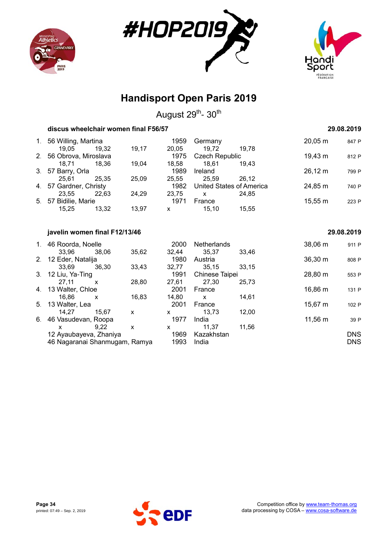





August 29<sup>th</sup>- 30<sup>th</sup>

| discus wheelchair women final F56/57 |       |       |              |                       |                                 |                     | 29.08.2019 |
|--------------------------------------|-------|-------|--------------|-----------------------|---------------------------------|---------------------|------------|
| 1. 56 Willing, Martina               |       |       | 1959         | Germany               |                                 | $20,05 \, \text{m}$ | 847 P      |
| 19.05                                | 19.32 | 19,17 | 20,05        | 19.72                 | 19,78                           |                     |            |
| 2. 56 Obrova, Miroslava              |       |       | 1975         | <b>Czech Republic</b> |                                 | 19,43 m             | 812 P      |
| 18.71                                | 18.36 | 19,04 | 18,58        | 18.61                 | 19,43                           |                     |            |
| 3. 57 Barry, Orla                    |       |       | 1989         | Ireland               |                                 | 26,12 m             | 799 P      |
| 25.61                                | 25,35 | 25,09 | 25,55        | 25,59                 | 26.12                           |                     |            |
| 4. 57 Gardner, Christy               |       |       | 1982         |                       | <b>United States of America</b> | 24,85 m             | 740 P      |
| 23,55                                | 22,63 | 24,29 | 23,75        | X                     | 24,85                           |                     |            |
| 5. 57 Bidilie, Marie                 |       |       | 1971         | France                |                                 | $15,55 \; m$        | 223 P      |
| 15,25                                | 13,32 | 13,97 | $\mathsf{x}$ | 15.10                 | 15,55                           |                     |            |
| javelin women final F12/13/46        |       |       |              |                       |                                 |                     | 29.08.2019 |
| 1. 46 Roorda, Noelle                 |       |       | 2000         | <b>Netherlands</b>    |                                 | 38,06 m             | 911 P      |
| 33.96                                | 38,06 | 35,62 | 32,44        | 35,37                 | 33,46                           |                     |            |
| 2. 12 Eder, Natalija                 |       |       | 1980         | Austria               |                                 | $36,30 \; m$        | 808 P      |
| 33,69                                | 36,30 | 33,43 | 32,77        | 35,15                 | 33,15                           |                     |            |

3. 12 Liu, Ya-Ting 1991 Chinese Taipei 28,80 m 553 P<br>27,11 x 28,80 27,61 27,30 25,73

4. 13 Walter, Chloe 2001 France 16,86 m 131 P<br>16,86 x 16,83 14,80 x 14,61

5. 13 Walter, Lea <br>14.27 15.67 x 2001 France 12.00 15,67 m 102 P

6. 46 Vasudevan, Roopa 1977 India 1977 India 11,56 m 39 P

12 Ayaubayeva, Zhaniya 1969 Kazakhstan DNS

27,11 x 28,80 27,61 27,30 25,73

16,86 x 16,83 14,80 x 14,61

14,27 15,67 x x 13,73 12,00

x 9,22 x x 11,37 11,56

46 Nagaranai Shanmugam, Ramya

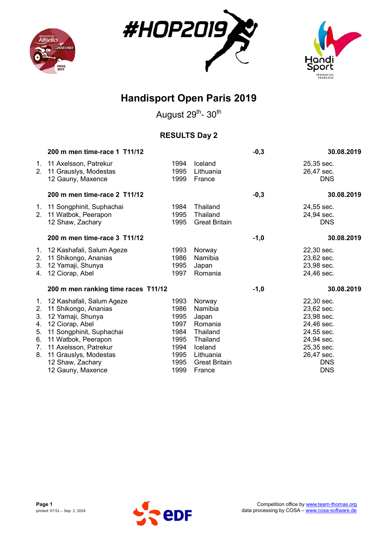





August 29<sup>th</sup>- 30<sup>th</sup>

### **RESULTS Day 2**

|                                                          | 200 m men time-race 1 T11/12                                                                                                                                                                                                            |                                                                              |                                                                                                                         | $-0,3$ | 30.08.2019                                                                                                                               |
|----------------------------------------------------------|-----------------------------------------------------------------------------------------------------------------------------------------------------------------------------------------------------------------------------------------|------------------------------------------------------------------------------|-------------------------------------------------------------------------------------------------------------------------|--------|------------------------------------------------------------------------------------------------------------------------------------------|
| 1.<br>2.                                                 | 11 Axelsson, Patrekur<br>11 Grauslys, Modestas<br>12 Gauny, Maxence                                                                                                                                                                     | 1994<br>1995<br>1999                                                         | Iceland<br>Lithuania<br>France                                                                                          |        | 25,35 sec.<br>26,47 sec.<br><b>DNS</b>                                                                                                   |
|                                                          | 200 m men time-race 2 T11/12                                                                                                                                                                                                            |                                                                              |                                                                                                                         | $-0,3$ | 30.08.2019                                                                                                                               |
| 1.<br>2 <sub>1</sub>                                     | 11 Songphinit, Suphachai<br>11 Watbok, Peerapon<br>12 Shaw, Zachary                                                                                                                                                                     | 1984<br>1995<br>1995                                                         | Thailand<br>Thailand<br><b>Great Britain</b>                                                                            |        | 24,55 sec.<br>24,94 sec.<br><b>DNS</b>                                                                                                   |
|                                                          | 200 m men time-race 3 T11/12                                                                                                                                                                                                            |                                                                              |                                                                                                                         | $-1,0$ | 30.08.2019                                                                                                                               |
| 1.<br>2.<br>3.<br>4.                                     | 12 Kashafali, Salum Ageze<br>11 Shikongo, Ananias<br>12 Yamaji, Shunya<br>12 Ciorap, Abel                                                                                                                                               | 1993<br>1986<br>1995<br>1997                                                 | Norway<br>Namibia<br>Japan<br>Romania                                                                                   |        | 22,30 sec.<br>23,62 sec.<br>23,98 sec.<br>24,46 sec.                                                                                     |
|                                                          | 200 m men ranking time races T11/12                                                                                                                                                                                                     |                                                                              |                                                                                                                         | $-1,0$ | 30.08.2019                                                                                                                               |
| 1.<br>2.<br>3.<br>4.<br>5.<br>6.<br>7 <sub>1</sub><br>8. | 12 Kashafali, Salum Ageze<br>11 Shikongo, Ananias<br>12 Yamaji, Shunya<br>12 Ciorap, Abel<br>11 Songphinit, Suphachai<br>11 Watbok, Peerapon<br>11 Axelsson, Patrekur<br>11 Grauslys, Modestas<br>12 Shaw, Zachary<br>12 Gauny, Maxence | 1993<br>1986<br>1995<br>1997<br>1984<br>1995<br>1994<br>1995<br>1995<br>1999 | Norway<br>Namibia<br>Japan<br>Romania<br>Thailand<br>Thailand<br>Iceland<br>Lithuania<br><b>Great Britain</b><br>France |        | 22,30 sec.<br>23,62 sec.<br>23,98 sec.<br>24,46 sec.<br>24,55 sec.<br>24,94 sec.<br>25,35 sec.<br>26,47 sec.<br><b>DNS</b><br><b>DNS</b> |

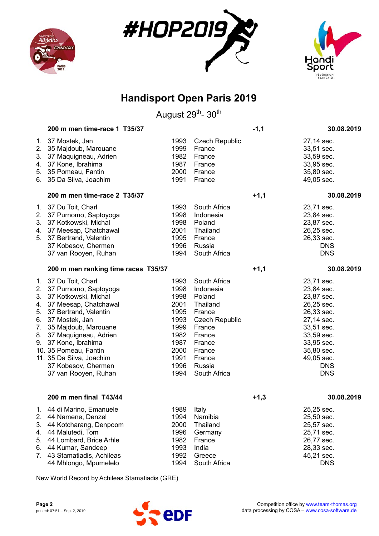





August 29<sup>th</sup>- 30<sup>th</sup>

|          | 200 m men time-race 1 T35/37                                       |                      |                                           | $-1,1$ | 30.08.2019                             |
|----------|--------------------------------------------------------------------|----------------------|-------------------------------------------|--------|----------------------------------------|
| 2.<br>3. | 1. 37 Mostek, Jan<br>35 Majdoub, Marouane<br>37 Maquigneau, Adrien | 1993<br>1999<br>1982 | <b>Czech Republic</b><br>France<br>France |        | 27,14 sec.<br>33,51 sec.<br>33,59 sec. |
| 4.       | 37 Kone, Ibrahima                                                  | 1987                 | France                                    |        | 33,95 sec.                             |
|          | 5. 35 Pomeau, Fantin                                               | 2000                 | France                                    |        | 35,80 sec.                             |
|          | 6. 35 Da Silva, Joachim                                            | 1991                 | France                                    |        | 49,05 sec.                             |
|          | 200 m men time-race 2 T35/37                                       |                      |                                           | $+1,1$ | 30.08.2019                             |
| 1.       | 37 Du Toit, Charl                                                  | 1993                 | South Africa                              |        | 23,71 sec.                             |
| 2.       | 37 Purnomo, Saptoyoga                                              | 1998                 | Indonesia                                 |        | 23,84 sec.                             |
| 3.       | 37 Kotkowski, Michal                                               | 1998                 | Poland                                    |        | 23,87 sec.                             |
| 4.       | 37 Meesap, Chatchawal                                              | 2001                 | Thailand                                  |        | 26,25 sec.                             |
| 5.       | 37 Bertrand, Valentin                                              | 1995                 | France                                    |        | 26,33 sec.                             |
|          | 37 Kobesov, Chermen                                                | 1996                 | Russia                                    |        | <b>DNS</b>                             |
|          | 37 van Rooyen, Ruhan                                               | 1994                 | South Africa                              |        | <b>DNS</b>                             |
|          | 200 m men ranking time races T35/37                                |                      |                                           | $+1,1$ | 30.08.2019                             |
|          | 1. 37 Du Toit, Charl                                               | 1993                 | South Africa                              |        | 23,71 sec.                             |
| 2.       | 37 Purnomo, Saptoyoga                                              | 1998                 | Indonesia                                 |        | 23,84 sec.                             |
| 3.       | 37 Kotkowski, Michal                                               | 1998                 | Poland                                    |        | 23,87 sec.                             |
| 4.       | 37 Meesap, Chatchawal                                              | 2001                 | Thailand                                  |        | 26,25 sec.                             |
| 5.       | 37 Bertrand, Valentin                                              | 1995                 | France                                    |        | 26,33 sec.                             |
| 6.       | 37 Mostek, Jan                                                     | 1993                 | <b>Czech Republic</b>                     |        | 27,14 sec.                             |
| 7.       | 35 Majdoub, Marouane                                               | 1999                 | France                                    |        | 33,51 sec.                             |
| 8.       | 37 Maquigneau, Adrien                                              | 1982                 | France                                    |        | 33,59 sec.                             |
|          | 9. 37 Kone, Ibrahima                                               | 1987                 | France                                    |        | 33,95 sec.                             |
|          | 10. 35 Pomeau, Fantin                                              | 2000                 | France                                    |        | 35,80 sec.                             |
|          | 11. 35 Da Silva, Joachim                                           | 1991                 | France                                    |        | 49,05 sec.                             |
|          | 37 Kobesov, Chermen                                                | 1996                 | Russia                                    |        | <b>DNS</b>                             |
|          | 37 van Rooyen, Ruhan                                               | 1994                 | South Africa                              |        | <b>DNS</b>                             |
|          | 200 m men final T43/44                                             |                      |                                           | $+1,3$ | 30.08.2019                             |
|          | 1. 44 di Marino, Emanuele                                          | 1989 Italy           |                                           |        | 25,25 sec.                             |
|          | 2. 44 Namene, Denzel                                               | 1994                 | Namibia                                   |        | 25,50 sec.                             |
| 3.       | 44 Kotcharang, Denpoom                                             | 2000                 | Thailand                                  |        | 25,57 sec.                             |
| 4.       | 44 Malutedi, Tom                                                   | 1996                 | Germany                                   |        | 25,71 sec.                             |
| 5.       | 44 Lombard, Brice Arhle                                            | 1982                 | France                                    |        | 26,77 sec.                             |
| 6.       | 44 Kumar, Sandeep                                                  | 1993                 | India                                     |        | 28,33 sec.                             |
| 7.       | 43 Stamatiadis, Achileas                                           | 1992                 | Greece                                    |        | 45,21 sec.                             |
|          | 44 Mhlongo, Mpumelelo                                              | 1994                 | South Africa                              |        | <b>DNS</b>                             |

New World Record by Achileas Stamatiadis (GRE)

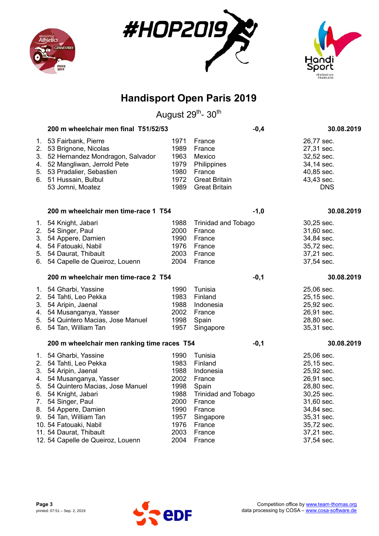





|          | 200 m wheelchair men final T51/52/53                                                                                                                                                                                                                                                        |                                                                                      |                                                                                                                                       | $-0,4$ | 30.08.2019                                                                                                                                             |
|----------|---------------------------------------------------------------------------------------------------------------------------------------------------------------------------------------------------------------------------------------------------------------------------------------------|--------------------------------------------------------------------------------------|---------------------------------------------------------------------------------------------------------------------------------------|--------|--------------------------------------------------------------------------------------------------------------------------------------------------------|
| 1.<br>5. | 53 Fairbank, Pierre<br>2. 53 Brignone, Nicolas<br>3. 52 Hernandez Mondragon, Salvador<br>4. 52 Mangliwan, Jerrold Pete<br>53 Pradalier, Sebastien<br>6. 51 Hussain, Bulbul<br>53 Jomni, Moatez                                                                                              | 1971<br>1989<br>1963<br>1979<br>1980<br>1972<br>1989                                 | France<br>France<br>Mexico<br>Philippines<br>France<br><b>Great Britain</b><br><b>Great Britain</b>                                   |        | 26,77 sec.<br>27,31 sec.<br>32,52 sec.<br>34,14 sec.<br>40,85 sec.<br>43,43 sec.<br><b>DNS</b>                                                         |
|          | 200 m wheelchair men time-race 1 T54                                                                                                                                                                                                                                                        |                                                                                      |                                                                                                                                       | $-1,0$ | 30.08.2019                                                                                                                                             |
| 6.       | 1. 54 Knight, Jabari<br>2. 54 Singer, Paul<br>3. 54 Appere, Damien<br>4. 54 Fatouaki, Nabil<br>5. 54 Daurat, Thibault<br>54 Capelle de Queiroz, Louenn                                                                                                                                      | 1988<br>2000<br>1990<br>1976<br>2003<br>2004                                         | <b>Trinidad and Tobago</b><br>France<br>France<br>France<br>France<br>France                                                          |        | 30,25 sec.<br>31,60 sec.<br>34,84 sec.<br>35,72 sec.<br>37,21 sec.<br>37,54 sec.                                                                       |
|          | 200 m wheelchair men time-race 2 T54                                                                                                                                                                                                                                                        |                                                                                      |                                                                                                                                       | $-0,1$ | 30.08.2019                                                                                                                                             |
| 6.       | 1. 54 Gharbi, Yassine<br>2. 54 Tahti, Leo Pekka<br>3. 54 Aripin, Jaenal<br>4. 54 Musanganya, Yasser<br>5. 54 Quintero Macias, Jose Manuel<br>54 Tan, William Tan                                                                                                                            | 1990<br>1983<br>1988<br>2002<br>1998<br>1957                                         | Tunisia<br>Finland<br>Indonesia<br>France<br>Spain<br>Singapore                                                                       |        | 25,06 sec.<br>25,15 sec.<br>25,92 sec.<br>26,91 sec.<br>28,80 sec.<br>35,31 sec.                                                                       |
|          | 200 m wheelchair men ranking time races T54                                                                                                                                                                                                                                                 |                                                                                      |                                                                                                                                       | $-0,1$ | 30.08.2019                                                                                                                                             |
| 7.       | 1. 54 Gharbi, Yassine<br>2. 54 Tahti, Leo Pekka<br>3. 54 Aripin, Jaenal<br>4. 54 Musanganya, Yasser<br>5. 54 Quintero Macias, Jose Manuel<br>6. 54 Knight, Jabari<br>54 Singer, Paul<br>8. 54 Appere, Damien<br>9. 54 Tan, William Tan<br>10. 54 Fatouaki, Nabil<br>11. 54 Daurat, Thibault | 1990<br>1983<br>1988<br>2002<br>1998<br>1988<br>2000<br>1990<br>1957<br>1976<br>2003 | Tunisia<br>Finland<br>Indonesia<br>France<br>Spain<br><b>Trinidad and Tobago</b><br>France<br>France<br>Singapore<br>France<br>France |        | 25,06 sec.<br>25,15 sec.<br>25,92 sec.<br>26,91 sec.<br>28,80 sec.<br>30,25 sec.<br>31,60 sec.<br>34,84 sec.<br>35,31 sec.<br>35,72 sec.<br>37,21 sec. |
|          | 12. 54 Capelle de Queiroz, Louenn                                                                                                                                                                                                                                                           | 2004                                                                                 | France                                                                                                                                |        | 37,54 sec.                                                                                                                                             |

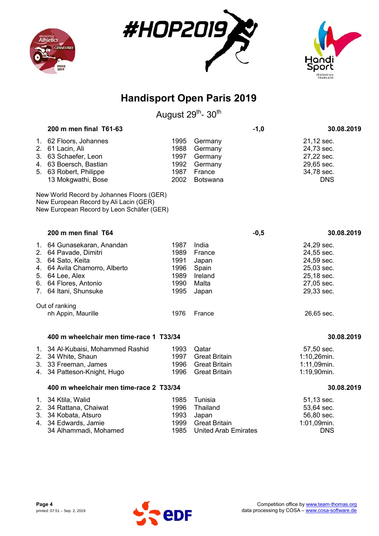





|    | 200 m men final T61-63                                                                                                                                                         |                                                      |                                                                                     | $-1,0$ | 30.08.2019                                                                                     |
|----|--------------------------------------------------------------------------------------------------------------------------------------------------------------------------------|------------------------------------------------------|-------------------------------------------------------------------------------------|--------|------------------------------------------------------------------------------------------------|
|    | 1. 62 Floors, Johannes<br>2. 61 Lacin, Ali<br>3. 63 Schaefer, Leon<br>4. 63 Boersch, Bastian<br>5. 63 Robert, Philippe<br>13 Mokgwathi, Bose                                   | 1995<br>1988<br>1997<br>1992<br>1987<br>2002         | Germany<br>Germany<br>Germany<br>Germany<br>France<br>Botswana                      |        | 21,12 sec.<br>24,73 sec.<br>27,22 sec.<br>29,65 sec.<br>34,78 sec.<br><b>DNS</b>               |
|    | New World Record by Johannes Floors (GER)<br>New European Record by Ali Lacin (GER)<br>New European Record by Leon Schäfer (GER)                                               |                                                      |                                                                                     |        |                                                                                                |
|    | 200 m men final T64                                                                                                                                                            |                                                      |                                                                                     | $-0,5$ | 30.08.2019                                                                                     |
|    | 1. 64 Gunasekaran, Anandan<br>2. 64 Pavade, Dimitri<br>3. 64 Sato, Keita<br>4. 64 Avila Chamorro, Alberto<br>5. 64 Lee, Alex<br>6. 64 Flores, Antonio<br>7. 64 Itani, Shunsuke | 1987<br>1989<br>1991<br>1996<br>1989<br>1990<br>1995 | India<br>France<br>Japan<br>Spain<br>Ireland<br>Malta<br>Japan                      |        | 24,29 sec.<br>24,55 sec.<br>24,59 sec.<br>25,03 sec.<br>25,18 sec.<br>27,05 sec.<br>29,33 sec. |
|    | Out of ranking<br>nh Appin, Maurille                                                                                                                                           | 1976                                                 | France                                                                              |        | 26,65 sec.                                                                                     |
|    | 400 m wheelchair men time-race 1 T33/34                                                                                                                                        |                                                      |                                                                                     |        | 30.08.2019                                                                                     |
| 4. | 1. 34 Al-Kubaisi, Mohammed Rashid<br>2. 34 White, Shaun<br>3. 33 Freeman, James<br>34 Patteson-Knight, Hugo                                                                    | 1993<br>1997<br>1996<br>1996                         | Qatar<br><b>Great Britain</b><br><b>Great Britain</b><br><b>Great Britain</b>       |        | 57,50 sec.<br>1:10,26min.<br>1:11,09min.<br>1:19,90min.                                        |
|    | 400 m wheelchair men time-race 2 T33/34                                                                                                                                        |                                                      |                                                                                     |        | 30.08.2019                                                                                     |
|    | 1. 34 Ktila, Walid<br>2. 34 Rattana, Chaiwat<br>3. 34 Kobata, Atsuro<br>4. 34 Edwards, Jamie<br>34 Alhammadi, Mohamed                                                          | 1985<br>1996<br>1993<br>1999<br>1985                 | Tunisia<br>Thailand<br>Japan<br><b>Great Britain</b><br><b>United Arab Emirates</b> |        | 51,13 sec.<br>53,64 sec.<br>56,80 sec.<br>1:01,09min.<br><b>DNS</b>                            |

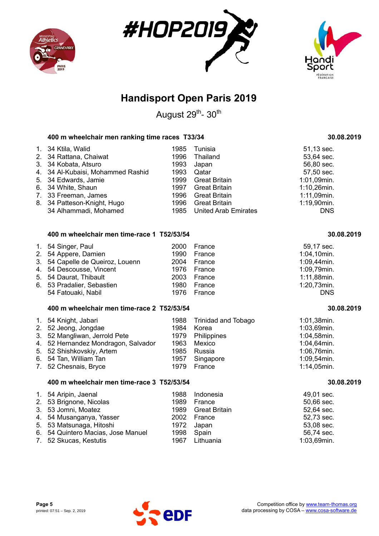





August 29<sup>th</sup>- 30<sup>th</sup>

### **400 m wheelchair men ranking time races T33/34 30.08.2019**

| 1. 34 Ktila, Walid                | 1985 | Tunisia                   | 51,13 sec.     |
|-----------------------------------|------|---------------------------|----------------|
| 2. 34 Rattana, Chaiwat            | 1996 | Thailand                  | 53,64 sec.     |
| 3. 34 Kobata, Atsuro              | 1993 | Japan                     | 56,80 sec.     |
| 4. 34 Al-Kubaisi, Mohammed Rashid | 1993 | Qatar                     | 57,50 sec.     |
| 5. 34 Edwards, Jamie              |      | 1999 Great Britain        | 1:01,09min.    |
| 6. 34 White, Shaun                |      | 1997 Great Britain        | $1:10,26$ min. |
| 7. 33 Freeman, James              |      | 1996 Great Britain        | 1:11,09min.    |
| 8. 34 Patteson-Knight, Hugo       |      | 1996 Great Britain        | 1:19,90min.    |
| 34 Alhammadi, Mohamed             |      | 1985 United Arab Emirates | <b>DNS</b>     |

#### **400 m wheelchair men time-race 1 T52/53/54 30.08.2019**

| 1. 54 Singer, Paul               | 2000 France | 59,17 sec.     |
|----------------------------------|-------------|----------------|
| 2. 54 Appere, Damien             | 1990 France | $1:04,10$ min. |
| 3. 54 Capelle de Queiroz, Louenn | 2004 France | 1:09,44min.    |
| 4. 54 Descousse, Vincent         | 1976 France | 1:09,79min.    |
| 5. 54 Daurat, Thibault           | 2003 France | 1:11,88min.    |
| 6. 53 Pradalier, Sebastien       | 1980 France | 1:20,73min.    |
| 54 Fatouaki, Nabil               | 1976 France | <b>DNS</b>     |

#### **400 m wheelchair men time-race 2 T52/53/54 30.08.2019**

| 1. 54 Knight, Jabari                |      | 1988 Trinidad and Tobago | 1:01,38min.    |
|-------------------------------------|------|--------------------------|----------------|
| 2. 52 Jeong, Jongdae                | 1984 | Korea                    | 1:03,69min.    |
| 3. 52 Mangliwan, Jerrold Pete       |      | 1979 Philippines         | 1:04,58min.    |
| 4. 52 Hernandez Mondragon, Salvador | 1963 | Mexico                   | 1:04,64min.    |
| 5. 52 Shishkovskiy, Artem           | 1985 | Russia                   | 1:06,76min.    |
| 6. 54 Tan, William Tan              | 1957 | Singapore                | 1:09,54min.    |
| 7. 52 Chesnais, Bryce               | 1979 | France                   | $1:14,05$ min. |

#### **400 m wheelchair men time-race 3 T52/53/54 30.08.2019**

|  | 1. 54 Aripin, Jaenal<br>2. 53 Brignone, Nicolas<br>3. 53 Jomni, Moatez<br>4. 54 Musanganya, Yasser<br>5. 53 Matsunaga, Hitoshi<br>6. 54 Quintero Macias, Jose Manuel<br>7. 52 Skucas, Kestutis | 1998 Spain<br>1967 | 1988 Indonesia<br>1989 France<br>1989 Great Britain<br>2002 France<br>1972 Japan<br>Lithuania | 49,01 sec.<br>50,66 sec.<br>52,64 sec.<br>52,73 sec.<br>53,08 sec.<br>56,74 sec.<br>1:03,69min. |
|--|------------------------------------------------------------------------------------------------------------------------------------------------------------------------------------------------|--------------------|-----------------------------------------------------------------------------------------------|-------------------------------------------------------------------------------------------------|
|--|------------------------------------------------------------------------------------------------------------------------------------------------------------------------------------------------|--------------------|-----------------------------------------------------------------------------------------------|-------------------------------------------------------------------------------------------------|

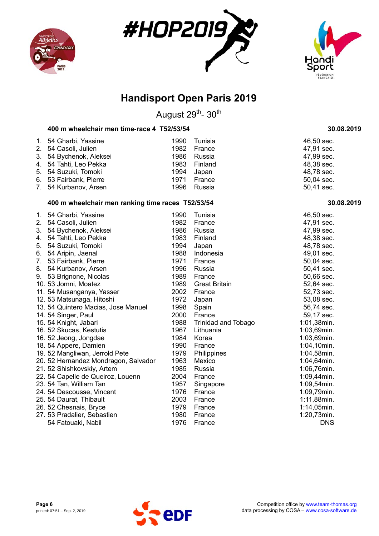





August 29<sup>th</sup>- 30<sup>th</sup>

#### **400 m wheelchair men time-race 4 T52/53/54 30.08.2019**

| 1. 54 Gharbi, Yassine   |      | 1990 Tunisia | 46,50 sec. |
|-------------------------|------|--------------|------------|
| 2. 54 Casoli, Julien    | 1982 | France       | 47,91 sec. |
| 3. 54 Bychenok, Aleksei |      | 1986 Russia  | 47,99 sec. |
| 4. 54 Tahti, Leo Pekka  |      | 1983 Finland | 48,38 sec. |
| 5. 54 Suzuki, Tomoki    | 1994 | Japan        | 48,78 sec. |
| 6. 53 Fairbank, Pierre  | 1971 | France       | 50,04 sec. |
| 7. 54 Kurbanov, Arsen   |      | 1996 Russia  | 50,41 sec. |

#### **400 m wheelchair men ranking time races T52/53/54 30.08.2019**

| 1. | 54 Gharbi, Yassine                   | 1990 | Tunisia                    | 46,50 sec.     |
|----|--------------------------------------|------|----------------------------|----------------|
| 2. | 54 Casoli, Julien                    | 1982 | France                     | 47,91 sec.     |
| 3. | 54 Bychenok, Aleksei                 | 1986 | Russia                     | 47,99 sec.     |
| 4. | 54 Tahti, Leo Pekka                  | 1983 | Finland                    | 48,38 sec.     |
| 5. | 54 Suzuki, Tomoki                    | 1994 | Japan                      | 48,78 sec.     |
| 6. | 54 Aripin, Jaenal                    | 1988 | Indonesia                  | 49,01 sec.     |
| 7. | 53 Fairbank, Pierre                  | 1971 | France                     | 50,04 sec.     |
| 8. | 54 Kurbanov, Arsen                   | 1996 | Russia                     | 50,41 sec.     |
| 9. | 53 Brignone, Nicolas                 | 1989 | France                     | 50,66 sec.     |
|    | 10. 53 Jomni, Moatez                 | 1989 | <b>Great Britain</b>       | 52,64 sec.     |
|    | 11. 54 Musanganya, Yasser            | 2002 | France                     | 52,73 sec.     |
|    | 12. 53 Matsunaga, Hitoshi            | 1972 | Japan                      | 53,08 sec.     |
|    | 13. 54 Quintero Macias, Jose Manuel  | 1998 | Spain                      | 56,74 sec.     |
|    | 14. 54 Singer, Paul                  | 2000 | France                     | 59,17 sec.     |
|    | 15. 54 Knight, Jabari                | 1988 | <b>Trinidad and Tobago</b> | 1:01,38min.    |
|    | 16. 52 Skucas, Kestutis              | 1967 | Lithuania                  | 1:03,69min.    |
|    | 16. 52 Jeong, Jongdae                | 1984 | Korea                      | 1:03,69min.    |
|    | 18. 54 Appere, Damien                | 1990 | France                     | 1:04,10min.    |
|    | 19. 52 Mangliwan, Jerrold Pete       | 1979 | Philippines                | 1:04,58min.    |
|    | 20. 52 Hernandez Mondragon, Salvador | 1963 | Mexico                     | 1:04,64min.    |
|    | 21. 52 Shishkovskiy, Artem           | 1985 | Russia                     | 1:06,76min.    |
|    | 22. 54 Capelle de Queiroz, Louenn    | 2004 | France                     | 1:09,44min.    |
|    | 23. 54 Tan, William Tan              | 1957 | Singapore                  | 1:09,54min.    |
|    | 24. 54 Descousse, Vincent            | 1976 | France                     | 1:09,79min.    |
|    | 25. 54 Daurat, Thibault              | 2003 | France                     | $1:11,88$ min. |
|    | 26. 52 Chesnais, Bryce               | 1979 | France                     | $1:14,05$ min. |
|    | 27. 53 Pradalier, Sebastien          | 1980 | France                     | 1:20,73min.    |
|    | 54 Fatouaki, Nabil                   | 1976 | France                     | <b>DNS</b>     |

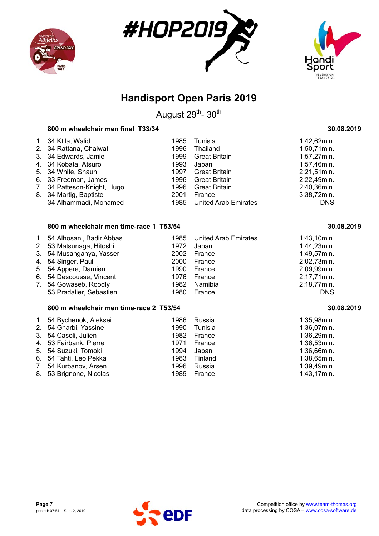





August 29<sup>th</sup>- 30<sup>th</sup>

### **800 m wheelchair men final T33/34 30.08.2019**

| 1. 34 Ktila, Walid          | 1985 | Tunisia                   | 1:42,62min.    |
|-----------------------------|------|---------------------------|----------------|
| 2. 34 Rattana, Chaiwat      | 1996 | Thailand                  | $1:50,71$ min. |
| 3. 34 Edwards, Jamie        | 1999 | <b>Great Britain</b>      | 1:57,27min.    |
| 4. 34 Kobata, Atsuro        | 1993 | Japan                     | 1:57,46min.    |
| 5. 34 White, Shaun          | 1997 | <b>Great Britain</b>      | 2:21,51min.    |
| 6. 33 Freeman, James        | 1996 | <b>Great Britain</b>      | 2:22,49min.    |
| 7. 34 Patteson-Knight, Hugo | 1996 | <b>Great Britain</b>      | 2:40,36min.    |
| 8. 34 Martig, Baptiste      | 2001 | France                    | 3:38,72min.    |
| 34 Alhammadi, Mohamed       |      | 1985 United Arab Emirates | <b>DNS</b>     |

#### **800 m wheelchair men time-race 1 T53/54 30.08.2019**

| 1. 54 Alhosani, Badir Abbas |      | 1985 United Arab Emirates | $1:43,10$ min. |
|-----------------------------|------|---------------------------|----------------|
| 2. 53 Matsunaga, Hitoshi    |      | 1972 Japan                | 1:44,23min.    |
| 3. 54 Musanganya, Yasser    | 2002 | France                    | 1:49,57min.    |
| 4. 54 Singer, Paul          |      | 2000 France               | 2:02,73min.    |
| 5. 54 Appere, Damien        | 1990 | France                    | 2:09,99min.    |
| 6. 54 Descousse, Vincent    |      | 1976 France               | 2:17,71min.    |
| 7. 54 Gowaseb, Roodly       |      | 1982 Namibia              | 2:18,77min.    |
| 53 Pradalier, Sebastien     | 1980 | France                    | <b>DNS</b>     |

#### **800 m wheelchair men time-race 2 T53/54 30.08.2019**

| 1. 54 Bychenok, Aleksei | 1986 | Russia       | 1:35,98min.    |
|-------------------------|------|--------------|----------------|
| 2. 54 Gharbi, Yassine   | 1990 | Tunisia      | 1:36,07min.    |
| 3. 54 Casoli, Julien    | 1982 | France       | 1:36,29min.    |
| 4. 53 Fairbank, Pierre  | 1971 | France       | $1:36,53$ min. |
| 5. 54 Suzuki, Tomoki    | 1994 | Japan        | 1:36,66min.    |
| 6. 54 Tahti, Leo Pekka  |      | 1983 Finland | 1:38,65min.    |
| 7. 54 Kurbanov, Arsen   | 1996 | Russia       | 1:39,49min.    |
| 8. 53 Brignone, Nicolas | 1989 | France       | $1:43,17$ min. |

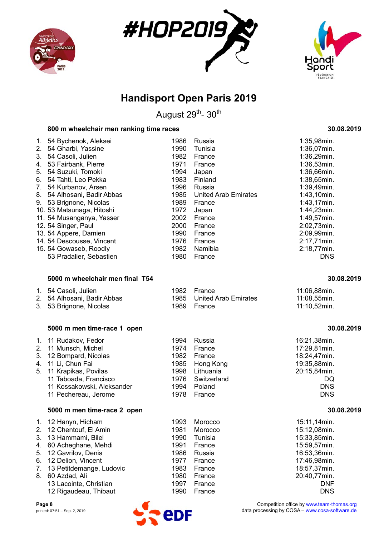





August 29<sup>th</sup>- 30<sup>th</sup>

#### **800 m wheelchair men ranking time races 30.08.2019**

| 1.             | 54 Bychenok, Aleksei      | 1986 | Russia                      | $1:35,98$ min. |
|----------------|---------------------------|------|-----------------------------|----------------|
| 2 <sub>1</sub> | 54 Gharbi, Yassine        | 1990 | Tunisia                     | $1:36,07$ min. |
|                |                           |      |                             |                |
| 3.             | 54 Casoli, Julien         | 1982 | France                      | 1:36,29min.    |
| 4.             | 53 Fairbank, Pierre       | 1971 | France                      | 1:36,53min.    |
| 5.             | 54 Suzuki, Tomoki         | 1994 | Japan                       | 1:36,66min.    |
| 6.             | 54 Tahti, Leo Pekka       | 1983 | Finland                     | 1:38,65min.    |
| 7.             | 54 Kurbanov, Arsen        | 1996 | Russia                      | 1:39,49min.    |
| 8.             | 54 Alhosani, Badir Abbas  | 1985 | <b>United Arab Emirates</b> | 1:43,10min.    |
| 9.             | 53 Brignone, Nicolas      | 1989 | France                      | $1:43,17$ min. |
|                | 10.53 Matsunaga, Hitoshi  | 1972 | Japan                       | 1:44,23min.    |
|                | 11. 54 Musanganya, Yasser | 2002 | France                      | 1:49,57min.    |
|                | 12. 54 Singer, Paul       | 2000 | France                      | 2:02,73min.    |
|                | 13. 54 Appere, Damien     | 1990 | France                      | 2:09,99min.    |
|                | 14. 54 Descousse, Vincent | 1976 | France                      | 2:17,71min.    |
|                | 15. 54 Gowaseb, Roodly    | 1982 | Namibia                     | 2:18,77min.    |
|                | 53 Pradalier, Sebastien   | 1980 | France                      | <b>DNS</b>     |

#### **5000 m wheelchair men final T54 30.08.2019**

| 1. 54 Casoli, Julien        | 1982 France               | 11:06,88min. |
|-----------------------------|---------------------------|--------------|
| 2. 54 Alhosani, Badir Abbas | 1985 United Arab Emirates | 11:08.55min. |
| 3. 53 Brignone, Nicolas     | 1989 France               | 11:10.52min. |

#### **5000 m men time-race 1 open 30.08.2019**

#### 1. 11 Rudakov, Fedor 1994 Russia 2. 11 Munsch, Michel 1974 France 3. 12 Bompard, Nicolas 1982 France

4. 11 Li, Chun Fai 1985 Hong Kong 5. 11 Krapikas, Povilas 1998 Lithuania 11 Taboada, Francisco 1976 Switzerland<br>11 Kossakowski, Aleksander 1994 Poland 11 Kossakowski, Aleksander 1994 Poland<br>11 Pechereau. Jerome 1978 France 11 Pechereau, Jerome

#### **5000 m men time-race 2 open 30.08.2019**

| 1. 12 Hanyn, Hicham         | 1993 | Morocco | 15:11,14min. |
|-----------------------------|------|---------|--------------|
| 2. 12 Chentouf, El Amin     | 1981 | Morocco | 15:12,08min. |
| 3. 13 Hammami, Bilel        | 1990 | Tunisia | 15:33,85min. |
| 4. 60 Acheghane, Mehdi      | 1991 | France  | 15:59,57min. |
| 5. 12 Gavrilov, Denis       | 1986 | Russia  | 16:53,36min. |
| 6. 12 Delion, Vincent       | 1977 | France  | 17:46,98min. |
| 7. 13 Petitdemange, Ludovic | 1983 | France  | 18:57,37min. |
| 8. 60 Azdad, Ali            | 1980 | France  | 20:40,77min. |
| 13 Lacointe, Christian      | 1997 | France  | DNF          |
| 12 Rigaudeau, Thibaut       | 1990 | France  | <b>DNS</b>   |



#### **Page 8** Competition office by www.team-thomas.org competition office by www.team-thomas.org competition of the street of the printed: 07:51 – Sep. 2, 2019 data processing by COSA – www.cosa-software.de

| 1982 France              | 11:06,88min.    |
|--------------------------|-----------------|
| 985 United Arab Emirates | 11:08,55min.    |
| 1989 France              | $11:10,52$ min. |

| 16:21,38min. |
|--------------|
| 17:29,81min. |
| 18:24,47min. |
| 19:35,88min. |
| 20:15,84min. |
| DO           |
| DNS          |
| DNS          |

| 15:11,14min. |
|--------------|
| 15:12,08min. |
| 15:33,85min. |
| 15:59,57min. |
| 16:53,36min. |
| 17:46,98min. |
| 18:57,37min. |
| 20:40,77min. |
| DNF          |
| רוחת         |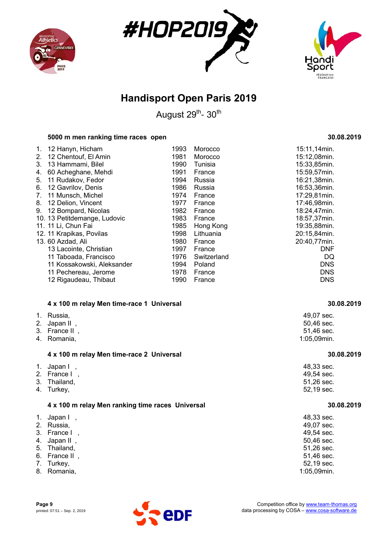





August 29<sup>th</sup>- 30<sup>th</sup>

#### **5000 m men ranking time races open 30.08.2019**

#### **4 x 100 m relay Men time-race 1 Universal 30.08.2019**

| 1. Russia,                    | 49,07 sec.               |
|-------------------------------|--------------------------|
| 2. Japan II,<br>3. France II, | 50,46 sec.<br>51,46 sec. |
| 4. Romania,                   | $1:05,09$ min.           |

#### **4 x 100 m relay Men time-race 2 Universal 30.08.2019**

| 4 x 100 m relay Men ranking time races Universal | 30.08.2019 |
|--------------------------------------------------|------------|
| 4. Turkey,                                       | 52,19 sec. |
| 3. Thailand,                                     | 51,26 sec. |
| 2. France I,                                     | 49,54 sec. |
| 1. Japan I,                                      | 48,33 sec. |
|                                                  |            |

| 1. | Japan I,<br>2. Russia,<br>3. France I<br>4. Japan II,<br>5. Thailand,<br>6. France II,<br>7. Turkey, | 48,33 sec.<br>49,07 sec.<br>49,54 sec.<br>50,46 sec.<br>51,26 sec.<br>51,46 sec.<br>52,19 sec. |
|----|------------------------------------------------------------------------------------------------------|------------------------------------------------------------------------------------------------|
|    | 8. Romania,                                                                                          | 1:05,09min.                                                                                    |
|    |                                                                                                      |                                                                                                |

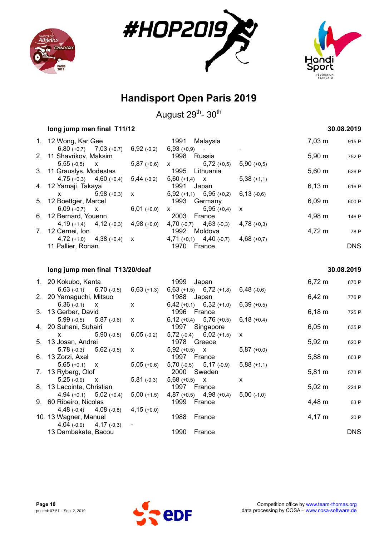





August 29<sup>th</sup>- 30<sup>th</sup>

|             | long jump men final T11/12  |               |                               |               |             | 30.08.2019 |  |
|-------------|-----------------------------|---------------|-------------------------------|---------------|-------------|------------|--|
|             | 1. 12 Wong, Kar Gee         |               | 1991<br>Malaysia              |               | 7.03 m      | 915 P      |  |
|             | $6,80 (+0,7)$ $7,03 (+0,7)$ | 6,92(.0,2)    | $6,93 (+0,9) -$               |               |             |            |  |
|             | 2. 11 Shavrikov, Maksim     |               | 1998 Russia                   |               | $5,90 \; m$ | 752 P      |  |
|             | $5,55(-0,5)$ X              | $5,87(+0,6)$  | $5,72 (+0,5)$<br>$\mathsf{X}$ | $5,90 (+0,5)$ |             |            |  |
|             | 3. 11 Grauslys, Modestas    |               | 1995 Lithuania                |               | $5,60 \; m$ | 626 P      |  |
|             | $4,75$ (+0,3) $4,60$ (+0,4) | $5,44$ (-0,2) | $5,60 (+1,4)$ X               | $5,38(+1,1)$  |             |            |  |
|             | 4. 12 Yamaji, Takaya        |               | 1991<br>Japan                 |               | $6,13 \; m$ | 616 P      |  |
|             | $5,98(+0,3)$<br>X —         | $\mathsf{X}$  | $5,92 (+1,1)$ $5,95 (+0,2)$   | $6,13$ (-0.6) |             |            |  |
|             | 5. 12 Boettger, Marcel      |               | 1993<br>Germany               |               | $6,09 \, m$ | 600 P      |  |
|             | $6,09 (+0,7)$ X             | $6,01 (+0,0)$ | $5,95(+0,4)$<br>$\mathsf{X}$  | $\mathsf{X}$  |             |            |  |
|             | 6. 12 Bernard, Youenn       |               | 2003<br>France                |               | 4,98 m      | 146 P      |  |
|             | $4,19 (+1,4)$ $4,12 (+0,3)$ | $4,98(+0,0)$  | $4,70(-0,7)$ $4,63(-0,3)$     | $4,78(+0,3)$  |             |            |  |
| $7_{\cdot}$ | 12 Cernei, Ion              |               | 1992 Moldova                  |               | 4,72 m      | 78 P       |  |
|             | $4,72 (+1,0)$ $4,38 (+0,4)$ | $\mathsf{X}$  | $4,71 (+0,1)$ $4,40 (+0,7)$   | $4,68(+0,7)$  |             |            |  |
|             | 11 Pallier, Ronan           |               | 1970<br>France                |               |             | <b>DNS</b> |  |
|             |                             |               |                               |               |             |            |  |

#### **long jump men final T13/20/deaf 30.08.2019**

#### 1. 20 Kokubo, Kanta 1999 Japan 1999 Japan 6,72 m 870 P 6,63 (-0,1) 6,70 (-0,5) 6,63 (+1,3) 6,63 (+1,5) 6,72 (+1,8) 6,48 (-0,6) 2. 20 Yamaguchi, Mitsuo 1988 Japan 6,39 (+0,5) 6,39 (+0,5) 6,36 (-0,1) x x 6,42 m 776 P 6,36 (-0,1)  $x$   $x$  6,42 (+0,1) 6,32 (+1,0) 3. 13 Gerber, David 1996 France 6,18 m 725 P 5,99 (-0,5) 5,87 (-0,6) x 6,12 (+0,4) 5,76 (+0,5) 6,18 (+0,4) 4. 20 Suhani, Suhairi 1997 Singapore 6,05 m 635 P<br>
x 5,90 (-0,5) 6,05 (-0,2) 5,72 (-0,4) 6,02 (+1,5) x 6,05 m 635 P x 5,90 (-0,5) 6,05 (-0,2) 5,72 (-0,4) 6,02 (+1,5) x 5. 13 Josan, Andrei 1978 Greece 5,92 m 620 P 5,78 (-0,3) 5,62 (-0,5) x 5,92 (+0,5) x 5,87 (+0,0) 6. 13 Zorzi, Axel **1997** France 5,88 m 603 P 5,65 (+0,1) x 5,05 (+0,6) 5,70 (-0,5) 5,17 (-0,9) 5,88 (+1,1) 7. 13 Ryberg, Olof 2000 Sweden 5,81 m 573 P 5,25 (-0,9)  $x$  5,81 (-0,3) 5,68 (+0,5)  $x$   $x$ 8. 13 Lacointe, Christian 1997 France 5,02 m 224 P 4,94 (+0,1) 5,02 (+0,4) 5,00 (+1,5) 4,87 (+0,5) 4,98 (+0,4) 5,00 (-1,0) 9. 60 Ribeiro, Nicolas 1999 France 4,48 m 63 P 4,48 (-0,4) 4,08 (-0,8) 4,15 (+0,0) 10. 13 Wagner, Manuel 1988 France 1988 France 4,17 m 20 P  $4,04$  (-0,9)  $4,17$  (-0,3) 13 Dambakate, Bacou 1990 France DNS

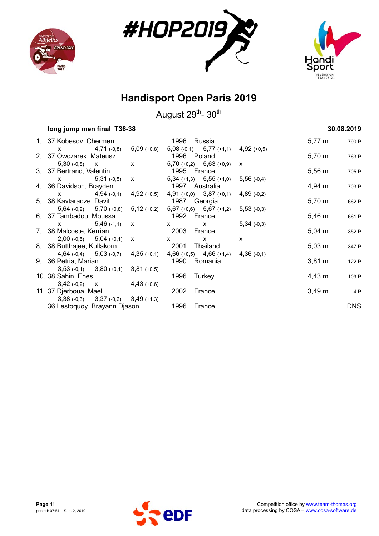





| long jump men final T36-38 |                                           |                                                                                                                                                                                                                                                                                                                                                                      |                                                                                                                                                                                                                                                                                                                  |               | 30.08.2019          |            |
|----------------------------|-------------------------------------------|----------------------------------------------------------------------------------------------------------------------------------------------------------------------------------------------------------------------------------------------------------------------------------------------------------------------------------------------------------------------|------------------------------------------------------------------------------------------------------------------------------------------------------------------------------------------------------------------------------------------------------------------------------------------------------------------|---------------|---------------------|------------|
|                            | 1. 37 Kobesov, Chermen                    |                                                                                                                                                                                                                                                                                                                                                                      | 1996 Russia                                                                                                                                                                                                                                                                                                      |               | $5,77 \; m$         | 790 P      |
|                            | $4,71$ (-0,8)<br>X.                       | $5,09$ (+0,8)                                                                                                                                                                                                                                                                                                                                                        | $5,08$ (-0,1) $5,77$ (+1,1) $4,92$ (+0,5)                                                                                                                                                                                                                                                                        |               |                     |            |
|                            | 2. 37 Owczarek, Mateusz                   |                                                                                                                                                                                                                                                                                                                                                                      | 1996 Poland                                                                                                                                                                                                                                                                                                      |               | 5,70 m              | 763 P      |
|                            | $5,30(-0,8)$ X                            | $\boldsymbol{X}$ and $\boldsymbol{X}$ and $\boldsymbol{X}$ and $\boldsymbol{X}$ and $\boldsymbol{X}$ and $\boldsymbol{X}$ and $\boldsymbol{X}$ and $\boldsymbol{X}$ and $\boldsymbol{X}$ and $\boldsymbol{X}$ and $\boldsymbol{X}$ and $\boldsymbol{X}$ and $\boldsymbol{X}$ and $\boldsymbol{X}$ and $\boldsymbol{X}$ and $\boldsymbol{X}$ and $\boldsymbol{X}$ and | $5,70 (+0,2)$ $5,63 (+0,9)$ x                                                                                                                                                                                                                                                                                    |               |                     |            |
|                            | 3. 37 Bertrand, Valentin                  |                                                                                                                                                                                                                                                                                                                                                                      | 1995 France                                                                                                                                                                                                                                                                                                      |               | $5,56 \; m$         | 705 P      |
|                            | $x = 5,31(-0,5)$ x                        |                                                                                                                                                                                                                                                                                                                                                                      | $5,34$ (+1,3) $5,55$ (+1,0)                                                                                                                                                                                                                                                                                      | $5,56(-0,4)$  |                     |            |
|                            | 4. 36 Davidson, Brayden                   |                                                                                                                                                                                                                                                                                                                                                                      | 1997 Australia                                                                                                                                                                                                                                                                                                   |               | 4,94 m              | 703 P      |
|                            |                                           |                                                                                                                                                                                                                                                                                                                                                                      | $x$ 4,94 (-0,1) 4,92 (+0,5) 4,91 (+0,0) 3,87 (+0,1)                                                                                                                                                                                                                                                              | $4,89$ (-0,2) |                     |            |
|                            | 5. 38 Kavtaradze, Davit                   |                                                                                                                                                                                                                                                                                                                                                                      | 1987 Georgia                                                                                                                                                                                                                                                                                                     |               | $5,70 \; m$         | 662 P      |
|                            |                                           |                                                                                                                                                                                                                                                                                                                                                                      | $5,64$ (-0,9) $5,70$ (+0,8) $5,12$ (+0,2) $5,67$ (+0,6) $5,67$ (+1,2) $5,53$ (-0,3)                                                                                                                                                                                                                              |               |                     |            |
|                            | 6. 37 Tambadou, Moussa                    |                                                                                                                                                                                                                                                                                                                                                                      | 1992 France                                                                                                                                                                                                                                                                                                      |               | 5,46 m              | 661 P      |
|                            | $\mathsf{X}$ 5,46 (-1,1)                  | $\mathsf{x}$                                                                                                                                                                                                                                                                                                                                                         | $\mathsf{X}$<br>$\mathsf{X}$ and $\mathsf{X}$ and $\mathsf{X}$ are $\mathsf{X}$ and $\mathsf{X}$ are $\mathsf{X}$ and $\mathsf{X}$ are $\mathsf{X}$ and $\mathsf{X}$ are $\mathsf{X}$ and $\mathsf{X}$ are $\mathsf{X}$ and $\mathsf{X}$ are $\mathsf{X}$ and $\mathsf{X}$ are $\mathsf{X}$ and $\mathsf{X}$ are | $5,34(-0,3)$  |                     |            |
|                            | 7. 38 Malcoste, Kerrian                   |                                                                                                                                                                                                                                                                                                                                                                      | 2003 France                                                                                                                                                                                                                                                                                                      |               | $5,04 \, m$         | 352 P      |
|                            | $2,00(-0,5)$ $5,04(+0,1)$ x               |                                                                                                                                                                                                                                                                                                                                                                      | $\mathsf{X}$ and $\mathsf{X}$ and $\mathsf{X}$ are $\mathsf{X}$ and $\mathsf{X}$ are $\mathsf{X}$ and $\mathsf{X}$ are $\mathsf{X}$ and $\mathsf{X}$ are $\mathsf{X}$ and $\mathsf{X}$ are $\mathsf{X}$ and $\mathsf{X}$ are $\mathsf{X}$ and $\mathsf{X}$ are $\mathsf{X}$ and $\mathsf{X}$ are<br>$\mathsf{X}$ | X             |                     |            |
|                            | 8. 38 Butthajee, Kullakorn                |                                                                                                                                                                                                                                                                                                                                                                      | 2001 Thailand                                                                                                                                                                                                                                                                                                    |               | $5,03 \; m$         | 347 P      |
|                            | 4,64 $(-0,4)$ 5,03 $(-0,7)$ 4,35 $(+0,1)$ |                                                                                                                                                                                                                                                                                                                                                                      | $4,66 (+0,5)$ $4,66 (+1,4)$ $4,36 (+0,1)$                                                                                                                                                                                                                                                                        |               |                     |            |
|                            | 9. 36 Petria, Marian                      |                                                                                                                                                                                                                                                                                                                                                                      | 1990 Romania                                                                                                                                                                                                                                                                                                     |               | $3,81 \,\mathrm{m}$ | 122 P      |
|                            | $3,53(-0,1)$ $3,80(+0,1)$ $3,81(+0,5)$    |                                                                                                                                                                                                                                                                                                                                                                      |                                                                                                                                                                                                                                                                                                                  |               |                     |            |
|                            | 10. 38 Sahin, Enes                        |                                                                                                                                                                                                                                                                                                                                                                      | 1996 Turkey                                                                                                                                                                                                                                                                                                      |               | $4,43 \; m$         | 109 P      |
|                            | $3,42 (-0,2)$ x $4,43 (+0,6)$             |                                                                                                                                                                                                                                                                                                                                                                      |                                                                                                                                                                                                                                                                                                                  |               |                     |            |
|                            | 11. 37 Djerboua, Mael                     |                                                                                                                                                                                                                                                                                                                                                                      | 2002 France                                                                                                                                                                                                                                                                                                      |               | $3,49 \, \text{m}$  | 4 P        |
|                            | $3,38(-0,3)$ $3,37(-0,2)$ $3,49(+1,3)$    |                                                                                                                                                                                                                                                                                                                                                                      |                                                                                                                                                                                                                                                                                                                  |               |                     |            |
|                            | 36 Lestoquoy, Brayann Djason              |                                                                                                                                                                                                                                                                                                                                                                      | 1996 France                                                                                                                                                                                                                                                                                                      |               |                     | <b>DNS</b> |

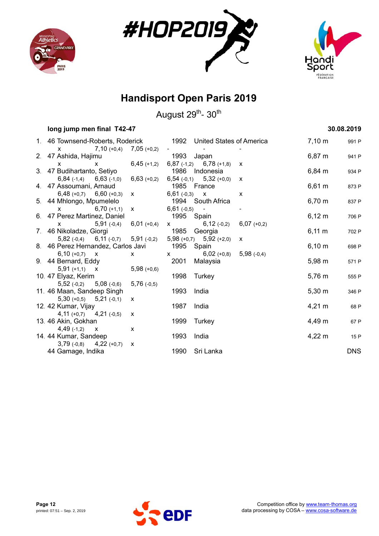





| long jump men final T42-47                                                     |                                                                                                                                                                                                                                                                                                  |                     |                                                                     |              |                    | 30.08.2019 |
|--------------------------------------------------------------------------------|--------------------------------------------------------------------------------------------------------------------------------------------------------------------------------------------------------------------------------------------------------------------------------------------------|---------------------|---------------------------------------------------------------------|--------------|--------------------|------------|
| 1. 46 Townsend-Roberts, Roderick 1992 United States of America                 |                                                                                                                                                                                                                                                                                                  |                     |                                                                     |              | $7,10 \; \text{m}$ | 991 P      |
| $7,10 (+0,4)$ $7,05 (+0,2)$<br>$\mathsf{X}$                                    |                                                                                                                                                                                                                                                                                                  | <b>All Contract</b> |                                                                     |              |                    |            |
| 2. 47 Ashida, Hajimu                                                           |                                                                                                                                                                                                                                                                                                  |                     | 1993 Japan                                                          |              | $6,87 \; m$        | 941 P      |
| $\mathsf{x}$                                                                   | $x = 6,45 (+1,2)$                                                                                                                                                                                                                                                                                |                     | $6,87$ (-1,2) $6,78$ (+1,8)                                         | $\mathsf{x}$ |                    |            |
| 3. 47 Budihartanto, Setiyo                                                     |                                                                                                                                                                                                                                                                                                  |                     | 1986 Indonesia                                                      |              | $6,84 \, m$        | 934 P      |
| $6,84$ (-1,4) $6,63$ (-1,0) $6,63$ (+0,2)                                      |                                                                                                                                                                                                                                                                                                  |                     | $6,54$ (-0,1) $5,32$ (+0,0) $\times$                                |              |                    |            |
| 4. 47 Assoumani, Arnaud                                                        |                                                                                                                                                                                                                                                                                                  | 1985 France         |                                                                     |              | $6,61 \; m$        | 873 P      |
| $6,48$ (+0,7) $6,60$ (+0,3)                                                    | $\mathsf{X}$ and $\mathsf{X}$ and $\mathsf{X}$ are $\mathsf{X}$ and $\mathsf{X}$ are $\mathsf{X}$ and $\mathsf{X}$ are $\mathsf{X}$ and $\mathsf{X}$ are $\mathsf{X}$ and $\mathsf{X}$ are $\mathsf{X}$ and $\mathsf{X}$ are $\mathsf{X}$ are $\mathsf{X}$ and $\mathsf{X}$ are $\mathsf{X}$ and |                     | $6,61(-0,3)$ X                                                      | X            |                    |            |
| 5. 44 Mhlongo, Mpumelelo                                                       |                                                                                                                                                                                                                                                                                                  |                     | 1994 South Africa                                                   |              | $6,70 \; m$        | 837 P      |
| $6,70$ (+1,1)<br>$\mathsf{X}$                                                  | $x = 6,61(-0,5)$                                                                                                                                                                                                                                                                                 |                     | $\sim$                                                              |              |                    |            |
| 6. 47 Perez Martinez, Daniel                                                   |                                                                                                                                                                                                                                                                                                  |                     | 1995 Spain                                                          |              | $6,12 \; m$        | 706 P      |
| $5,91(-0,4)$<br>$\boldsymbol{\mathsf{X}}$                                      | $6,01 (+0,4)$                                                                                                                                                                                                                                                                                    |                     | $\begin{array}{ccc} x & 6,12(-0,2) & 6,07(+0,2) \end{array}$        |              |                    |            |
| 7. 46 Nikoladze, Giorgi                                                        |                                                                                                                                                                                                                                                                                                  |                     | 1985 Georgia                                                        |              | $6,11 \; m$        | 702 P      |
| $5,82$ (-0,4) $6,11$ (-0,7) $5,91$ (-0,2) $5,98$ (+0,7) $5,92$ (+2,0) $\times$ |                                                                                                                                                                                                                                                                                                  |                     |                                                                     |              |                    |            |
| 8. 46 Perez Hernandez, Carlos Javi 1995 Spain                                  |                                                                                                                                                                                                                                                                                                  |                     |                                                                     |              | $6,10 \; m$        | 698 P      |
| $6,10 (+0,7)$ x                                                                | $\mathsf{X}$ and $\mathsf{X}$ and $\mathsf{X}$ are $\mathsf{X}$ and $\mathsf{X}$ are $\mathsf{X}$ and $\mathsf{X}$ are $\mathsf{X}$ and $\mathsf{X}$ are $\mathsf{X}$ and $\mathsf{X}$ are $\mathsf{X}$ and $\mathsf{X}$ are $\mathsf{X}$ and $\mathsf{X}$ are $\mathsf{X}$ and $\mathsf{X}$ are |                     | $\begin{array}{ccc} \times & 6,02 (+0,8) & 5,98 (+0,4) \end{array}$ |              |                    |            |
| 9. 44 Bernard, Eddy                                                            |                                                                                                                                                                                                                                                                                                  |                     | 2001 Malaysia                                                       |              | $5,98 \; m$        | 571 P      |
| $5,91 (+1,1)$ X                                                                | $5,98 (+0,6)$                                                                                                                                                                                                                                                                                    |                     |                                                                     |              |                    |            |
| 10. 47 Elyaz, Kerim                                                            |                                                                                                                                                                                                                                                                                                  |                     | 1998 Turkey                                                         |              | $5,76 \; m$        | 555 P      |
| $5,52(-0,2)$ $5,08(-0,6)$                                                      | $5,76(+0,5)$                                                                                                                                                                                                                                                                                     |                     |                                                                     |              |                    |            |
| 11. 46 Maan, Sandeep Singh                                                     |                                                                                                                                                                                                                                                                                                  | 1993                | India                                                               |              | $5,30 \; m$        | 346 P      |
| $5,30 (+0,5)$ $5,21 (+0,1)$                                                    | $\mathsf{x}$                                                                                                                                                                                                                                                                                     |                     |                                                                     |              |                    |            |
| 12. 42 Kumar, Vijay                                                            |                                                                                                                                                                                                                                                                                                  | 1987                | India                                                               |              | $4,21 \; m$        | 68 P       |
| $4,11 (+0,7)$ $4,21 (+0,5)$                                                    | X                                                                                                                                                                                                                                                                                                |                     |                                                                     |              |                    |            |
| 13. 46 Akin, Gokhan                                                            |                                                                                                                                                                                                                                                                                                  | 1999                | Turkey                                                              |              | 4,49 m             | 67 P       |
| $4,49(-1,2)$ X                                                                 | X                                                                                                                                                                                                                                                                                                |                     |                                                                     |              |                    |            |
| 14. 44 Kumar, Sandeep                                                          |                                                                                                                                                                                                                                                                                                  | 1993                | India                                                               |              | $4,22 \, m$        | 15 P       |
| $3,79(-0,8)$ $4,22(+0,7)$                                                      | X                                                                                                                                                                                                                                                                                                |                     |                                                                     |              |                    |            |
| 44 Gamage, Indika                                                              |                                                                                                                                                                                                                                                                                                  |                     | 1990 Sri Lanka                                                      |              |                    | <b>DNS</b> |

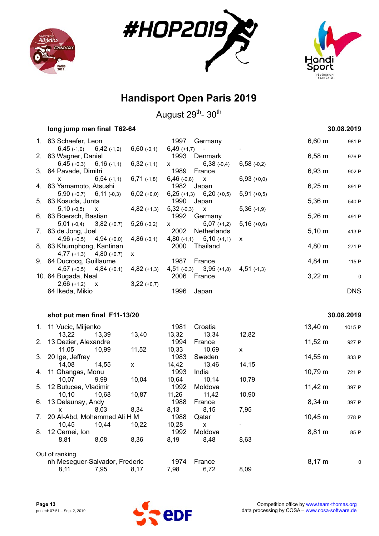





|    | long jump men final T62-64                             |                    |               |                                |                    |              | 30.08.2019 |
|----|--------------------------------------------------------|--------------------|---------------|--------------------------------|--------------------|--------------|------------|
|    | 1. 63 Schaefer, Leon                                   |                    | 1997          | Germany                        |                    | $6,60 \; m$  | 981 P      |
|    | $6,45$ (-1,0)<br>$6,42$ (-1,2)                         | $6,60(-0,1)$       | $6,49 (+1,7)$ |                                |                    |              |            |
| 2. | 63 Wagner, Daniel                                      |                    | 1993          | Denmark                        |                    | $6,58 \; m$  | 976 P      |
|    | $6,45 (+0,3)$<br>$6,16$ (-1,1)                         | 6,32(.1,1)         | X.            | $6,38$ (-0,4)                  | $6,58$ $(-0,2)$    |              |            |
|    | 3. 64 Pavade, Dimitri                                  |                    | 1989          | France                         |                    | 6,93 m       | 902 P      |
|    | $6,54(+1,1)$<br>x                                      | $6,71(-1,8)$       | $6,46$ (-0,8) | <b>X</b>                       | $6,93 (+0,0)$      |              |            |
|    | 4. 63 Yamamoto, Atsushi                                |                    | 1982          | Japan                          |                    | $6,25 \; m$  | 891 P      |
|    | $5,90 (+0,7)$ 6,11 (-0,3)                              | $6,02 (+0,0)$      | $6,25 (+1,3)$ | $6,20 (+0,5)$                  | $5,91 (+0,5)$      |              |            |
|    | 5. 63 Kosuda, Junta                                    |                    |               | 1990 Japan                     |                    | $5,36 \; m$  | 540 P      |
|    | $5,10(-0,5)$<br>X                                      | $4,82 (+1,3)$      | 5,32(.0,3)    | X                              | $5,36(+1,9)$       |              |            |
|    | 6. 63 Boersch, Bastian                                 |                    | 1992          | Germany                        |                    | $5,26 \; m$  | 491 P      |
|    | $5,01(-0,4)$<br>$3,82 (+0,7)$                          | $5,26(-0,2)$       | X.            | $5,07 (+1,2)$                  | $5,16 (+0,6)$      |              |            |
|    | 7. 63 de Jong, Joel                                    |                    | 2002          | Netherlands                    |                    | $5,10 \; m$  | 413 P      |
|    | $4,96(+0,5)$<br>$4,94(+0,0)$                           | $4,86(-0,1)$       | $4,80$ (-1,1) | $5,10 (+1,1)$<br>2000 Thailand | х                  | 4,80 m       |            |
|    | 8. 63 Khumphong, Kantinan<br>$4,77 (+1,3) 4,80 (+0,7)$ | X                  |               |                                |                    |              | 271 P      |
|    | 9. 64 Ducrocq, Guillaume                               |                    | 1987          | France                         |                    | 4,84 m       | 115 P      |
|    | $4,57 (+0,5)$ $4,84 (+0,1)$                            | $4,82 (+1,3)$      |               | $4,51(-0,3)$ $3,95(+1,8)$      | $4,51$ (-1,3)      |              |            |
|    | 10. 64 Bugada, Neal                                    |                    | 2006          | France                         |                    | $3,22 \, m$  | $\pmb{0}$  |
|    | $2,66 (+1,2)$ X                                        | $3,22 (+0,7)$      |               |                                |                    |              |            |
|    | 64 Ikeda, Mikio                                        |                    | 1996          | Japan                          |                    |              | <b>DNS</b> |
|    |                                                        |                    |               |                                |                    |              |            |
|    | shot put men final F11-13/20                           |                    |               |                                |                    |              | 30.08.2019 |
|    |                                                        |                    | 1981          | Croatia                        |                    | $13,40 \; m$ |            |
|    | 1. 11 Vucic, Miljenko<br>13,22<br>13,39                | 13,40              | 13,32         | 13,34                          | 12,82              |              | 1015 P     |
| 2. | 13 Dezier, Alexandre                                   |                    | 1994          | France                         |                    | $11,52 \; m$ | 927 P      |
|    | 11,05<br>10,99                                         | 11,52              | 10,33         | 10,69                          | $\pmb{\mathsf{X}}$ |              |            |
| 3. | 20 Ige, Jeffrey                                        |                    | 1983          | Sweden                         |                    | 14,55 m      | 833 P      |
|    | 14,08<br>14,55                                         | $\pmb{\mathsf{X}}$ | 14,42         | 13,46                          | 14,15              |              |            |
| 4. | 11 Ghangas, Monu                                       |                    | 1993          | India                          |                    | $10,79 \; m$ | 721 P      |
|    | 10,07<br>9,99                                          | 10,04              | 10,64         | 10,14                          | 10,79              |              |            |
| 5. | 12 Butucea, Vladimir                                   |                    | 1992          | Moldova                        |                    | $11,42 \; m$ | 397 P      |
|    | 10, 10<br>10,68                                        | 10,87              | 11,26         | 11,42                          | 10,90              |              |            |
|    | 6. 13 Delaunay, Andy                                   |                    | 1988          | France                         |                    | $8,34 \, m$  | 397 P      |
|    | x 8,03                                                 | 8,34               | 8,13          | 8,15                           | 7,95               |              |            |
| 7. | 20 Al-Abd, Mohammed Ali H M                            |                    | 1988          | Qatar                          |                    | 10,45 m      | 278 P      |
|    | 10,45<br>10,44                                         | 10,22              | 10,28         | $\mathsf{X}$                   |                    |              |            |
| 8. | 12 Cernei, Ion                                         |                    | 1992          | Moldova                        |                    | 8,81 m       | 85 P       |
|    | 8,81<br>8,08                                           | 8,36               | 8,19          | 8,48                           | 8,63               |              |            |
|    | Out of ranking                                         |                    |               |                                |                    |              |            |
|    | nh Meseguer-Salvador, Frederic                         |                    | 1974          | France                         |                    | 8,17 m       | 0          |
|    | 8,11<br>7,95                                           | 8,17               | 7,98          | 6,72                           | 8,09               |              |            |

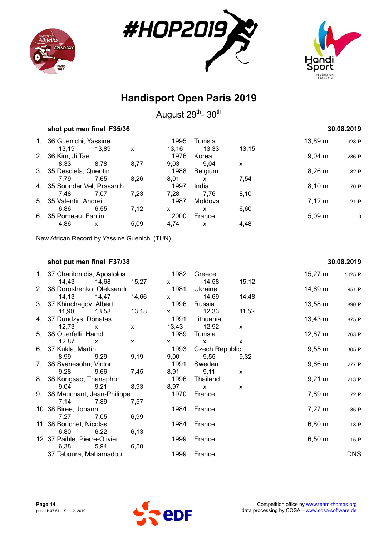





August 29<sup>th</sup>- 30<sup>th</sup>

| shot put men final F35/36   |       |      |       |                | 30.08.2019 |              |       |
|-----------------------------|-------|------|-------|----------------|------------|--------------|-------|
| 1. 36 Guenichi, Yassine     |       |      | 1995  | Tunisia        |            | $13,89 \; m$ | 928 P |
| 13.19                       | 13.89 | X    | 13,16 | 13.33          | 13,15      |              |       |
| 2. 36 Kim, Ji Tae           |       |      | 1976  | Korea          |            | $9,04 \, m$  | 236 P |
| 8.33                        | 8.78  | 8,77 | 9,03  | 9.04           | X          |              |       |
| 3. 35 Desclefs, Quentin     |       |      | 1988  | <b>Belgium</b> |            | $8,26 \, m$  | 82 P  |
| 7.79                        | 7.65  | 8,26 | 8,01  | X              | 7,54       |              |       |
| 4. 35 Sounder Vel, Prasanth |       |      | 1997  | India          |            | 8,10 m       | 70 P  |
| 7.48                        | 7.07  | 7.23 | 7.28  | 7.76           | 8,10       |              |       |
| 5. 35 Valentir, Andrei      |       |      | 1987  | Moldova        |            | $7,12 \; m$  | 21 P  |
| 6.86                        | 6.55  | 7,12 | x     | x              | 6,60       |              |       |
| 6. 35 Pomeau, Fantin        |       |      | 2000  | France         |            | $5,09 \; m$  | 0     |
| 4.86                        | X     | 5,09 | 4.74  | X              | 4,48       |              |       |

New African Record by Yassine Guenichi (TUN)

#### **shot put men final F37/38 30.08.2019**

#### 1. 37 Charitonidis, Apostolos 1982 Greece 15,27 m 1025 P 14,43 14,68 15,27 x 14,58 15,12 2. 38 Doroshenko, Oleksandr 1981 Ukraine 14,69 m 951 P 14,13 14,47 14,66 x 14,69 14,48 3. 37 Khinchagov, Albert 1996 Russia 1996 Russia 13,58 m 890 P 11,90 13,58 13,18 x 12,33 11,52 4. 37 Dundzys, Donatas **1991** Lithuania 13,43 m 875 P 12,73 x x 13,43 12,92 x 5. 38 Ouerfelli, Hamdi 1989 Tunisia 12,87 m 763 P 12,87 x x x x x 6. 37 Kukla, Martin **1993** Czech Republic 9,55 m 305 P 8,99 9,29 9,19 9,00 9,55 9,32 7. 38 Svanesohn, Victor 1991 Sweden 9,66 m 277 P 9,28 9,66 7,45 8,91 9,11 x 8. 38 Kongsao, Thanaphon 1996 Thailand 1996 Thailand 9,21 m 213 P 9,04 9,21 8,93 8,97 x x 9. 38 Mauchant, Jean-Philippe 1970 France 1970 France 7,89 m 72 P 7,14 7,89 7,57 10. 38 Biree, Johann 1984 France 1984 France 7,27 m 35 P 7,27 7,05 6,99 11. 38 Bouchet, Nicolas 1984 France 6,80 m 18 P 6,80 6,22 6,13 12. 37 Paihle, Pierre-Olivier 1999 France 1999 France 6,50 m 15 P 6,38 5,94 6,50 37 Taboura, Mahamadou 1999 France DNS

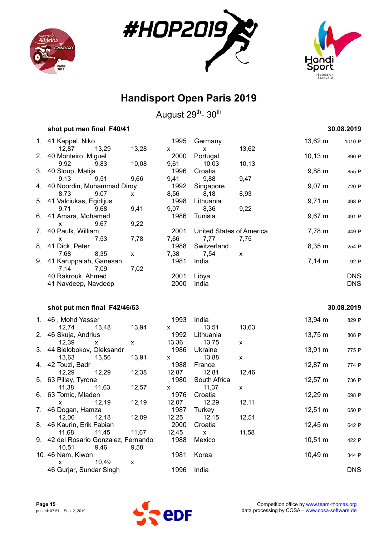





|    | shot put men final F40/41                                |                            |                   |                              |              |                    | 30.08.2019               |
|----|----------------------------------------------------------|----------------------------|-------------------|------------------------------|--------------|--------------------|--------------------------|
|    | 1. 41 Kappel, Niko<br>13,29<br>12,87                     | 13,28                      | 1995              | Germany<br>$\mathsf{X}$      | 13,62        | 13,62 m            | 1010 P                   |
|    | 2. 40 Monteiro, Miguel<br>9,92<br>9,83                   | 10,08                      | x<br>2000<br>9,61 | Portugal<br>10,03            | 10, 13       | $10,13 \; m$       | 890 P                    |
|    | 3. 40 Sloup, Matija<br>9,51<br>9,13                      | 9,66                       | 1996<br>9,41      | Croatia<br>9,88              | 9,47         | $9,88 \, \text{m}$ | 855 P                    |
|    | 4. 40 Noordin, Muhammad Diroy<br>9,07                    | $\mathsf{x}$               | 1992<br>8,56      | Singapore<br>8,18            | 8,93         | $9,07 \; m$        | 720 P                    |
|    | 8,73<br>5. 41 Valciukas, Egidijus                        |                            | 1998              | Lithuania                    |              | $9,71 \text{ m}$   | 498 P                    |
|    | 9,71<br>9,68<br>6. 41 Amara, Mohamed                     | 9,41                       | 9,07<br>1986      | 8,36<br>Tunisia              | 9,22         | $9,67 \; m$        | 491 P                    |
| 7. | 9,67<br>X.<br>40 Paulk, William                          | 9,22                       | 2001              | United States of America     |              | 7,78 m             | 449 P                    |
| 8. | 7,53<br>x.<br>41 Dick, Peter                             | 7,78                       | 7,66<br>1988      | 7,77<br>Switzerland          | 7,75         | 8,35 m             | 254 P                    |
| 9. | 8,35<br>7,68<br>41 Karuppaiah, Ganesan                   | $\mathsf X$                | 7,38<br>1981      | 7,54<br>India                | $\mathsf{x}$ | $7,14 \, m$        | 92 P                     |
|    | 7,14<br>7,09<br>40 Rakrouk, Ahmed<br>41 Navdeep, Navdeep | 7,02                       | 2001<br>2000      | Libya<br>India               |              |                    | <b>DNS</b><br><b>DNS</b> |
|    | shot put men final F42/46/63                             |                            |                   |                              |              |                    | 30.08.2019               |
|    |                                                          |                            |                   |                              |              |                    |                          |
|    | 1. 46, Mohd Yasser                                       |                            | 1993              | India                        |              | $13,94 \; m$       | 829 P                    |
| 2. | 13,48<br>12,74<br>46 Skuja, Andrius                      | 13,94                      | x.<br>1992        | 13,51<br>Lithuania           | 13,63        | 13,75 m            | 808 P                    |
| 3. | 12,39<br>X<br>44 Bielobokov, Oleksandr                   | X                          | 13,36<br>1986     | 13,75<br>Ukraine             | X            | $13,91 \; m$       | 775 P                    |
|    | 13,63<br>13,56<br>4. 42 Touzi, Badr                      | 13,91                      | x.<br>1988        | 13,88<br>France              | X            | 12,87 m            | 774 P                    |
| 5. | 12,29<br>12,29<br>63 Pillay, Tyrone                      | 12,38                      | 12,87<br>1980     | 12,81<br>South Africa        | 12,46        | $12,57 \; m$       | 736 P                    |
|    | 11,63<br>11,38<br>6. 63 Tomic, Mladen                    | 12,57                      | X.<br>1976        | 11,37<br>Croatia             | X            | 12,29 m            | 698 P                    |
|    | 12,19<br>X<br>7. 46 Dogan, Hamza                         | 12,19                      | 12,07             | 12,29<br>1987 Turkey         | 12,11        | 12,51 m            | 650 P                    |
| 8. | 12,06<br>12,18<br>46 Kaurin, Erik Fabian                 | 12,09                      | 12,25<br>2000     | 12,15<br>Croatia             | 12,51        | 12,45 m            | 642 P                    |
| 9. | 11,68<br>11,45<br>42 del Rosario Gonzalez, Fernando      | 11,67                      | 12,45<br>1988     | $\pmb{\mathsf{x}}$<br>Mexico | 11,58        | $10,51 \text{ m}$  | 422 P                    |
|    | 10,51<br>9,46<br>10. 46 Nam, Kiwon<br>10,49<br>x         | 9,58<br>$\pmb{\mathsf{x}}$ | 1981              | Korea                        |              | 10,49 m            | 344 P                    |

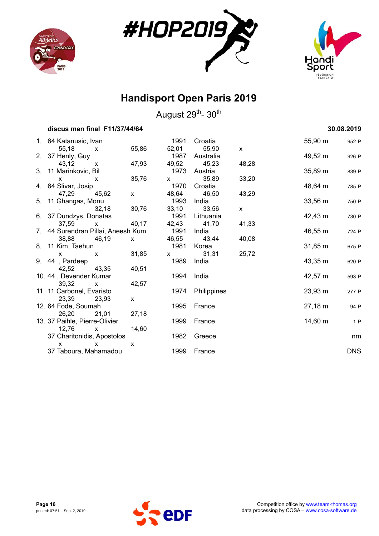





| discus men final F11/37/44/64                      |              |               |                    |          |                     | 30.08.2019 |
|----------------------------------------------------|--------------|---------------|--------------------|----------|---------------------|------------|
| 1. 64 Katanusic, Ivan                              |              | 1991          | Croatia            |          | 55,90 m             | 952 P      |
| 55,18<br>$\mathsf{X}$                              | 55,86        | 52,01<br>1987 | 55,90              | <b>X</b> |                     |            |
| 2. 37 Henly, Guy<br>43,12<br>$\mathsf{x}$          | 47,93        | 49,52         | Australia<br>45,23 | 48,28    | 49,52 m             | 926 P      |
| 3. 11 Marinkovic, Bil                              |              | 1973          | Austria            |          | 35,89 m             | 839 P      |
| $\mathsf{x}$<br>$\mathsf{x}$                       | 35,76        | $\mathsf{X}$  | 35,89              | 33,20    |                     |            |
| 4. 64 Slivar, Josip                                |              | 1970          | Croatia            |          | 48,64 m             | 785 P      |
| 47,29<br>45,62                                     | $\mathsf{x}$ | 48,64         | 46,50              | 43,29    |                     |            |
| 5. 11 Ghangas, Monu                                |              | 1993          | India              |          | 33,56 m             | 750 P      |
| 32,18                                              | 30,76        | 33,10         | 33,56              | <b>X</b> |                     |            |
| 6. 37 Dundzys, Donatas                             |              | 1991          | Lithuania          |          | 42,43 m             | 730 P      |
| 37,59<br>$\mathsf{x}$                              | 40,17        |               | 42,43 41,70        | 41,33    |                     |            |
| 7. 44 Surendran Pillai, Aneesh Kum                 |              | 1991          | India              |          | 46,55 m             | 724 P      |
| 38,88<br>46,19                                     | X            | 46,55         | 43,44              | 40,08    |                     |            |
| 8. 11 Kim, Taehun                                  |              | 1981          | Korea              |          | $31,85 \; m$        | 675 P      |
| $\mathsf{x}$<br>$\mathsf{x}$                       | 31,85        | $\mathsf{x}$  | 31,31              | 25,72    |                     |            |
| 9. 44 ., Pardeep                                   |              | 1989          | India              |          | 43,35 m             | 620 P      |
| 43,35<br>42,52                                     | 40,51        |               |                    |          |                     |            |
| 10. 44, Devender Kumar                             |              | 1994          | India              |          | 42,57 m             | 593 P      |
| 39,32<br>$\mathsf{x}$<br>11. 11 Carbonel, Evaristo | 42,57        | 1974          |                    |          | $23,93 \, \text{m}$ |            |
| 23,39<br>23,93                                     | X            |               | Philippines        |          |                     | 277 P      |
| 12. 64 Fode, Soumah                                |              | 1995          | France             |          | 27,18 m             | 94 P       |
| 26,20<br>21,01                                     | 27,18        |               |                    |          |                     |            |
| 13. 37 Paihle, Pierre-Olivier                      |              | 1999          | France             |          | $14,60 \; m$        | 1P         |
| 12,76<br>$\mathsf{x}$                              | 14,60        |               |                    |          |                     |            |
| 37 Charitonidis, Apostolos                         |              | 1982          | Greece             |          |                     | nm         |
| x<br>x                                             | X            |               |                    |          |                     |            |
| 37 Taboura, Mahamadou                              |              | 1999          | France             |          |                     | <b>DNS</b> |

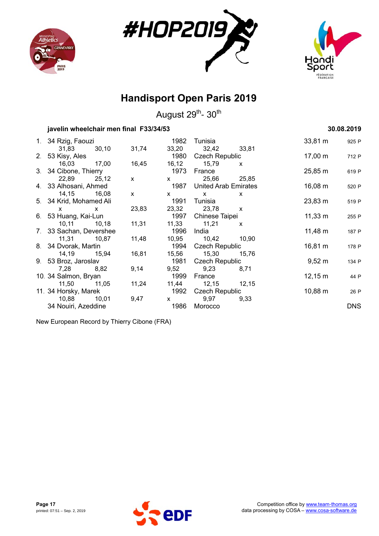





August 29<sup>th</sup>- 30<sup>th</sup>

### **javelin wheelchair men final F33/34/53 30.08.2019** 30.08.2019

| 1. 34 Rzig, Faouzi      |             |                                                                                                                                                                                                                                                                                                  |      | 1982 Tunisia              |       | 33,81 m             | 925 P      |
|-------------------------|-------------|--------------------------------------------------------------------------------------------------------------------------------------------------------------------------------------------------------------------------------------------------------------------------------------------------|------|---------------------------|-------|---------------------|------------|
|                         | 31,83 30,10 | 31,74                                                                                                                                                                                                                                                                                            |      | 33,20 32,42 33,81         |       |                     |            |
| 2. 53 Kisy, Ales        |             |                                                                                                                                                                                                                                                                                                  |      | 1980 Czech Republic       |       | 17,00 m             | 712 P      |
| 16,03 17,00             |             | 16,45                                                                                                                                                                                                                                                                                            |      | 16,12 15,79 x             |       |                     |            |
| 3. 34 Cibone, Thierry   |             |                                                                                                                                                                                                                                                                                                  |      | 1973 France               |       | $25,85 \; \text{m}$ | 619 P      |
| 22,89 25,12             |             | $\mathsf{X}$ and $\mathsf{X}$ and $\mathsf{X}$ are $\mathsf{X}$ and $\mathsf{X}$ are $\mathsf{X}$ and $\mathsf{X}$ are $\mathsf{X}$ and $\mathsf{X}$ are $\mathsf{X}$ and $\mathsf{X}$ are $\mathsf{X}$ and $\mathsf{X}$ are $\mathsf{X}$ and $\mathsf{X}$ are $\mathsf{X}$ and $\mathsf{X}$ are |      | x 25,66 25,85             |       |                     |            |
| 4. 33 Alhosani, Ahmed   |             |                                                                                                                                                                                                                                                                                                  |      | 1987 United Arab Emirates |       | $16,08 \; m$        | 520 P      |
| 14,15 16,08             |             | $\mathsf{X}$                                                                                                                                                                                                                                                                                     |      | $x \times x$              | X     |                     |            |
| 5. 34 Krid, Mohamed Ali |             |                                                                                                                                                                                                                                                                                                  | 1991 | Tunisia                   |       | $23,83 \; \text{m}$ | 519 P      |
| $x \times x$            |             | 23,83                                                                                                                                                                                                                                                                                            |      | 23,32 23,78 x             |       |                     |            |
| 6. 53 Huang, Kai-Lun    |             |                                                                                                                                                                                                                                                                                                  |      | 1997 Chinese Taipei       |       | $11,33 \; \text{m}$ | 255 P      |
| 10,11 10,18             |             | 11,31                                                                                                                                                                                                                                                                                            |      | 11,33 11,21 x             |       |                     |            |
| 7. 33 Sachan, Devershee |             |                                                                                                                                                                                                                                                                                                  |      | 1996 India                |       | $11,48 \; m$        | 187 P      |
| 11,31 10,87             |             | 11,48                                                                                                                                                                                                                                                                                            |      | 10,95 10,42 10,90         |       |                     |            |
| 8. 34 Dvorak, Martin    |             |                                                                                                                                                                                                                                                                                                  |      | 1994 Czech Republic       |       | 16,81 m             | 178 P      |
| 14,19  15,94            |             | 16,81                                                                                                                                                                                                                                                                                            |      | 15,56 15,30               | 15,76 |                     |            |
| 9. 53 Broz, Jaroslav    |             |                                                                                                                                                                                                                                                                                                  |      | 1981 Czech Republic       |       | $9,52 \; m$         | 134 P      |
| 7,28 8,82               |             | 9,14                                                                                                                                                                                                                                                                                             |      | 9,52 9,23                 | 8,71  |                     |            |
| 10. 34 Salmon, Bryan    |             |                                                                                                                                                                                                                                                                                                  | 1999 | France                    |       | $12,15 \; m$        | 44 P       |
| 11,50 11,05             |             | 11,24                                                                                                                                                                                                                                                                                            |      | 11,44 12,15 12,15         |       |                     |            |
| 11. 34 Horsky, Marek    |             |                                                                                                                                                                                                                                                                                                  |      | 1992 Czech Republic       |       | 10,88 m             | 26 P       |
| 10,88 10,01             |             | 9,47                                                                                                                                                                                                                                                                                             |      | x 9,97                    | 9,33  |                     |            |
| 34 Nouiri, Azeddine     |             |                                                                                                                                                                                                                                                                                                  |      | 1986 Morocco              |       |                     | <b>DNS</b> |
|                         |             |                                                                                                                                                                                                                                                                                                  |      |                           |       |                     |            |

New European Record by Thierry Cibone (FRA)

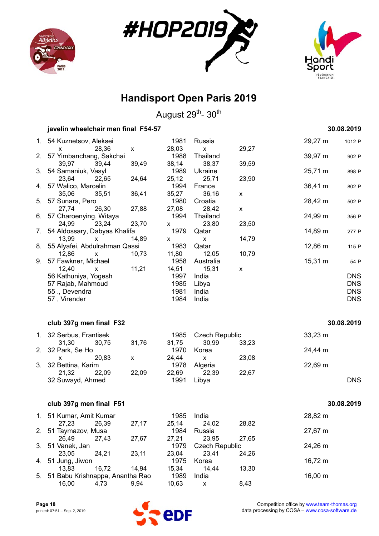





|    | javelin wheelchair men final F54-57 |       |               |                           |                    |                     | 30.08.2019 |
|----|-------------------------------------|-------|---------------|---------------------------|--------------------|---------------------|------------|
| 1. | 54 Kuznetsov, Aleksei               |       | 1981          | Russia                    |                    | 29,27 m             | 1012 P     |
|    | 28,36<br>x                          | X     | 28,03         | $\boldsymbol{\mathsf{x}}$ | 29,27              |                     |            |
| 2. | 57 Yimbanchang, Sakchai             |       | 1988          | Thailand                  |                    | 39,97 m             | 902 P      |
|    | 39,44<br>39,97                      | 39,49 | 38,14         | 38,37                     | 39,59              |                     |            |
| 3. | 54 Samaniuk, Vasyl                  |       | 1989          | Ukraine                   |                    | 25,71 m             | 898 P      |
|    | 23,64<br>22,65                      | 24,64 | 25,12         | 25,71                     | 23,90              |                     |            |
| 4. | 57 Walico, Marcelin                 |       | 1994          | France                    |                    | 36,41 m             | 802 P      |
|    | 35,06<br>35,51                      | 36,41 | 35,27         | 36,16                     | X                  |                     |            |
| 5. | 57 Sunara, Pero                     |       | 1980          | Croatia                   |                    | 28,42 m             | 502 P      |
|    | 27,74<br>26,30                      | 27,88 | 27,08         | 28,42                     | $\pmb{\mathsf{X}}$ |                     |            |
| 6. | 57 Charoenying, Witaya              |       | 1994          | Thailand                  |                    | 24,99 m             | 356 P      |
|    | 24,99<br>23,24                      | 23,70 | X             | 23,80                     | 23,50              |                     |            |
| 7. | 54 Aldossary, Dabyas Khalifa        |       | 1979          | Qatar                     |                    | 14,89 m             | 277 P      |
|    | 13,99<br>X                          | 14,89 | x             | $\mathsf{x}$              | 14,79              |                     |            |
| 8. | 55 Alyafei, Abdulrahman Qassi       |       | 1983<br>11,80 | Qatar<br>12,05            |                    | 12,86 m             | 115 P      |
| 9. | 12,86<br>x<br>57 Fawkner, Michael   | 10,73 | 1958          | Australia                 | 10,79              | 15,31 m             |            |
|    | 12,40<br>x                          | 11,21 | 14,51         | 15,31                     | X                  |                     | 54 P       |
|    | 56 Kathuniya, Yogesh                |       | 1997          | India                     |                    |                     | <b>DNS</b> |
|    | 57 Rajab, Mahmoud                   |       | 1985          | Libya                     |                    |                     | <b>DNS</b> |
|    | 55., Devendra                       |       | 1981          | India                     |                    |                     | <b>DNS</b> |
|    | 57, Virender                        |       | 1984          | India                     |                    |                     | <b>DNS</b> |
|    |                                     |       |               |                           |                    |                     |            |
|    | club 397g men final F32             |       |               |                           |                    |                     | 30.08.2019 |
| 1. | 32 Serbus, Frantisek                |       | 1985          | <b>Czech Republic</b>     |                    | $33,23 \, \text{m}$ |            |
|    | 30,75<br>31,30                      | 31,76 | 31,75         | 30,99                     | 33,23              |                     |            |
| 2. | 32 Park, Se Ho                      |       | 1970          | Korea                     |                    | 24,44 m             |            |
|    | 20,83<br>X                          | X     | 24,44         | X                         | 23,08              |                     |            |
| 3. | 32 Bettina, Karim                   |       | 1978          | Algeria                   |                    | 22,69 m             |            |
|    | 21,32<br>22,09                      | 22,09 | 22,69         | 22,39                     | 22,67              |                     |            |
|    | 32 Suwayd, Ahmed                    |       | 1991          | Libya                     |                    |                     | <b>DNS</b> |
|    |                                     |       |               |                           |                    |                     |            |
|    | club 397g men final F51             |       |               |                           |                    |                     | 30.08.2019 |
|    | 1. 51 Kumar, Amit Kumar             |       | 1985          | India                     |                    | 28,82 m             |            |
|    | 27,23<br>26,39                      | 27,17 | 25,14         | 24,02                     | 28,82              |                     |            |
| 2. | 51 Taymazov, Musa                   |       | 1984          | Russia                    |                    | 27,67 m             |            |
|    | 26,49<br>27,43                      | 27,67 | 27,21         | 23,95                     | 27,65              |                     |            |
| 3. | 51 Vanek, Jan                       |       | 1979          | <b>Czech Republic</b>     |                    | 24,26 m             |            |
|    | 23,05<br>24,21                      | 23,11 | 23,04         | 23,41                     | 24,26              |                     |            |
| 4. | 51 Jung, Jiwon                      |       | 1975          | Korea                     |                    | 16,72 m             |            |
|    | 16,72<br>13,83                      | 14,94 | 15,34         | 14,44                     | 13,30              |                     |            |
| 5. | 51 Babu Krishnappa, Anantha Rao     |       | 1989          | India                     |                    | 16,00 m             |            |
|    | 16,00<br>4,73                       | 9,94  | 10,63         | X                         | 8,43               |                     |            |

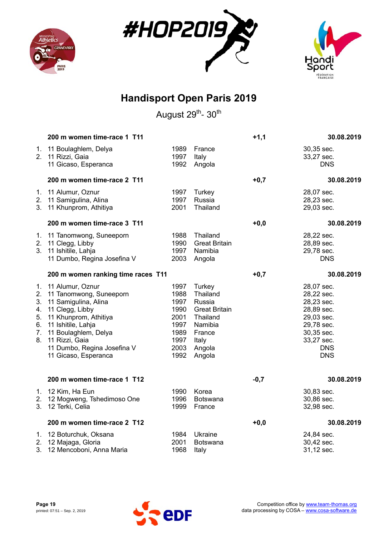





|                                              | 200 m women time-race 1 T11                                                                                                                                                                                                            |                                                                              |                                                                                                                    | $+1,1$ | 30.08.2019                                                                                                                               |
|----------------------------------------------|----------------------------------------------------------------------------------------------------------------------------------------------------------------------------------------------------------------------------------------|------------------------------------------------------------------------------|--------------------------------------------------------------------------------------------------------------------|--------|------------------------------------------------------------------------------------------------------------------------------------------|
| 1.<br>2.                                     | 11 Boulaghlem, Delya<br>11 Rizzi, Gaia<br>11 Gicaso, Esperanca                                                                                                                                                                         | 1989<br>1997<br>1992                                                         | France<br>Italy<br>Angola                                                                                          |        | 30,35 sec.<br>33,27 sec.<br><b>DNS</b>                                                                                                   |
|                                              | 200 m women time-race 2 T11                                                                                                                                                                                                            |                                                                              |                                                                                                                    | $+0,7$ | 30.08.2019                                                                                                                               |
| 1.<br>3.                                     | 11 Alumur, Oznur<br>2. 11 Samigulina, Alina<br>11 Khunprom, Athitiya                                                                                                                                                                   | 1997<br>1997<br>2001                                                         | Turkey<br>Russia<br>Thailand                                                                                       |        | 28,07 sec.<br>28,23 sec.<br>29,03 sec.                                                                                                   |
|                                              | 200 m women time-race 3 T11                                                                                                                                                                                                            |                                                                              |                                                                                                                    | $+0,0$ | 30.08.2019                                                                                                                               |
| 1.<br>2.<br>3 <sub>1</sub>                   | 11 Tanomwong, Suneeporn<br>11 Clegg, Libby<br>11 Ishitile, Lahja<br>11 Dumbo, Regina Josefina V                                                                                                                                        | 1988<br>1990<br>1997<br>2003                                                 | Thailand<br><b>Great Britain</b><br>Namibia<br>Angola                                                              |        | 28,22 sec.<br>28,89 sec.<br>29,78 sec.<br><b>DNS</b>                                                                                     |
|                                              | 200 m women ranking time races T11                                                                                                                                                                                                     |                                                                              |                                                                                                                    | $+0,7$ | 30.08.2019                                                                                                                               |
| 1.<br>2.<br>3.<br>4.<br>5.<br>6.<br>7.<br>8. | 11 Alumur, Oznur<br>11 Tanomwong, Suneeporn<br>11 Samigulina, Alina<br>11 Clegg, Libby<br>11 Khunprom, Athitiya<br>11 Ishitile, Lahja<br>11 Boulaghlem, Delya<br>11 Rizzi, Gaia<br>11 Dumbo, Regina Josefina V<br>11 Gicaso, Esperanca | 1997<br>1988<br>1997<br>1990<br>2001<br>1997<br>1989<br>1997<br>2003<br>1992 | Turkey<br>Thailand<br>Russia<br><b>Great Britain</b><br>Thailand<br>Namibia<br>France<br>Italy<br>Angola<br>Angola |        | 28,07 sec.<br>28,22 sec.<br>28,23 sec.<br>28,89 sec.<br>29,03 sec.<br>29,78 sec.<br>30,35 sec.<br>33,27 sec.<br><b>DNS</b><br><b>DNS</b> |
|                                              | 200 m women time-race 1 T12                                                                                                                                                                                                            |                                                                              |                                                                                                                    | $-0,7$ | 30.08.2019                                                                                                                               |
|                                              | 1. 12 Kim, Ha Eun<br>2. 12 Mogweng, Tshedimoso One<br>3. 12 Terki, Celia                                                                                                                                                               | 1990<br>1996<br>1999                                                         | Korea<br>Botswana<br>France                                                                                        |        | 30,83 sec.<br>30,86 sec.<br>32,98 sec.                                                                                                   |
|                                              | 200 m women time-race 2 T12                                                                                                                                                                                                            |                                                                              |                                                                                                                    | $+0,0$ | 30.08.2019                                                                                                                               |
| 2.<br>3.                                     | 1. 12 Boturchuk, Oksana<br>12 Majaga, Gloria<br>12 Mencoboni, Anna Maria                                                                                                                                                               | 1984<br>2001<br>1968                                                         | Ukraine<br><b>Botswana</b><br>Italy                                                                                |        | 24,84 sec.<br>30,42 sec.<br>31,12 sec.                                                                                                   |

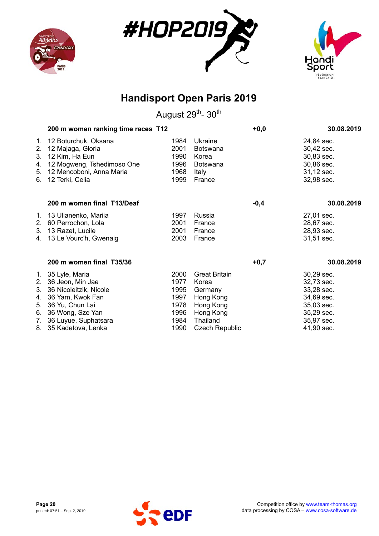





|                                                                                                              |                                                                                                                                                                                                                                                                        | $+0,0$                                                                                      | 30.08.2019            |                                                                                                              |
|--------------------------------------------------------------------------------------------------------------|------------------------------------------------------------------------------------------------------------------------------------------------------------------------------------------------------------------------------------------------------------------------|---------------------------------------------------------------------------------------------|-----------------------|--------------------------------------------------------------------------------------------------------------|
| 12 Boturchuk, Oksana<br>12 Majaga, Gloria<br>12 Kim, Ha Eun<br>12 Mogweng, Tshedimoso One<br>12 Terki, Celia | 1984<br>2001<br>1990<br>1996<br>1968<br>1999                                                                                                                                                                                                                           | Ukraine<br>Botswana<br>Korea<br><b>Botswana</b><br>Italy<br>France                          |                       | 24,84 sec.<br>30,42 sec.<br>30,83 sec.<br>30,86 sec.<br>31,12 sec.<br>32,98 sec.                             |
| 200 m women final T13/Deaf                                                                                   |                                                                                                                                                                                                                                                                        |                                                                                             | $-0,4$                | 30.08.2019                                                                                                   |
| 60 Perrochon, Lola                                                                                           | 1997<br>2001<br>2001<br>2003                                                                                                                                                                                                                                           | Russia<br>France<br>France<br>France                                                        |                       | 27,01 sec.<br>28,67 sec.<br>28,93 sec.<br>31,51 sec.                                                         |
| 200 m women final T35/36                                                                                     |                                                                                                                                                                                                                                                                        |                                                                                             | $+0,7$                | 30.08.2019                                                                                                   |
| 36 Jeon, Min Jae<br>36 Nicoleitzik, Nicole                                                                   | 2000<br>1977<br>1995<br>1997<br>1978<br>1996<br>1984                                                                                                                                                                                                                   | <b>Great Britain</b><br>Korea<br>Germany<br>Hong Kong<br>Hong Kong<br>Hong Kong<br>Thailand |                       | 30,29 sec.<br>32,73 sec.<br>33,28 sec.<br>34,69 sec.<br>35,03 sec.<br>35,29 sec.<br>35,97 sec.<br>41,90 sec. |
| 3.                                                                                                           | 5.<br>12 Mencoboni, Anna Maria<br>1. 13 Ulianenko, Mariia<br>2.<br>3. 13 Razet, Lucile<br>4. 13 Le Vourc'h, Gwenaig<br>1. 35 Lyle, Maria<br>2.<br>4. 36 Yam, Kwok Fan<br>5. 36 Yu, Chun Lai<br>6. 36 Wong, Sze Yan<br>7. 36 Luyue, Suphatsara<br>8. 35 Kadetova, Lenka | 200 m women ranking time races T12<br>1990                                                  | <b>Czech Republic</b> |                                                                                                              |

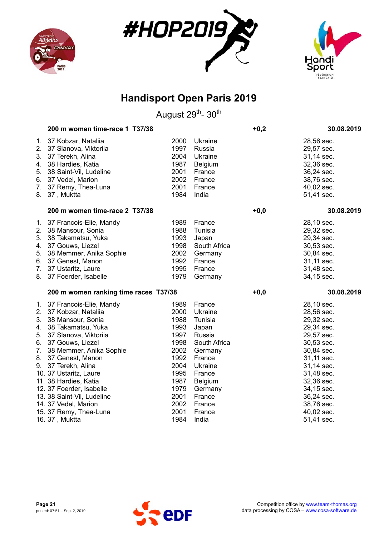





|                      | 200 m women time-race 1 T37/38                                                                                                                                                                                              |                                                                      |                                                                                                 | $+0,2$ | 30.08.2019                                                                                                                 |
|----------------------|-----------------------------------------------------------------------------------------------------------------------------------------------------------------------------------------------------------------------------|----------------------------------------------------------------------|-------------------------------------------------------------------------------------------------|--------|----------------------------------------------------------------------------------------------------------------------------|
| 4.<br>5.<br>6.<br>8. | 1. 37 Kobzar, Nataliia<br>2. 37 Slanova, Viktoriia<br>3. 37 Terekh, Alina<br>38 Hardies, Katia<br>38 Saint-Vil, Ludeline<br>37 Vedel, Marion<br>7. 37 Remy, Thea-Luna<br>37, Muktta                                         | 2000<br>1997<br>2004<br>1987<br>2001<br>2002<br>2001<br>1984         | Ukraine<br>Russia<br>Ukraine<br>Belgium<br>France<br>France<br>France<br>India                  |        | 28,56 sec.<br>29,57 sec.<br>31,14 sec.<br>32,36 sec.<br>36,24 sec.<br>38,76 sec.<br>40,02 sec.<br>51,41 sec.               |
|                      | 200 m women time-race 2 T37/38                                                                                                                                                                                              |                                                                      |                                                                                                 | $+0,0$ | 30.08.2019                                                                                                                 |
| 4.<br>5.<br>6.       | 1. 37 Francois-Elie, Mandy<br>2. 38 Mansour, Sonia<br>3. 38 Takamatsu, Yuka<br>37 Gouws, Liezel<br>38 Memmer, Anika Sophie<br>37 Genest, Manon<br>7. 37 Ustaritz, Laure<br>8. 37 Foerder, Isabelle                          | 1989<br>1988<br>1993<br>1998<br>2002<br>1992<br>1995<br>1979         | France<br>Tunisia<br>Japan<br>South Africa<br>Germany<br>France<br>France<br>Germany            |        | 28,10 sec.<br>29,32 sec.<br>29,34 sec.<br>30,53 sec.<br>30,84 sec.<br>31,11 sec.<br>31,48 sec.<br>34,15 sec.               |
|                      | 200 m women ranking time races T37/38                                                                                                                                                                                       |                                                                      |                                                                                                 | $+0,0$ | 30.08.2019                                                                                                                 |
| 3.<br>4.<br>5.       | 1. 37 Francois-Elie, Mandy<br>2. 37 Kobzar, Nataliia<br>38 Mansour, Sonia<br>38 Takamatsu, Yuka<br>37 Slanova, Viktoriia<br>6. 37 Gouws, Liezel<br>7. 38 Memmer, Anika Sophie<br>8. 37 Genest, Manon<br>9. 37 Terekh, Alina | 1989<br>2000<br>1988<br>1993<br>1997<br>1998<br>2002<br>1992<br>2004 | France<br>Ukraine<br>Tunisia<br>Japan<br>Russia<br>South Africa<br>Germany<br>France<br>Ukraine |        | 28,10 sec.<br>28,56 sec.<br>29,32 sec.<br>29,34 sec.<br>29,57 sec.<br>30,53 sec.<br>30,84 sec.<br>31,11 sec.<br>31,14 sec. |
|                      | 10. 37 Ustaritz, Laure<br>11. 38 Hardies, Katia<br>12. 37 Foerder, Isabelle<br>13. 38 Saint-Vil, Ludeline<br>14. 37 Vedel, Marion<br>15. 37 Remy, Thea-Luna                                                                 | 1995<br>1987<br>1979<br>2001<br>2002<br>2001                         | France<br>Belgium<br>Germany<br>France<br>France<br>France                                      |        | 31,48 sec.<br>32,36 sec.<br>34,15 sec.<br>36,24 sec.<br>38,76 sec.<br>40,02 sec.                                           |
|                      | 16. 37, Muktta                                                                                                                                                                                                              | 1984                                                                 | India                                                                                           |        | 51,41 sec.                                                                                                                 |

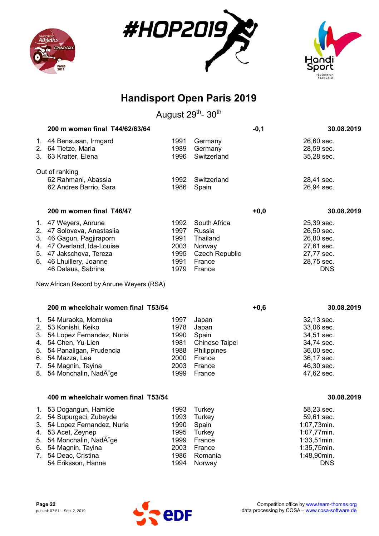





|                                        | 200 m women final T44/62/63/64                                                                                                                                                                             |                                                              |                                                                                           | $-0,1$ | 30.08.2019                                                                                                        |
|----------------------------------------|------------------------------------------------------------------------------------------------------------------------------------------------------------------------------------------------------------|--------------------------------------------------------------|-------------------------------------------------------------------------------------------|--------|-------------------------------------------------------------------------------------------------------------------|
|                                        | 1. 44 Bensusan, Irmgard<br>2. 64 Tietze, Maria<br>3. 63 Kratter, Elena                                                                                                                                     | 1991<br>1989<br>1996                                         | Germany<br>Germany<br>Switzerland                                                         |        | 26,60 sec.<br>28,59 sec.<br>35,28 sec.                                                                            |
|                                        | Out of ranking<br>62 Rahmani, Abassia<br>62 Andres Barrio, Sara                                                                                                                                            | 1992<br>1986                                                 | Switzerland<br>Spain                                                                      |        | 28,41 sec.<br>26,94 sec.                                                                                          |
|                                        | 200 m women final T46/47                                                                                                                                                                                   |                                                              |                                                                                           | $+0,0$ | 30.08.2019                                                                                                        |
|                                        | 1. 47 Weyers, Anrune<br>2. 47 Soloveva, Anastasiia<br>3. 46 Gagun, Pagjiraporn<br>4. 47 Overland, Ida-Louise<br>5. 47 Jakschova, Tereza<br>6. 46 Lhuillery, Joanne<br>46 Dalaus, Sabrina                   | 1992<br>1997<br>1991<br>2003<br>1995<br>1991<br>1979         | South Africa<br>Russia<br>Thailand<br>Norway<br><b>Czech Republic</b><br>France<br>France |        | 25,39 sec.<br>26,50 sec.<br>26,80 sec.<br>27,61 sec.<br>27,77 sec.<br>28,75 sec.<br><b>DNS</b>                    |
|                                        | New African Record by Anrune Weyers (RSA)                                                                                                                                                                  |                                                              |                                                                                           |        |                                                                                                                   |
|                                        | 200 m wheelchair women final T53/54                                                                                                                                                                        |                                                              |                                                                                           | $+0,6$ | 30.08.2019                                                                                                        |
|                                        | 1. 54 Muraoka, Momoka<br>2. 53 Konishi, Keiko<br>3. 54 Lopez Fernandez, Nuria<br>4. 54 Chen, Yu-Lien<br>5. 54 Panaligan, Prudencia<br>6. 54 Mazza, Lea<br>7. 54 Magnin, Tayina<br>8. 54 Monchalin, NadA ge | 1997<br>1978<br>1990<br>1981<br>1988<br>2000<br>2003<br>1999 | Japan<br>Japan<br>Spain<br>Chinese Taipei<br>Philippines<br>France<br>France<br>France    |        | 32,13 sec.<br>33,06 sec.<br>34,51 sec.<br>34,74 sec.<br>36,00 sec.<br>36,17 sec.<br>46,30 sec.<br>47,62 sec.      |
|                                        | 400 m wheelchair women final T53/54                                                                                                                                                                        |                                                              |                                                                                           |        | 30.08.2019                                                                                                        |
| 1.<br>2.<br>3.<br>4.<br>5.<br>6.<br>7. | 53 Dogangun, Hamide<br>54 Supurgeci, Zubeyde<br>54 Lopez Fernandez, Nuria<br>53 Acet, Zeynep<br>54 Monchalin, NadA ge<br>54 Magnin, Tayina<br>54 Deac, Cristina<br>54 Eriksson, Hanne                      | 1993<br>1993<br>1990<br>1995<br>1999<br>2003<br>1986<br>1994 | <b>Turkey</b><br>Turkey<br>Spain<br>Turkey<br>France<br>France<br>Romania<br>Norway       |        | 58,23 sec.<br>59,61 sec.<br>1:07,73min.<br>1:07,77min.<br>1:33,51min.<br>1:35,75min.<br>1:48,90min.<br><b>DNS</b> |

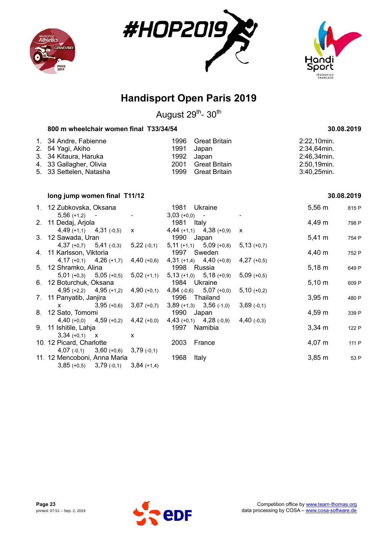





August 29<sup>th</sup>- 30<sup>th</sup>

### **800 m wheelchair women final T33/34/54 30.08.2019**

| 1. 34 Andre, Fabienne<br>2. 54 Yagi, Akiho<br>3. 34 Kitaura, Haruka |      | 1996 Great Britain<br>1991 Japan<br>1992 Japan | 2:22,10min.<br>2:34,64min.<br>2:46,34min. |
|---------------------------------------------------------------------|------|------------------------------------------------|-------------------------------------------|
| 4. 33 Gallagher, Olivia<br>5. 33 Settelen, Natasha                  | 1999 | 2001 Great Britain<br>Great Britain            | 2:50,19min.<br>$3:40,25$ min.             |

### **long jump women final T11/12 30.08.2019**

| 1. 12 Zubkovska, Oksana                   |               | 1981 Ukraine                                                          |               | $5,56 \; m$ | 815 P |
|-------------------------------------------|---------------|-----------------------------------------------------------------------|---------------|-------------|-------|
| $5,56 (+1,2) -$                           |               | $3,03 (+0,0) -$                                                       |               |             |       |
| 2. 11 Dedaj, Arjola                       |               | 1981 Italy                                                            |               | 4,49 m      | 798 P |
| $4,49 (+1,1)$ $4,31 (-0,5)$ x             |               | $4,44$ (+1,1) $4,38$ (+0,9)                                           | X             |             |       |
| 3. 12 Sawada, Uran                        |               | 1990 Japan                                                            |               | $5,41 \; m$ | 754 P |
| $4,37 (+0,7)$ $5,41 (+0,3)$               | $5,22$ (-0,1) | $5,11 (+1,1)$ $5,09 (+0,8)$ $5,13 (+0,7)$                             |               |             |       |
| 4. 11 Karlsson, Viktoria                  |               | 1997 Sweden                                                           |               | 4,40 m      | 752 P |
| $4,17$ (+0,1) $4,26$ (+1,7)               |               | 4,40 (+0,6) 4,31 (+1,4) 4,40 (+0,8) 4,27 (+0,5)                       |               |             |       |
| 5. 12 Shramko, Alina                      |               | 1998 Russia                                                           |               | $5,18 \; m$ | 649 P |
|                                           |               | $5,01$ (+0,3) $5,05$ (+0,5) $5,02$ (+1,1) $5,13$ (+1,0) $5,18$ (+0,9) | $5,09(+0,5)$  |             |       |
| 6. 12 Boturchuk, Oksana                   |               | 1984 Ukraine                                                          |               | $5,10 \; m$ | 609 P |
| $4,95 (+2,2)$ $4,95 (+1,2)$ $4,90 (+0,1)$ |               | $4,84$ (-0,6) $5,07$ (+0,0)                                           | $5,10 (+0,2)$ |             |       |
| 7. 11 Panyatib, Janjira                   |               | 1996 Thailand                                                         |               | $3,95 \; m$ | 480 P |
| $x = 3.95 (+0.6)$                         | $3,67$ (+0,7) | $3,89 (+1,3)$ $3,56 (+1,0)$                                           | $3,69$ (-0,1) |             |       |
| 8. 12 Sato, Tomomi                        |               | 1990 Japan                                                            |               | $4,59 \; m$ | 339 P |
| $4,40 (+0,0)$ $4,59 (+0,2)$ $4,42 (+0,0)$ |               | $4,43$ (+0,1) $4,28$ (-0,9)                                           | $4,40$ (-0,3) |             |       |
| 9. 11 Ishitile, Lahja                     |               | 1997 Namibia                                                          |               | $3,34 \, m$ | 122 P |
| $3,34 (+0,1)$ X                           | $\mathsf{x}$  |                                                                       |               |             |       |
| 10. 12 Picard, Charlotte                  |               | 2003 France                                                           |               | $4,07 \; m$ | 111 P |
| $4,07$ (-0,1) $3,60$ (+0,6) $3,79$ (-0,1) |               |                                                                       |               |             |       |
| 11. 12 Mencoboni, Anna Maria              |               | 1968<br>Italy                                                         |               | $3,85 \; m$ | 53 P  |
| $3,85 (+0,5)$ $3,79 (+0,1)$ $3,84 (+1,4)$ |               |                                                                       |               |             |       |

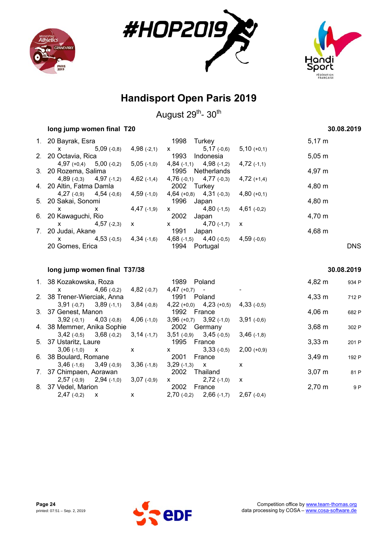





August 29<sup>th</sup>- 30<sup>th</sup>

|    | long jump women final T20   |               | 30.08.2019    |                               |               |             |
|----|-----------------------------|---------------|---------------|-------------------------------|---------------|-------------|
|    | 1. 20 Bayrak, Esra          |               |               | 1998<br>Turkey                |               | $5,17 \; m$ |
|    | X                           | $5,09$ (-0,8) | $4,98$ (-2,1) | $5,17$ (-0,6)<br>$\mathsf{X}$ | $5,10 (+0,1)$ |             |
|    | 2. 20 Octavia, Rica         |               |               | 1993 Indonesia                |               | $5,05 \; m$ |
|    | $4,97 (+0,4)$ $5,00 (+0,2)$ |               | $5,05$ (-1,0) | $4,84$ (-1,1) $4,98$ (-1,2)   | $4,72$ (-1,1) |             |
|    | 3. 20 Rozema, Salima        |               |               | 1995 Netherlands              | 4,97 m        |             |
|    | $4,89(-0,3)$ $4,97(-1,2)$   |               | $4,62$ (-1,4) | $4,76(-0,1)$ $4,77(-0,3)$     | $4,72 (+1,4)$ |             |
|    | 4. 20 Altin, Fatma Damla    |               |               | 2002 Turkey                   |               | $4,80 \; m$ |
|    | $4,27(-0,9)$ $4,54(-0,6)$   |               | $4,59$ (-1,0) | $4,64 (+0,8)$ $4,31 (+0,3)$   | $4,80(+0,1)$  |             |
|    | 5. 20 Sakai, Sonomi         |               |               | 1996<br>Japan                 |               | $4,80 \; m$ |
|    | X                           | X             | $4,47$ (-1,9) | $4,80$ (-1,5)<br>$\mathsf{X}$ | $4,61(-0,2)$  |             |
|    | 6. 20 Kawaguchi, Rio        |               |               | 2002<br>Japan                 |               | 4,70 m      |
|    | X                           | $4,57$ (-2,3) | $\mathbf{x}$  | $4,70$ (-1,7)<br>X            | $\mathsf{x}$  |             |
| 7. | 20 Judai, Akane             |               |               | 1991<br>Japan                 |               | $4,68 \; m$ |
|    | x                           | $4,53$ (-0,5) | $4,34$ (-1,6) | $4,68$ (-1,5) $4,40$ (-0,5)   | $4,59$ (-0.6) |             |
|    | 20 Gomes, Erica             |               |               | 1994<br>Portugal              |               | DNS         |
|    |                             |               |               |                               |               |             |

#### **long jump women final T37/38 30.08.2019**

| 1. 38 Kozakowska, Roza |  | 1989                                                                                                                                                                                                                                                                                                                                                     |                           |               | 4,82 m                                                                                                                                                                                                                                             | 934 P              |       |
|------------------------|--|----------------------------------------------------------------------------------------------------------------------------------------------------------------------------------------------------------------------------------------------------------------------------------------------------------------------------------------------------------|---------------------------|---------------|----------------------------------------------------------------------------------------------------------------------------------------------------------------------------------------------------------------------------------------------------|--------------------|-------|
| X.                     |  | $4,82$ (-0,7)                                                                                                                                                                                                                                                                                                                                            |                           |               |                                                                                                                                                                                                                                                    |                    |       |
|                        |  |                                                                                                                                                                                                                                                                                                                                                          |                           |               |                                                                                                                                                                                                                                                    | $4,33 \, m$        | 712 P |
|                        |  | $3,84$ (-0,8)                                                                                                                                                                                                                                                                                                                                            |                           |               | $4,33(-0.5)$                                                                                                                                                                                                                                       |                    |       |
|                        |  |                                                                                                                                                                                                                                                                                                                                                          |                           |               |                                                                                                                                                                                                                                                    | $4,06 \; m$        | 682 P |
|                        |  | $4,06$ (-1,0)                                                                                                                                                                                                                                                                                                                                            |                           |               | $3,91(-0,6)$                                                                                                                                                                                                                                       |                    |       |
|                        |  |                                                                                                                                                                                                                                                                                                                                                          |                           |               |                                                                                                                                                                                                                                                    | $3,68 \, \text{m}$ | 302 P |
|                        |  | $3,14$ (-1,7)                                                                                                                                                                                                                                                                                                                                            |                           |               | $3,46$ (-1,8)                                                                                                                                                                                                                                      |                    |       |
|                        |  | 1995 France                                                                                                                                                                                                                                                                                                                                              |                           |               |                                                                                                                                                                                                                                                    | $3,33 \, \text{m}$ | 201 P |
| $3,06(-1,0)$           |  | $\mathsf{x}$                                                                                                                                                                                                                                                                                                                                             | X.                        | $3,33(-0,5)$  | $2,00 (+0,9)$                                                                                                                                                                                                                                      |                    |       |
|                        |  |                                                                                                                                                                                                                                                                                                                                                          | 2001                      |               |                                                                                                                                                                                                                                                    | $3,49 \text{ m}$   | 192 P |
|                        |  | $3,36(-1,8)$                                                                                                                                                                                                                                                                                                                                             |                           |               | x                                                                                                                                                                                                                                                  |                    |       |
|                        |  |                                                                                                                                                                                                                                                                                                                                                          | 2002                      |               |                                                                                                                                                                                                                                                    | $3,07 \; m$        | 81 P  |
|                        |  | $3,07(-0,9)$                                                                                                                                                                                                                                                                                                                                             | $\mathsf{X}$              | $2,72$ (-1,0) | X                                                                                                                                                                                                                                                  |                    |       |
|                        |  |                                                                                                                                                                                                                                                                                                                                                          | 2002                      |               |                                                                                                                                                                                                                                                    | $2,70 \; m$        | 9 P   |
| $2,47(-0,2)$           |  | X                                                                                                                                                                                                                                                                                                                                                        |                           |               | $2,67(-0,4)$                                                                                                                                                                                                                                       |                    |       |
|                        |  | $4,66(-0,2)$<br>2. 38 Trener-Wierciak, Anna<br>$3,91(-0,7)$ $3,89(-1,1)$<br>3. 37 Genest, Manon<br>4. 38 Memmer, Anika Sophie<br>$3,42(-0,5)$ $3,68(-0,2)$<br>5. 37 Ustaritz, Laure<br>$\mathsf{X}$<br>6. 38 Boulard, Romane<br>$3,46(-1,6)$ $3,49(-0,9)$<br>7. 37 Chimpaen, Aorawan<br>$2,57(-0,9)$ $2,94(-1,0)$<br>8. 37 Vedel, Marion<br>$\mathsf{X}$ | $3,92(-0,1)$ $4,03(-0,8)$ |               | Poland<br>$4,47 (+0,7) -$<br>1991 Poland<br>$4,22 (+0,0)$ $4,23 (+0,5)$<br>1992 France<br>$3,96 (+0,7)$ $3,92 (+1,0)$<br>2002 Germany<br>$3,51(-0,9)$ $3,45(-0,5)$<br>France<br>$3,29$ (-1,3) X<br>Thailand<br>France<br>$2,70(-0,2)$ $2,66(-1,7)$ |                    |       |

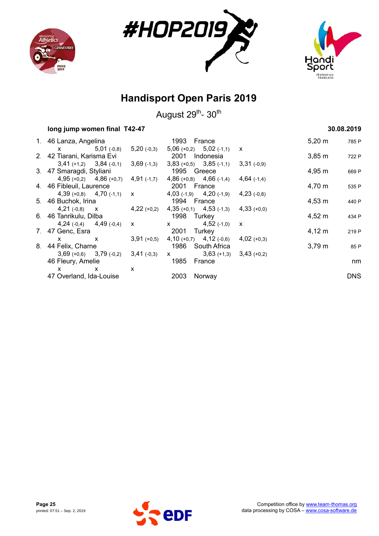





| long jump women final T42-47                                                                                                                                                                                                                                                                                                       |               | 30.08.2019    |             |                                           |               |                    |       |
|------------------------------------------------------------------------------------------------------------------------------------------------------------------------------------------------------------------------------------------------------------------------------------------------------------------------------------|---------------|---------------|-------------|-------------------------------------------|---------------|--------------------|-------|
| 1. 46 Lanza, Angelina                                                                                                                                                                                                                                                                                                              |               |               | 1993 France |                                           |               | $5,20 \; \text{m}$ | 785 P |
| X                                                                                                                                                                                                                                                                                                                                  | $5,01$ (-0,8) | $5,20(-0,3)$  |             | $5,06 (+0,2)$ $5,02 (+1,1)$               | X             |                    |       |
| 2. 42 Tiarani, Karisma Evi                                                                                                                                                                                                                                                                                                         |               |               |             | 2001 Indonesia                            |               | $3,85 \; m$        | 722 P |
| $3,41 (+1,2) 3,84 (-0,1)$                                                                                                                                                                                                                                                                                                          |               | $3,69$ (-1,3) |             | $3,83 (+0,5)$ $3,85 (+1,1)$ $3,31 (+0,9)$ |               |                    |       |
| 3. 47 Smaragdi, Styliani                                                                                                                                                                                                                                                                                                           |               |               | 1995 Greece |                                           |               | $4,95 \; m$        | 669 P |
| $4,95 (+0,2)$ $4,86 (+0,7)$                                                                                                                                                                                                                                                                                                        |               | $4,91$ (-1,7) |             | $4,86 (+0,8)$ $4,66 (+1,4)$               | $4,64$ (-1,4) |                    |       |
| 4. 46 Fibleuil, Laurence                                                                                                                                                                                                                                                                                                           |               |               | 2001 France |                                           |               | 4,70 m             | 535 P |
| $4,39 (+0,8)$ $4,70 (+1,1)$ x                                                                                                                                                                                                                                                                                                      |               |               |             | $4,03$ (-1,9) $4,20$ (-1,9)               | $4,23$ (-0,8) |                    |       |
| 5. 46 Buchok, Irina                                                                                                                                                                                                                                                                                                                |               |               | 1994 France |                                           |               | $4,53 \; m$        | 440 P |
| $4,21$ (-0,8) $\times$ $4,22$ (+0,2)                                                                                                                                                                                                                                                                                               |               |               |             | $4,35 (+0,1)$ $4,53 (+1,3)$               | $4,33(+0,0)$  |                    |       |
| 6. 46 Tanrikulu, Dilba                                                                                                                                                                                                                                                                                                             |               |               | 1998 Turkey |                                           |               | $4,52 \; m$        | 434 P |
| $4,24(-0,4)$ $4,49(-0,4)$                                                                                                                                                                                                                                                                                                          |               | $\mathsf{x}$  |             | $x = 4,52(-1,0)$                          | $\mathsf{x}$  |                    |       |
| 7. 47 Genc, Esra                                                                                                                                                                                                                                                                                                                   |               |               | 2001        | Turkey                                    |               | $4,12 \, m$        | 219 P |
| $\mathsf{X}$ and $\mathsf{X}$ and $\mathsf{X}$ and $\mathsf{X}$ are $\mathsf{X}$ and $\mathsf{X}$ and $\mathsf{X}$ are $\mathsf{X}$ and $\mathsf{X}$ are $\mathsf{X}$ and $\mathsf{X}$ are $\mathsf{X}$ and $\mathsf{X}$ are $\mathsf{X}$ and $\mathsf{X}$ are $\mathsf{X}$ and $\mathsf{X}$ are<br>X                              |               | $3,91 (+0,5)$ |             | $4,10 (+0,7)$ $4,12 (+0,6)$               | $4,02$ (+0,3) |                    |       |
| 8. 44 Felix, Charne                                                                                                                                                                                                                                                                                                                |               |               |             | 1986 South Africa                         |               | $3,79 \; m$        | 85 P  |
| $3,69 (+0,6)$ $3,79 (+0,2)$                                                                                                                                                                                                                                                                                                        |               | $3,41$ (-0,3) |             | $x$ 3,63 (+1,3) 3,43 (+0,2)               |               |                    |       |
| 46 Fleury, Amelie                                                                                                                                                                                                                                                                                                                  |               |               | 1985 France |                                           |               |                    | nm    |
| X<br>$\mathsf{x}$ and $\mathsf{x}$ and $\mathsf{x}$ and $\mathsf{x}$ and $\mathsf{x}$ and $\mathsf{x}$ are $\mathsf{x}$ and $\mathsf{x}$ and $\mathsf{x}$ are $\mathsf{x}$ and $\mathsf{x}$ are $\mathsf{x}$ and $\mathsf{x}$ are $\mathsf{x}$ and $\mathsf{x}$ are $\mathsf{x}$ and $\mathsf{x}$ are $\mathsf{x}$ and $\mathsf{x$ |               | X             |             |                                           |               |                    |       |
| 47 Overland, Ida-Louise                                                                                                                                                                                                                                                                                                            |               |               | 2003        | Norway                                    |               |                    | DNS.  |

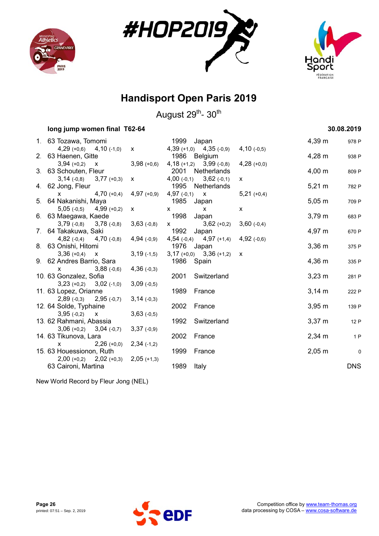





August 29<sup>th</sup>- 30<sup>th</sup>

| long jump women final T62-64                            |               |                                                                                                                                                                                                                                                                                                  |                                                 |               |                    | 30.08.2019  |
|---------------------------------------------------------|---------------|--------------------------------------------------------------------------------------------------------------------------------------------------------------------------------------------------------------------------------------------------------------------------------------------------|-------------------------------------------------|---------------|--------------------|-------------|
| 1. 63 Tozawa, Tomomi                                    |               | 1999                                                                                                                                                                                                                                                                                             | Japan                                           |               | $4,39 \; m$        | 978 P       |
| $4,29 (+0,6)$ $4,10 (+1,0)$                             | $\mathsf{x}$  |                                                                                                                                                                                                                                                                                                  | $4,39 (+1,0)$ $4,35 (+0,9)$                     | $4,10(-0,5)$  |                    |             |
| 2. 63 Haenen, Gitte<br>$3,94 (+0,2)$ X                  | $3,98 (+0,6)$ |                                                                                                                                                                                                                                                                                                  | 1986 Belgium                                    |               | $4,28 \; m$        | 938 P       |
| 3. 63 Schouten, Fleur                                   |               |                                                                                                                                                                                                                                                                                                  | $4,18 (+1,2)$ $3,99 (-0,8)$<br>2001 Netherlands | $4,28 (+0,0)$ | $4,00 \; m$        | 809 P       |
| $3,14(-0,8)$ $3,77(+0,3)$                               | $\mathsf{x}$  |                                                                                                                                                                                                                                                                                                  | $4,00(-0,1)$ $3,62(-0,1)$                       | $\mathsf{x}$  |                    |             |
| 4. 62 Jong, Fleur                                       |               |                                                                                                                                                                                                                                                                                                  | 1995 Netherlands                                |               | $5,21 \text{ m}$   | 782 P       |
| $4,70 (+0,4)$<br>$\mathsf{x}$                           | $4,97$ (+0,9) | $4,97(-0,1)$ X                                                                                                                                                                                                                                                                                   |                                                 | $5,21 (+0,4)$ |                    |             |
| 5. 64 Nakanishi, Maya                                   |               | 1985                                                                                                                                                                                                                                                                                             | Japan                                           |               | $5,05 \; m$        | 709 P       |
| $5,05(-0,5)$ $4,99(+0,2)$                               | X             | $\mathsf{x}$                                                                                                                                                                                                                                                                                     | $\mathsf{x}$                                    | X             |                    |             |
| 6. 63 Maegawa, Kaede                                    |               | 1998                                                                                                                                                                                                                                                                                             | Japan                                           |               | $3,79 \; m$        | 683 P       |
| $3,79(-0,8)$ $3,78(-0,8)$                               | $3,63(-0,8)$  | $\mathsf{X}$ and $\mathsf{X}$ and $\mathsf{X}$ are $\mathsf{X}$ and $\mathsf{X}$ are $\mathsf{X}$ and $\mathsf{X}$ are $\mathsf{X}$ and $\mathsf{X}$ are $\mathsf{X}$ and $\mathsf{X}$ are $\mathsf{X}$ and $\mathsf{X}$ are $\mathsf{X}$ and $\mathsf{X}$ are $\mathsf{X}$ and $\mathsf{X}$ are | $3,62 (+0,2)$                                   | $3,60(-0,4)$  |                    |             |
| 7. 64 Takakuwa, Saki                                    |               | 1992                                                                                                                                                                                                                                                                                             | Japan                                           |               | 4,97 m             | 670 P       |
| $4,82$ (-0,4) $4,70$ (-0,8)<br>8. 63 Onishi, Hitomi     | $4,94$ (-0,9) |                                                                                                                                                                                                                                                                                                  | $4,54(-0,4)$ $4,97(+1,4)$<br>1976 Japan         | 4,92(.0,6)    | $3,36 \, m$        |             |
| $3,36 (+0,4)$<br>$\mathsf{X}$                           | $3,19(-1,5)$  |                                                                                                                                                                                                                                                                                                  | $3,17 (+0,0)$ $3,36 (+1,2)$ x                   |               |                    | 375 P       |
| 9. 62 Andres Barrio, Sara                               |               |                                                                                                                                                                                                                                                                                                  | 1986 Spain                                      |               | 4,36 m             | 335 P       |
| $3,88$ (-0,6)<br>$\mathsf{X}$                           | $4,36(-0,3)$  |                                                                                                                                                                                                                                                                                                  |                                                 |               |                    |             |
| 10. 63 Gonzalez, Sofia                                  |               | 2001                                                                                                                                                                                                                                                                                             | Switzerland                                     |               | $3,23 \, m$        | 281 P       |
| $3,23 (+0,2)$ $3,02 (+1,0)$                             | $3,09(-0,5)$  |                                                                                                                                                                                                                                                                                                  |                                                 |               |                    |             |
| 11. 63 Lopez, Orianne                                   |               | 1989                                                                                                                                                                                                                                                                                             | France                                          |               | $3,14 \, m$        | 222 P       |
| $2,89(-0,3)$ $2,95(-0,7)$                               | $3,14(-0,3)$  |                                                                                                                                                                                                                                                                                                  |                                                 |               |                    |             |
| 12. 64 Solde, Typhaine                                  |               | 2002                                                                                                                                                                                                                                                                                             | France                                          |               | 3,95 m             | 139 P       |
| $3,95(-0,2)$<br>$\mathsf{X}$<br>13. 62 Rahmani, Abassia | $3,63(-0,5)$  | 1992                                                                                                                                                                                                                                                                                             | Switzerland                                     |               | $3,37 \; m$        |             |
| $3,06 (+0,2)$ $3,04 (+0,7)$                             | $3,37(-0,9)$  |                                                                                                                                                                                                                                                                                                  |                                                 |               |                    | 12 P        |
| 14. 63 Tikunova, Lara                                   |               | 2002                                                                                                                                                                                                                                                                                             | France                                          |               | $2,34 \, m$        | 1P          |
| $2,26 (+0,0)$<br>$\mathsf{x}$                           | $2,34(+1,2)$  |                                                                                                                                                                                                                                                                                                  |                                                 |               |                    |             |
| 15. 63 Houessionon, Ruth                                |               | 1999                                                                                                                                                                                                                                                                                             | France                                          |               | $2,05 \, \text{m}$ | $\mathbf 0$ |
| $2,00 (+0,2)$ $2,02 (+0,3)$                             | $2,05 (+1,3)$ |                                                                                                                                                                                                                                                                                                  |                                                 |               |                    |             |
| 63 Caironi, Martina                                     |               | 1989                                                                                                                                                                                                                                                                                             | Italy                                           |               |                    | <b>DNS</b>  |

New World Record by Fleur Jong (NEL)

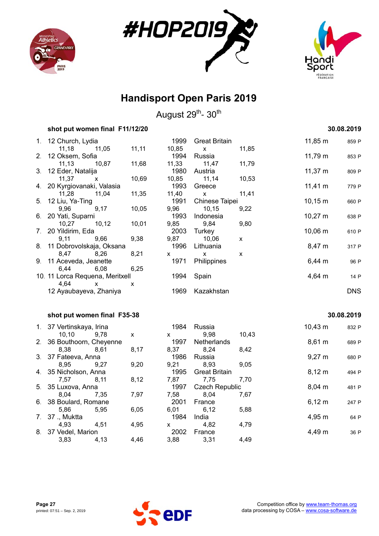





|             | shot put women final F11/12/20  |                    |       |                       |       |                   | 30.08.2019 |
|-------------|---------------------------------|--------------------|-------|-----------------------|-------|-------------------|------------|
| 1.          | 12 Church, Lydia                |                    | 1999  | <b>Great Britain</b>  |       | 11,85 m           | 859 P      |
|             | 11,18<br>11,05                  | 11, 11             | 10,85 | X                     | 11,85 |                   |            |
| 2.          | 12 Oksem, Sofia                 |                    | 1994  | Russia                |       | 11,79 m           | 853 P      |
|             | 11, 13<br>10,87                 | 11,68              | 11,33 | 11,47                 | 11,79 |                   |            |
| 3.          | 12 Eder, Natalija               |                    | 1980  | Austria               |       | $11,37 \; m$      | 809 P      |
|             | 11,37<br>X                      | 10,69              | 10,85 | 11,14                 | 10,53 |                   |            |
| 4.          | 20 Kyrgiovanaki, Valasia        |                    | 1993  | Greece                |       | $11,41 \text{ m}$ | 779 P      |
|             | 11,28<br>11,04                  | 11,35              | 11,40 | X                     | 11,41 |                   |            |
| 5.          | 12 Liu, Ya-Ting                 |                    | 1991  | Chinese Taipei        |       | $10,15 \; m$      | 660 P      |
|             | 9,96<br>9,17                    | 10,05              | 9,96  | 10,15                 | 9,22  |                   |            |
| 6.          | 20 Yati, Suparni                |                    | 1993  | Indonesia             |       | $10,27 \; m$      | 638 P      |
|             | 10,27<br>10, 12                 | 10,01              | 9,85  | 9,84                  | 9,80  |                   |            |
| 7.          | 20 Yildirim, Eda                |                    | 2003  | Turkey                |       | 10,06 m           | 610 P      |
|             | 9,11<br>9,66                    | 9,38               | 9,87  | 10,06                 | X     |                   |            |
| 8.          | 11 Dobrovolskaja, Oksana        |                    | 1996  | Lithuania             |       | 8,47 m            | 317 P      |
|             | 8,26<br>8,47                    | 8,21               | X     | X                     | X     |                   |            |
| 9.          | 11 Aceveda, Jeanette            |                    | 1971  | Philippines           |       | 6,44 m            | 96 P       |
|             | 6,44<br>6,08                    | 6,25               |       |                       |       |                   |            |
|             | 10. 11 Lorca Requena, Meritxell |                    | 1994  | Spain                 |       | 4,64 m            | 14 P       |
|             | 4,64<br>X                       | X                  |       |                       |       |                   |            |
|             | 12 Ayaubayeva, Zhaniya          |                    | 1969  | Kazakhstan            |       |                   | <b>DNS</b> |
|             | shot put women final F35-38     |                    |       |                       |       |                   | 30.08.2019 |
|             |                                 |                    |       |                       |       |                   |            |
| $1_{\cdot}$ | 37 Vertinskaya, Irina           |                    | 1984  | Russia                |       | 10,43 m           | 832 P      |
|             | 10, 10<br>9.78                  | $\pmb{\mathsf{X}}$ | X     | 9,98                  | 10,43 |                   |            |
| 2.          | 36 Bouthoorn, Cheyenne          |                    | 1997  | Netherlands           |       | 8,61 m            | 689 P      |
|             | 8,38<br>8,61                    | 8,17               | 8,37  | 8,24                  | 8,42  |                   |            |
| 3.          | 37 Fateeva, Anna                |                    | 1986  | Russia                |       | $9,27 \; m$       | 680 P      |
|             | 8,95<br>9.27                    | 9,20               | 9,21  | 8,93                  | 9,05  |                   |            |
| 4.          | 35 Nicholson, Anna              |                    | 1995  | <b>Great Britain</b>  |       | $8,12 \; m$       | 494 P      |
|             | 7,57<br>8,11                    | 8,12               | 7,87  | 7,75                  | 7,70  |                   |            |
| 5.          | 35 Luxova, Anna                 |                    | 1997  | <b>Czech Republic</b> |       | 8,04 m            | 481 P      |
|             | 8,04<br>7,35                    | 7,97               | 7,58  | 8,04                  | 7,67  |                   |            |
| 6.          | 38 Boulard, Romane              |                    | 2001  | France                |       | $6,12 \; m$       | 247 P      |
|             | 5,86<br>5,95                    | 6,05               | 6,01  | 6,12                  | 5,88  |                   |            |
| 7.          | 37., Muktta                     |                    | 1984  | India                 |       | 4,95 m            | 64 P       |
|             | 4,93<br>4,51                    | 4,95               | X     | 4,82                  | 4,79  |                   |            |
| 8.          | 37 Vedel, Marion                |                    | 2002  | France                |       | 4,49 m            | 36 P       |
|             | 3,83<br>4,13                    | 4,46               | 3,88  | 3,31                  | 4,49  |                   |            |

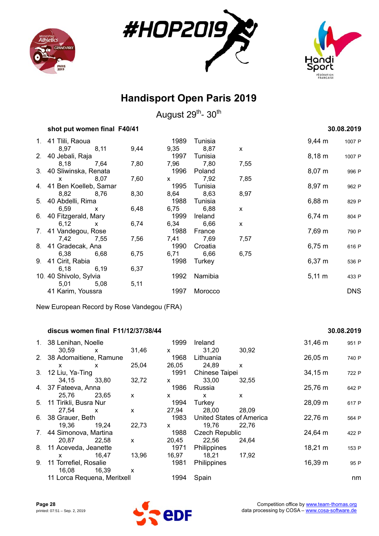





August 29<sup>th</sup>- 30<sup>th</sup>

| shot put women final F40/41 |              |      |              |                 |              |                    | 30.08.2019 |
|-----------------------------|--------------|------|--------------|-----------------|--------------|--------------------|------------|
| 1. 41 Tiili, Raoua          |              |      | 1989         | Tunisia         |              | $9,44 \, \text{m}$ | 1007 P     |
| 8,97<br>2. 40 Jebali, Raja  | 8,11         | 9,44 | 9,35<br>1997 | 8,87<br>Tunisia | X            | $8,18 \; m$        | 1007 P     |
| 8,18                        | 7,64         | 7,80 | 7,96         | 7,80            | 7,55         |                    |            |
| 3. 40 Sliwinska, Renata     |              |      |              | 1996 Poland     |              | $8,07 \; m$        | 996 P      |
| $\mathsf{X}$                | 8,07         | 7,60 | $\mathsf{X}$ | 7,92            | 7,85         |                    |            |
| 4. 41 Ben Koelleb, Samar    |              |      | 1995         | Tunisia         |              | $8,97 \; m$        | 962 P      |
| 8,82                        | 8,76         | 8,30 | 8,64         | 8,63            | 8,97         |                    |            |
| 5. 40 Abdelli, Rima         |              |      | 1988         | Tunisia         |              | $6,88 \; m$        | 829 P      |
| 6,59                        | $\mathsf{X}$ | 6,48 |              | 6,75 6,88       | X            |                    |            |
| 6. 40 Fitzgerald, Mary      |              |      | 1999         | Ireland         |              | $6,74 \; m$        | 804 P      |
| 6,12                        | $\mathsf{x}$ | 6,74 | 6,34         | 6,66            | $\mathsf{x}$ |                    |            |
| 7. 41 Vandegou, Rose        |              |      | 1988         | France          |              | 7,69 m             | 790 P      |
| 7,42                        | 7,55         | 7,56 | 7,41         | 7,69            | 7,57         |                    |            |
| 8. 41 Gradecak, Ana         |              |      | 1990         | Croatia         |              | $6,75 \; m$        | 616 P      |
| 6,38                        | 6,68         | 6,75 |              | 6,71 6,66       | 6,75         |                    |            |
| 9. 41 Cirit, Rabia          |              |      | 1998         | Turkey          |              | $6,37 \; m$        | 536 P      |
| 6,18                        | 6,19         | 6,37 |              |                 |              |                    |            |
| 10. 40 Shivolo, Sylvia      |              |      | 1992         | Namibia         |              | $5,11 \; m$        | 433 P      |
| 5,01                        | 5,08         | 5,11 |              |                 |              |                    |            |
| 41 Karim, Youssra           |              |      | 1997         | Morocco         |              |                    | <b>DNS</b> |

New European Record by Rose Vandegou (FRA)

#### **discus women final F11/12/37/38/44 30.08.2019**

#### 1. 38 Lenihan, Noelle 1999 Ireland 1999 Ireland 31,46 m 951 P 30,59 x 31,46 x 31,20 30,92 2. 38 Adomaitiene, Ramune 1968 Lithuania 1968 - 26,05 m 740 P<br>
26,05 m x 25,04 26,05 24,89 x x x 25,04 26,05 24,89 x 3. 12 Liu, Ya-Ting 1991 Chinese Taipei 34,15 m 722 P 34,15 33,80 32,72 x 33,00 32,55 4. 37 Fateeva, Anna 1986 Russia 25,76 m 642 P 25,76 23,65 x x x x 5. 11 Tirikli, Busra Nur 1994 Turkey 28,09 m 617 P 27,54 x x 27,94 28,00 28,09 6. 38 Grauer, Beth 1983 United States of America 22,76 m 564 P 19,36 19,24 22,73 x 19,76 22,76 7. 44 Simonova, Martina 1988 Czech Republic 24,64 m 422 P 20,87 22,58 x 20,45 22,56 24,64 8. 11 Aceveda, Jeanette 1971 Philippines 18,21 m 153 P x 16,47 13,96 16,97 18,21 17,92 9. 11 Torrefiel, Rosalie 1981 Philippines 16,39 m 95 P 16,08 16,39 x 11 Lorca Requena, Meritxell 1994 Spain 1994 Spain nm

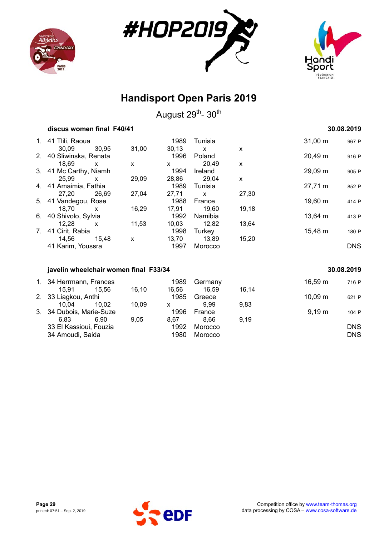





August 29<sup>th</sup>- 30<sup>th</sup>

| discus women final F40/41 |       |       |         |              |       | 30.08.2019   |       |  |
|---------------------------|-------|-------|---------|--------------|-------|--------------|-------|--|
| 1. 41 Tiili, Raoua        |       |       | 1989    | Tunisia      |       | $31,00 \; m$ | 967 P |  |
| 30.09                     | 30.95 | 31,00 | 30.13   | $\mathsf{x}$ | X     |              |       |  |
| 2. 40 Sliwinska, Renata   |       |       | 1996    | Poland       |       | 20,49 m      | 916 P |  |
| 18.69<br>X                |       | X     | X       | 20.49        | X     |              |       |  |
| 3. 41 Mc Carthy, Niamh    |       |       | 1994    | Ireland      |       | 29,09 m      | 905 P |  |
| 25.99<br>$\mathsf{x}$     |       | 29,09 | 28,86   | 29,04        | X     |              |       |  |
| 4. 41 Amaimia, Fathia     |       |       | 1989    | Tunisia      |       | 27,71 m      | 852 P |  |
| 27.20                     | 26.69 | 27,04 | 27,71   | $\mathsf{x}$ | 27,30 |              |       |  |
| 5. 41 Vandegou, Rose      |       |       | 1988    | France       |       | 19,60 m      | 414 P |  |
| 18.70<br>X                |       | 16,29 | 17.91   | 19,60        | 19,18 |              |       |  |
| 6. 40 Shivolo, Sylvia     |       |       | 1992    | Namibia      |       | 13,64 m      | 413 P |  |
| 12.28<br>X                |       | 11,53 | 10.03   | 12.82        | 13,64 |              |       |  |
| 7. 41 Cirit, Rabia        |       |       | 1998    | Turkey       |       | 15,48 m      | 180 P |  |
| 14.56                     | 15.48 | X     | 13,70   | 13.89        | 15,20 |              |       |  |
| 41 Karim, Youssra         |       | 1997  | Morocco |              |       | <b>DNS</b>   |       |  |
|                           |       |       |         |              |       |              |       |  |

#### **javelin wheelchair women final F33/34 30.08.2019**

| 1. 34 Herrmann, Frances  |       |         | 1989         | Germany |       | $16,59 \; m$ | 716 P      |
|--------------------------|-------|---------|--------------|---------|-------|--------------|------------|
| 15.91                    | 15.56 | 16.10   | 16.56        | 16.59   | 16.14 |              |            |
| 2. 33 Liagkou, Anthi     |       |         | 1985         | Greece  |       | 10.09 m      | 621 P      |
| 10.04                    | 10.02 | 10.09   | x            | 9.99    | 9.83  |              |            |
| 3. 34 Dubois, Marie-Suze |       |         | 1996         | France  |       | 9.19 m       | 104 P      |
| 6.83                     | 6.90  | 9.05    | 8.67         | 8.66    | 9.19  |              |            |
| 33 El Kassioui, Fouzia   |       |         | 1992<br>1980 | Morocco |       |              | <b>DNS</b> |
| 34 Amoudi, Saida         |       | Morocco |              |         |       | <b>DNS</b>   |            |
|                          |       |         |              |         |       |              |            |